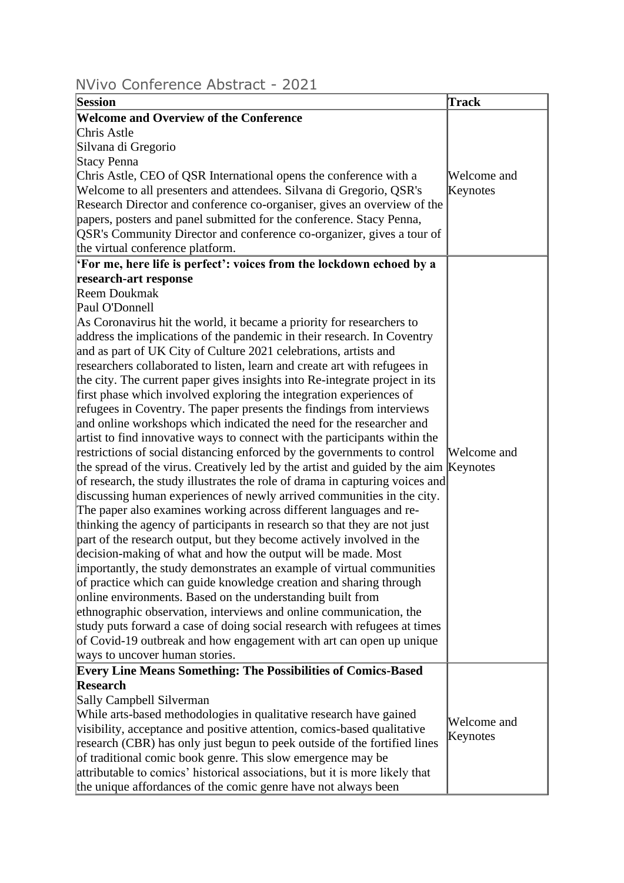## NVivo Conference Abstract - 2021

| Session                                                                              | <b>Track</b> |
|--------------------------------------------------------------------------------------|--------------|
| <b>Welcome and Overview of the Conference</b>                                        |              |
| Chris Astle                                                                          |              |
| Silvana di Gregorio                                                                  |              |
| Stacy Penna                                                                          |              |
| Chris Astle, CEO of QSR International opens the conference with a                    | Welcome and  |
| Welcome to all presenters and attendees. Silvana di Gregorio, QSR's                  | Keynotes     |
| Research Director and conference co-organiser, gives an overview of the              |              |
| papers, posters and panel submitted for the conference. Stacy Penna,                 |              |
| QSR's Community Director and conference co-organizer, gives a tour of                |              |
| the virtual conference platform.                                                     |              |
| For me, here life is perfect': voices from the lockdown echoed by a                  |              |
| research-art response                                                                |              |
| <b>Reem Doukmak</b>                                                                  |              |
| Paul O'Donnell                                                                       |              |
| As Coronavirus hit the world, it became a priority for researchers to                |              |
| address the implications of the pandemic in their research. In Coventry              |              |
| and as part of UK City of Culture 2021 celebrations, artists and                     |              |
| researchers collaborated to listen, learn and create art with refugees in            |              |
| the city. The current paper gives insights into Re-integrate project in its          |              |
| first phase which involved exploring the integration experiences of                  |              |
| refugees in Coventry. The paper presents the findings from interviews                |              |
| and online workshops which indicated the need for the researcher and                 |              |
| artist to find innovative ways to connect with the participants within the           |              |
| restrictions of social distancing enforced by the governments to control             | Welcome and  |
| the spread of the virus. Creatively led by the artist and guided by the aim Keynotes |              |
| of research, the study illustrates the role of drama in capturing voices and         |              |
| discussing human experiences of newly arrived communities in the city.               |              |
| The paper also examines working across different languages and re-                   |              |
| thinking the agency of participants in research so that they are not just            |              |
| part of the research output, but they become actively involved in the                |              |
| decision-making of what and how the output will be made. Most                        |              |
| importantly, the study demonstrates an example of virtual communities                |              |
| of practice which can guide knowledge creation and sharing through                   |              |
| online environments. Based on the understanding built from                           |              |
| ethnographic observation, interviews and online communication, the                   |              |
| study puts forward a case of doing social research with refugees at times            |              |
| of Covid-19 outbreak and how engagement with art can open up unique                  |              |
| ways to uncover human stories.                                                       |              |
| <b>Every Line Means Something: The Possibilities of Comics-Based</b>                 |              |
| <b>Research</b>                                                                      |              |
| Sally Campbell Silverman                                                             |              |
| While arts-based methodologies in qualitative research have gained                   | Welcome and  |
| visibility, acceptance and positive attention, comics-based qualitative              |              |
| research (CBR) has only just begun to peek outside of the fortified lines            | Keynotes     |
| of traditional comic book genre. This slow emergence may be                          |              |
| attributable to comics' historical associations, but it is more likely that          |              |
| the unique affordances of the comic genre have not always been                       |              |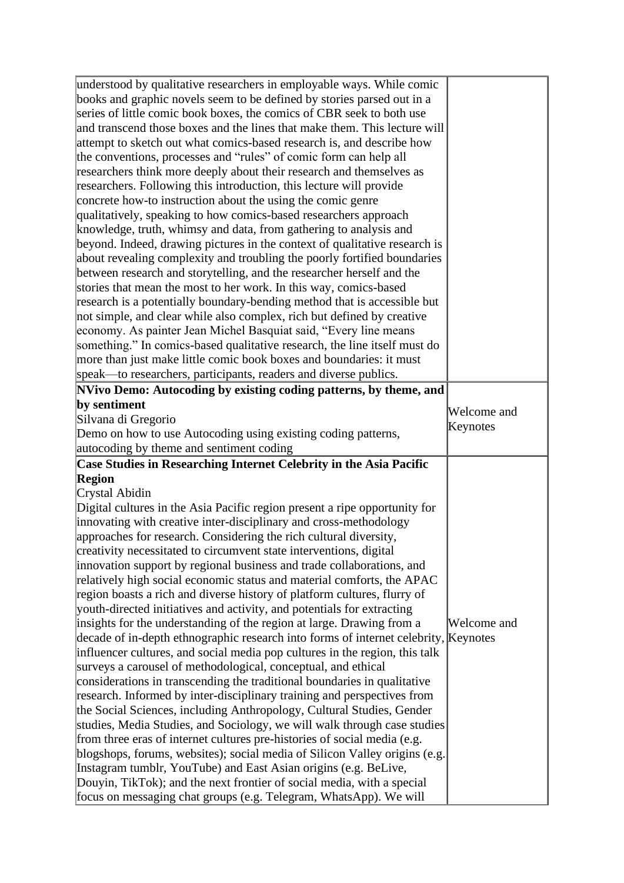| understood by qualitative researchers in employable ways. While comic                                                                                                                                                                                                                                                                                                                                                                                                                                                                                                                                                                                                                                                                                                               |             |
|-------------------------------------------------------------------------------------------------------------------------------------------------------------------------------------------------------------------------------------------------------------------------------------------------------------------------------------------------------------------------------------------------------------------------------------------------------------------------------------------------------------------------------------------------------------------------------------------------------------------------------------------------------------------------------------------------------------------------------------------------------------------------------------|-------------|
| books and graphic novels seem to be defined by stories parsed out in a                                                                                                                                                                                                                                                                                                                                                                                                                                                                                                                                                                                                                                                                                                              |             |
| series of little comic book boxes, the comics of CBR seek to both use                                                                                                                                                                                                                                                                                                                                                                                                                                                                                                                                                                                                                                                                                                               |             |
| and transcend those boxes and the lines that make them. This lecture will                                                                                                                                                                                                                                                                                                                                                                                                                                                                                                                                                                                                                                                                                                           |             |
| attempt to sketch out what comics-based research is, and describe how                                                                                                                                                                                                                                                                                                                                                                                                                                                                                                                                                                                                                                                                                                               |             |
| the conventions, processes and "rules" of comic form can help all                                                                                                                                                                                                                                                                                                                                                                                                                                                                                                                                                                                                                                                                                                                   |             |
| researchers think more deeply about their research and themselves as                                                                                                                                                                                                                                                                                                                                                                                                                                                                                                                                                                                                                                                                                                                |             |
| researchers. Following this introduction, this lecture will provide                                                                                                                                                                                                                                                                                                                                                                                                                                                                                                                                                                                                                                                                                                                 |             |
| concrete how-to instruction about the using the comic genre                                                                                                                                                                                                                                                                                                                                                                                                                                                                                                                                                                                                                                                                                                                         |             |
| qualitatively, speaking to how comics-based researchers approach                                                                                                                                                                                                                                                                                                                                                                                                                                                                                                                                                                                                                                                                                                                    |             |
| knowledge, truth, whimsy and data, from gathering to analysis and                                                                                                                                                                                                                                                                                                                                                                                                                                                                                                                                                                                                                                                                                                                   |             |
| beyond. Indeed, drawing pictures in the context of qualitative research is                                                                                                                                                                                                                                                                                                                                                                                                                                                                                                                                                                                                                                                                                                          |             |
| about revealing complexity and troubling the poorly fortified boundaries                                                                                                                                                                                                                                                                                                                                                                                                                                                                                                                                                                                                                                                                                                            |             |
| between research and storytelling, and the researcher herself and the                                                                                                                                                                                                                                                                                                                                                                                                                                                                                                                                                                                                                                                                                                               |             |
| stories that mean the most to her work. In this way, comics-based                                                                                                                                                                                                                                                                                                                                                                                                                                                                                                                                                                                                                                                                                                                   |             |
| research is a potentially boundary-bending method that is accessible but                                                                                                                                                                                                                                                                                                                                                                                                                                                                                                                                                                                                                                                                                                            |             |
| not simple, and clear while also complex, rich but defined by creative                                                                                                                                                                                                                                                                                                                                                                                                                                                                                                                                                                                                                                                                                                              |             |
| economy. As painter Jean Michel Basquiat said, "Every line means"                                                                                                                                                                                                                                                                                                                                                                                                                                                                                                                                                                                                                                                                                                                   |             |
| something." In comics-based qualitative research, the line itself must do                                                                                                                                                                                                                                                                                                                                                                                                                                                                                                                                                                                                                                                                                                           |             |
| more than just make little comic book boxes and boundaries: it must                                                                                                                                                                                                                                                                                                                                                                                                                                                                                                                                                                                                                                                                                                                 |             |
| speak—to researchers, participants, readers and diverse publics.                                                                                                                                                                                                                                                                                                                                                                                                                                                                                                                                                                                                                                                                                                                    |             |
| NVivo Demo: Autocoding by existing coding patterns, by theme, and                                                                                                                                                                                                                                                                                                                                                                                                                                                                                                                                                                                                                                                                                                                   |             |
| by sentiment                                                                                                                                                                                                                                                                                                                                                                                                                                                                                                                                                                                                                                                                                                                                                                        |             |
| Silvana di Gregorio                                                                                                                                                                                                                                                                                                                                                                                                                                                                                                                                                                                                                                                                                                                                                                 | Welcome and |
| Demo on how to use Autocoding using existing coding patterns,                                                                                                                                                                                                                                                                                                                                                                                                                                                                                                                                                                                                                                                                                                                       | Keynotes    |
| autocoding by theme and sentiment coding                                                                                                                                                                                                                                                                                                                                                                                                                                                                                                                                                                                                                                                                                                                                            |             |
|                                                                                                                                                                                                                                                                                                                                                                                                                                                                                                                                                                                                                                                                                                                                                                                     |             |
|                                                                                                                                                                                                                                                                                                                                                                                                                                                                                                                                                                                                                                                                                                                                                                                     |             |
|                                                                                                                                                                                                                                                                                                                                                                                                                                                                                                                                                                                                                                                                                                                                                                                     |             |
|                                                                                                                                                                                                                                                                                                                                                                                                                                                                                                                                                                                                                                                                                                                                                                                     |             |
|                                                                                                                                                                                                                                                                                                                                                                                                                                                                                                                                                                                                                                                                                                                                                                                     |             |
|                                                                                                                                                                                                                                                                                                                                                                                                                                                                                                                                                                                                                                                                                                                                                                                     |             |
|                                                                                                                                                                                                                                                                                                                                                                                                                                                                                                                                                                                                                                                                                                                                                                                     |             |
|                                                                                                                                                                                                                                                                                                                                                                                                                                                                                                                                                                                                                                                                                                                                                                                     |             |
| Case Studies in Researching Internet Celebrity in the Asia Pacific<br>Region<br>Crystal Abidin<br>Digital cultures in the Asia Pacific region present a ripe opportunity for<br>innovating with creative inter-disciplinary and cross-methodology<br>approaches for research. Considering the rich cultural diversity,<br>creativity necessitated to circumvent state interventions, digital                                                                                                                                                                                                                                                                                                                                                                                        |             |
|                                                                                                                                                                                                                                                                                                                                                                                                                                                                                                                                                                                                                                                                                                                                                                                     |             |
|                                                                                                                                                                                                                                                                                                                                                                                                                                                                                                                                                                                                                                                                                                                                                                                     |             |
|                                                                                                                                                                                                                                                                                                                                                                                                                                                                                                                                                                                                                                                                                                                                                                                     |             |
|                                                                                                                                                                                                                                                                                                                                                                                                                                                                                                                                                                                                                                                                                                                                                                                     |             |
|                                                                                                                                                                                                                                                                                                                                                                                                                                                                                                                                                                                                                                                                                                                                                                                     | Welcome and |
|                                                                                                                                                                                                                                                                                                                                                                                                                                                                                                                                                                                                                                                                                                                                                                                     |             |
|                                                                                                                                                                                                                                                                                                                                                                                                                                                                                                                                                                                                                                                                                                                                                                                     |             |
|                                                                                                                                                                                                                                                                                                                                                                                                                                                                                                                                                                                                                                                                                                                                                                                     |             |
|                                                                                                                                                                                                                                                                                                                                                                                                                                                                                                                                                                                                                                                                                                                                                                                     |             |
| innovation support by regional business and trade collaborations, and<br>relatively high social economic status and material comforts, the APAC<br>region boasts a rich and diverse history of platform cultures, flurry of<br>youth-directed initiatives and activity, and potentials for extracting<br>insights for the understanding of the region at large. Drawing from a<br>decade of in-depth ethnographic research into forms of internet celebrity, <i>Keynotes</i><br>influencer cultures, and social media pop cultures in the region, this talk<br>surveys a carousel of methodological, conceptual, and ethical<br>considerations in transcending the traditional boundaries in qualitative<br>research. Informed by inter-disciplinary training and perspectives from |             |
| the Social Sciences, including Anthropology, Cultural Studies, Gender                                                                                                                                                                                                                                                                                                                                                                                                                                                                                                                                                                                                                                                                                                               |             |
| studies, Media Studies, and Sociology, we will walk through case studies                                                                                                                                                                                                                                                                                                                                                                                                                                                                                                                                                                                                                                                                                                            |             |
|                                                                                                                                                                                                                                                                                                                                                                                                                                                                                                                                                                                                                                                                                                                                                                                     |             |
| from three eras of internet cultures pre-histories of social media (e.g.<br>blogshops, forums, websites); social media of Silicon Valley origins (e.g.                                                                                                                                                                                                                                                                                                                                                                                                                                                                                                                                                                                                                              |             |
|                                                                                                                                                                                                                                                                                                                                                                                                                                                                                                                                                                                                                                                                                                                                                                                     |             |
| Instagram tumblr, YouTube) and East Asian origins (e.g. BeLive,<br>Douyin, TikTok); and the next frontier of social media, with a special                                                                                                                                                                                                                                                                                                                                                                                                                                                                                                                                                                                                                                           |             |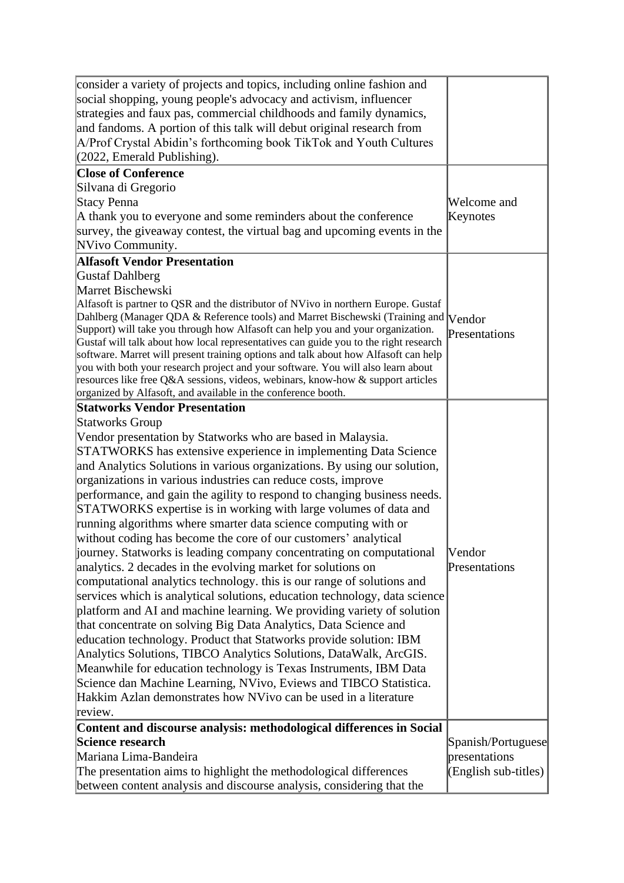| consider a variety of projects and topics, including online fashion and                                                                                                 |                      |
|-------------------------------------------------------------------------------------------------------------------------------------------------------------------------|----------------------|
| social shopping, young people's advocacy and activism, influencer                                                                                                       |                      |
| strategies and faux pas, commercial childhoods and family dynamics,                                                                                                     |                      |
| and fandoms. A portion of this talk will debut original research from                                                                                                   |                      |
| A/Prof Crystal Abidin's forthcoming book TikTok and Youth Cultures                                                                                                      |                      |
| $(2022,$ Emerald Publishing).                                                                                                                                           |                      |
| <b>Close of Conference</b>                                                                                                                                              |                      |
| Silvana di Gregorio                                                                                                                                                     |                      |
| Stacy Penna                                                                                                                                                             | Welcome and          |
| A thank you to everyone and some reminders about the conference                                                                                                         | Keynotes             |
| survey, the giveaway contest, the virtual bag and upcoming events in the                                                                                                |                      |
| NVivo Community.                                                                                                                                                        |                      |
| <b>Alfasoft Vendor Presentation</b>                                                                                                                                     |                      |
| <b>Gustaf Dahlberg</b>                                                                                                                                                  |                      |
| Marret Bischewski                                                                                                                                                       |                      |
| Alfasoft is partner to QSR and the distributor of NVivo in northern Europe. Gustaf                                                                                      |                      |
| Dahlberg (Manager QDA & Reference tools) and Marret Bischewski (Training and                                                                                            | <b>Vendor</b>        |
| Support) will take you through how Alfasoft can help you and your organization.                                                                                         | Presentations        |
| Gustaf will talk about how local representatives can guide you to the right research                                                                                    |                      |
| software. Marret will present training options and talk about how Alfasoft can help<br>you with both your research project and your software. You will also learn about |                      |
| resources like free Q&A sessions, videos, webinars, know-how & support articles                                                                                         |                      |
| organized by Alfasoft, and available in the conference booth.                                                                                                           |                      |
| <b>Statworks Vendor Presentation</b>                                                                                                                                    |                      |
| Statworks Group                                                                                                                                                         |                      |
| Vendor presentation by Statworks who are based in Malaysia.                                                                                                             |                      |
| STATWORKS has extensive experience in implementing Data Science                                                                                                         |                      |
| and Analytics Solutions in various organizations. By using our solution,                                                                                                |                      |
| organizations in various industries can reduce costs, improve                                                                                                           |                      |
| performance, and gain the agility to respond to changing business needs.                                                                                                |                      |
| STATWORKS expertise is in working with large volumes of data and                                                                                                        |                      |
| running algorithms where smarter data science computing with or                                                                                                         |                      |
| without coding has become the core of our customers' analytical                                                                                                         |                      |
| journey. Statworks is leading company concentrating on computational                                                                                                    | Vendor               |
| analytics. 2 decades in the evolving market for solutions on                                                                                                            | Presentations        |
| computational analytics technology, this is our range of solutions and                                                                                                  |                      |
| services which is analytical solutions, education technology, data science                                                                                              |                      |
| platform and AI and machine learning. We providing variety of solution                                                                                                  |                      |
| that concentrate on solving Big Data Analytics, Data Science and                                                                                                        |                      |
| education technology. Product that Statworks provide solution: IBM                                                                                                      |                      |
| Analytics Solutions, TIBCO Analytics Solutions, DataWalk, ArcGIS.                                                                                                       |                      |
| Meanwhile for education technology is Texas Instruments, IBM Data                                                                                                       |                      |
| Science dan Machine Learning, NVivo, Eviews and TIBCO Statistica.                                                                                                       |                      |
| Hakkim Azlan demonstrates how NVivo can be used in a literature                                                                                                         |                      |
| review.                                                                                                                                                                 |                      |
| Content and discourse analysis: methodological differences in Social                                                                                                    |                      |
| Science research                                                                                                                                                        | Spanish/Portuguese   |
| Mariana Lima-Bandeira                                                                                                                                                   | presentations        |
| The presentation aims to highlight the methodological differences                                                                                                       | (English sub-titles) |
| between content analysis and discourse analysis, considering that the                                                                                                   |                      |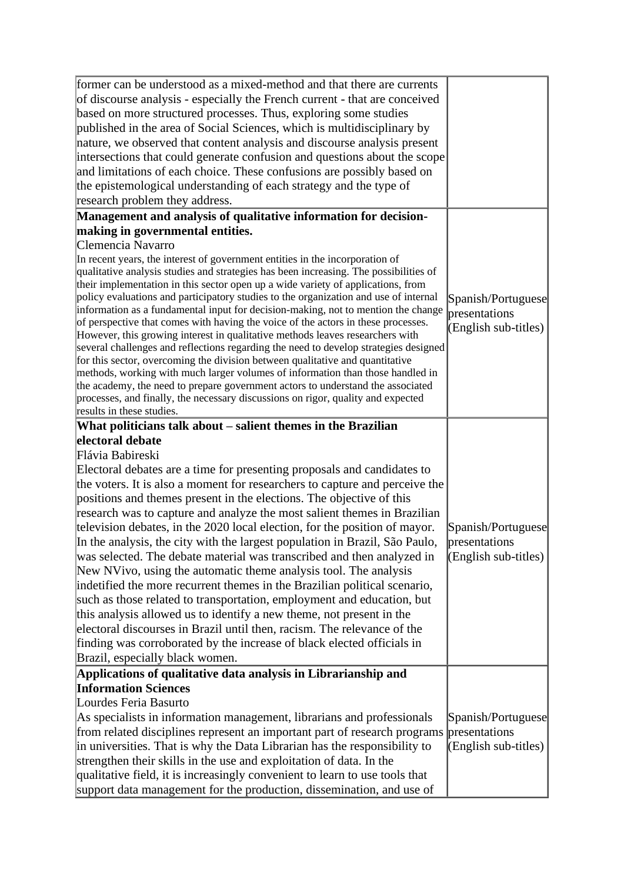| former can be understood as a mixed-method and that there are currents<br>of discourse analysis - especially the French current - that are conceived<br>based on more structured processes. Thus, exploring some studies<br>published in the area of Social Sciences, which is multidisciplinary by<br>nature, we observed that content analysis and discourse analysis present<br>intersections that could generate confusion and questions about the scope<br>and limitations of each choice. These confusions are possibly based on<br>the epistemological understanding of each strategy and the type of<br>research problem they address.                                                                                                                                                                                                                                                                                                                                                                                                                                                   |                                                               |
|--------------------------------------------------------------------------------------------------------------------------------------------------------------------------------------------------------------------------------------------------------------------------------------------------------------------------------------------------------------------------------------------------------------------------------------------------------------------------------------------------------------------------------------------------------------------------------------------------------------------------------------------------------------------------------------------------------------------------------------------------------------------------------------------------------------------------------------------------------------------------------------------------------------------------------------------------------------------------------------------------------------------------------------------------------------------------------------------------|---------------------------------------------------------------|
| Management and analysis of qualitative information for decision-                                                                                                                                                                                                                                                                                                                                                                                                                                                                                                                                                                                                                                                                                                                                                                                                                                                                                                                                                                                                                                 |                                                               |
| making in governmental entities.                                                                                                                                                                                                                                                                                                                                                                                                                                                                                                                                                                                                                                                                                                                                                                                                                                                                                                                                                                                                                                                                 |                                                               |
| Clemencia Navarro<br>In recent years, the interest of government entities in the incorporation of<br>qualitative analysis studies and strategies has been increasing. The possibilities of<br>their implementation in this sector open up a wide variety of applications, from<br>policy evaluations and participatory studies to the organization and use of internal<br>information as a fundamental input for decision-making, not to mention the change<br>of perspective that comes with having the voice of the actors in these processes.<br>However, this growing interest in qualitative methods leaves researchers with<br>several challenges and reflections regarding the need to develop strategies designed<br>for this sector, overcoming the division between qualitative and quantitative<br>methods, working with much larger volumes of information than those handled in<br>the academy, the need to prepare government actors to understand the associated<br>processes, and finally, the necessary discussions on rigor, quality and expected<br>results in these studies. | Spanish/Portuguese<br>presentations<br>(English sub-titles)   |
| What politicians talk about – salient themes in the Brazilian                                                                                                                                                                                                                                                                                                                                                                                                                                                                                                                                                                                                                                                                                                                                                                                                                                                                                                                                                                                                                                    |                                                               |
| electoral debate<br>Flávia Babireski<br>Electoral debates are a time for presenting proposals and candidates to<br>the voters. It is also a moment for researchers to capture and perceive the<br>positions and themes present in the elections. The objective of this<br>research was to capture and analyze the most salient themes in Brazilian<br>television debates, in the 2020 local election, for the position of mayor.<br>In the analysis, the city with the largest population in Brazil, São Paulo,<br>was selected. The debate material was transcribed and then analyzed in<br>New NVivo, using the automatic theme analysis tool. The analysis<br>indetified the more recurrent themes in the Brazilian political scenario,<br>such as those related to transportation, employment and education, but<br>this analysis allowed us to identify a new theme, not present in the<br>electoral discourses in Brazil until then, racism. The relevance of the<br>finding was corroborated by the increase of black elected officials in<br>Brazil, especially black women.             | Spanish/Portuguese<br>presentations<br>$(English sub-titles)$ |
| Applications of qualitative data analysis in Librarianship and<br><b>Information Sciences</b><br>Lourdes Feria Basurto<br>As specialists in information management, librarians and professionals<br>from related disciplines represent an important part of research programs<br>in universities. That is why the Data Librarian has the responsibility to<br>strengthen their skills in the use and exploitation of data. In the<br>qualitative field, it is increasingly convenient to learn to use tools that<br>support data management for the production, dissemination, and use of                                                                                                                                                                                                                                                                                                                                                                                                                                                                                                        | Spanish/Portuguese<br>presentations<br>$(English sub-titles)$ |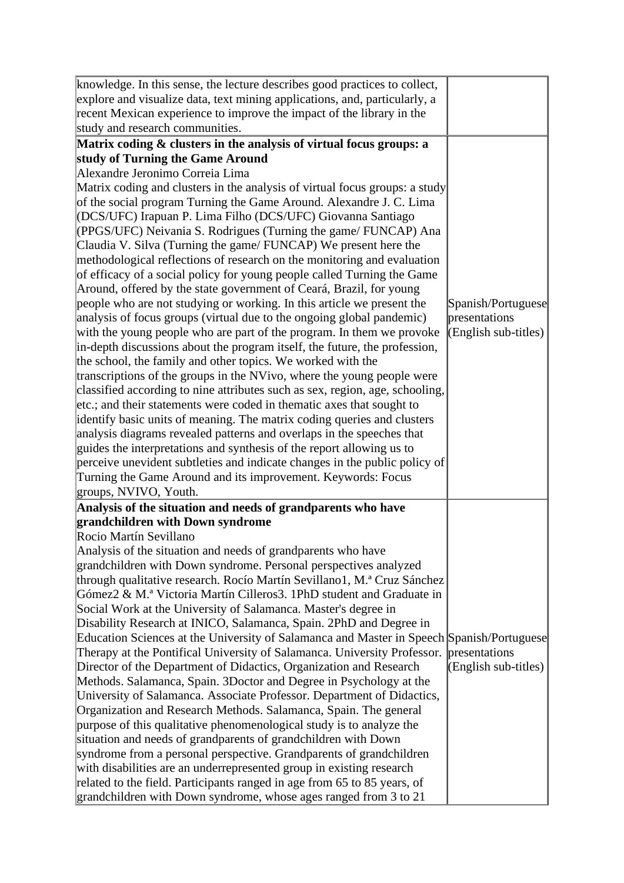| knowledge. In this sense, the lecture describes good practices to collect,                                                                  |                        |
|---------------------------------------------------------------------------------------------------------------------------------------------|------------------------|
| explore and visualize data, text mining applications, and, particularly, a                                                                  |                        |
| recent Mexican experience to improve the impact of the library in the                                                                       |                        |
| study and research communities.                                                                                                             |                        |
| Matrix coding & clusters in the analysis of virtual focus groups: a                                                                         |                        |
| study of Turning the Game Around                                                                                                            |                        |
| Alexandre Jeronimo Correia Lima                                                                                                             |                        |
| Matrix coding and clusters in the analysis of virtual focus groups: a study                                                                 |                        |
| of the social program Turning the Game Around. Alexandre J. C. Lima                                                                         |                        |
| (DCS/UFC) Irapuan P. Lima Filho (DCS/UFC) Giovanna Santiago                                                                                 |                        |
| (PPGS/UFC) Neivania S. Rodrigues (Turning the game/FUNCAP) Ana                                                                              |                        |
| Claudia V. Silva (Turning the game/FUNCAP) We present here the                                                                              |                        |
| methodological reflections of research on the monitoring and evaluation                                                                     |                        |
| of efficacy of a social policy for young people called Turning the Game                                                                     |                        |
| Around, offered by the state government of Ceará, Brazil, for young                                                                         |                        |
| people who are not studying or working. In this article we present the                                                                      | Spanish/Portuguese     |
| analysis of focus groups (virtual due to the ongoing global pandemic)                                                                       | presentations          |
| with the young people who are part of the program. In them we provoke                                                                       | $(English sub-titles)$ |
| in-depth discussions about the program itself, the future, the profession,                                                                  |                        |
| the school, the family and other topics. We worked with the                                                                                 |                        |
| transcriptions of the groups in the NVivo, where the young people were                                                                      |                        |
| classified according to nine attributes such as sex, region, age, schooling,                                                                |                        |
| etc.; and their statements were coded in thematic axes that sought to                                                                       |                        |
| identify basic units of meaning. The matrix coding queries and clusters                                                                     |                        |
| analysis diagrams revealed patterns and overlaps in the speeches that                                                                       |                        |
| guides the interpretations and synthesis of the report allowing us to                                                                       |                        |
| perceive unevident subtleties and indicate changes in the public policy of                                                                  |                        |
| Turning the Game Around and its improvement. Keywords: Focus                                                                                |                        |
| groups, NVIVO, Youth.                                                                                                                       |                        |
| Analysis of the situation and needs of grandparents who have                                                                                |                        |
| grandchildren with Down syndrome                                                                                                            |                        |
| Rocio Martín Sevillano                                                                                                                      |                        |
| Analysis of the situation and needs of grandparents who have                                                                                |                        |
| grandchildren with Down syndrome. Personal perspectives analyzed<br>through qualitative research. Rocío Martín Sevillano1, M.ª Cruz Sánchez |                        |
| Gómez2 & M.ª Victoria Martín Cilleros3. 1PhD student and Graduate in                                                                        |                        |
| Social Work at the University of Salamanca. Master's degree in                                                                              |                        |
| Disability Research at INICO, Salamanca, Spain. 2PhD and Degree in                                                                          |                        |
| Education Sciences at the University of Salamanca and Master in Speech Spanish/Portuguese                                                   |                        |
| Therapy at the Pontifical University of Salamanca. University Professor.                                                                    | presentations          |
| Director of the Department of Didactics, Organization and Research                                                                          | $(English sub-titles)$ |
| Methods. Salamanca, Spain. 3Doctor and Degree in Psychology at the                                                                          |                        |
| University of Salamanca. Associate Professor. Department of Didactics,                                                                      |                        |
| Organization and Research Methods. Salamanca, Spain. The general                                                                            |                        |
| purpose of this qualitative phenomenological study is to analyze the                                                                        |                        |
| situation and needs of grandparents of grandchildren with Down                                                                              |                        |
| syndrome from a personal perspective. Grandparents of grandchildren                                                                         |                        |
|                                                                                                                                             |                        |
| with disabilities are an underrepresented group in existing research                                                                        |                        |
| related to the field. Participants ranged in age from 65 to 85 years, of                                                                    |                        |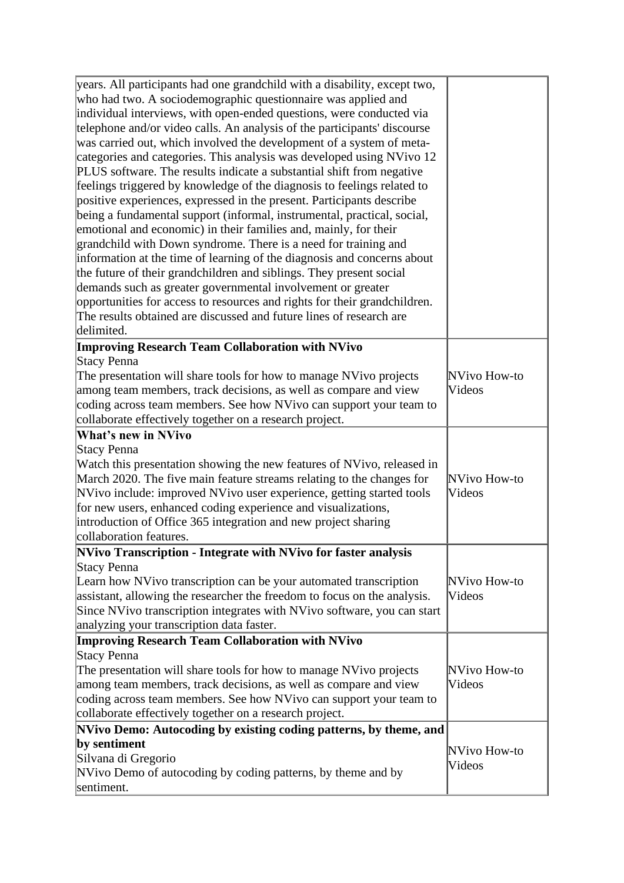| years. All participants had one grandchild with a disability, except two, |              |
|---------------------------------------------------------------------------|--------------|
| who had two. A sociodemographic questionnaire was applied and             |              |
| individual interviews, with open-ended questions, were conducted via      |              |
| telephone and/or video calls. An analysis of the participants' discourse  |              |
| was carried out, which involved the development of a system of meta-      |              |
| categories and categories. This analysis was developed using NVivo 12     |              |
| PLUS software. The results indicate a substantial shift from negative     |              |
| feelings triggered by knowledge of the diagnosis to feelings related to   |              |
| positive experiences, expressed in the present. Participants describe     |              |
| being a fundamental support (informal, instrumental, practical, social,   |              |
| emotional and economic) in their families and, mainly, for their          |              |
| grandchild with Down syndrome. There is a need for training and           |              |
| information at the time of learning of the diagnosis and concerns about   |              |
| the future of their grandchildren and siblings. They present social       |              |
| demands such as greater governmental involvement or greater               |              |
| opportunities for access to resources and rights for their grandchildren. |              |
| The results obtained are discussed and future lines of research are       |              |
| delimited.                                                                |              |
| <b>Improving Research Team Collaboration with NVivo</b>                   |              |
| Stacy Penna                                                               |              |
| The presentation will share tools for how to manage NVivo projects        | NVivo How-to |
| among team members, track decisions, as well as compare and view          | Videos       |
| coding across team members. See how NVivo can support your team to        |              |
| collaborate effectively together on a research project.                   |              |
| <b>What's new in NVivo</b>                                                |              |
| Stacy Penna                                                               |              |
| Watch this presentation showing the new features of NVivo, released in    |              |
| March 2020. The five main feature streams relating to the changes for     | NVivo How-to |
| NVivo include: improved NVivo user experience, getting started tools      | Videos       |
| for new users, enhanced coding experience and visualizations,             |              |
| introduction of Office 365 integration and new project sharing            |              |
| collaboration features.                                                   |              |
| NVivo Transcription - Integrate with NVivo for faster analysis            |              |
| Stacy Penna                                                               |              |
| Learn how NVivo transcription can be your automated transcription         | NVivo How-to |
| assistant, allowing the researcher the freedom to focus on the analysis.  | Videos       |
| Since NVivo transcription integrates with NVivo software, you can start   |              |
| analyzing your transcription data faster.                                 |              |
| <b>Improving Research Team Collaboration with NVivo</b>                   |              |
| Stacy Penna                                                               |              |
| The presentation will share tools for how to manage NVivo projects        | NVivo How-to |
| among team members, track decisions, as well as compare and view          | Videos       |
| coding across team members. See how NVivo can support your team to        |              |
| collaborate effectively together on a research project.                   |              |
| NVivo Demo: Autocoding by existing coding patterns, by theme, and         |              |
| by sentiment                                                              |              |
| Silvana di Gregorio                                                       | NVivo How-to |
| NVivo Demo of autocoding by coding patterns, by theme and by              | Videos       |
| sentiment.                                                                |              |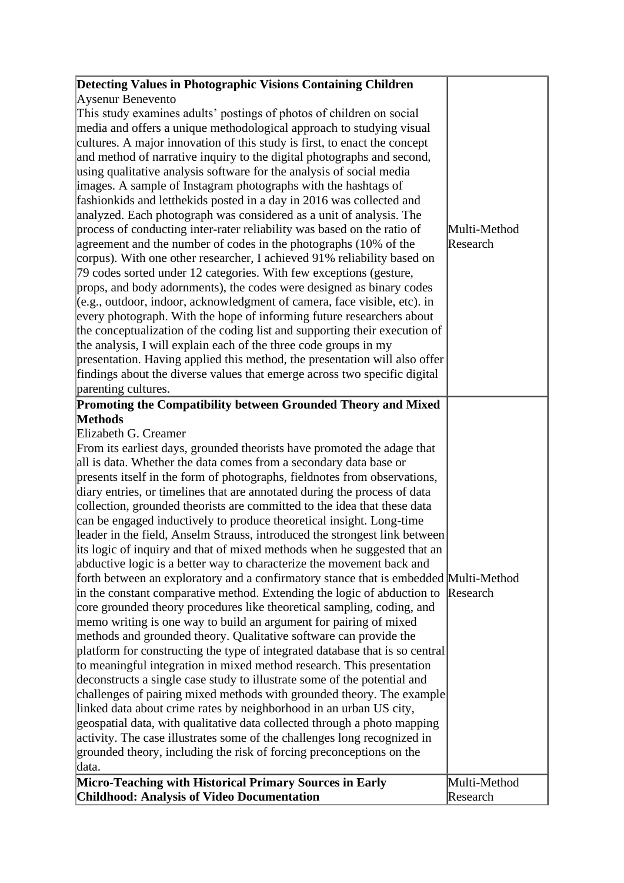| Detecting Values in Photographic Visions Containing Children                                                                                                    |              |
|-----------------------------------------------------------------------------------------------------------------------------------------------------------------|--------------|
| Aysenur Benevento                                                                                                                                               |              |
| This study examines adults' postings of photos of children on social                                                                                            |              |
| media and offers a unique methodological approach to studying visual<br>cultures. A major innovation of this study is first, to enact the concept               |              |
| and method of narrative inquiry to the digital photographs and second,                                                                                          |              |
| using qualitative analysis software for the analysis of social media                                                                                            |              |
| images. A sample of Instagram photographs with the hashtags of                                                                                                  |              |
| fashionkids and letthekids posted in a day in 2016 was collected and                                                                                            |              |
| analyzed. Each photograph was considered as a unit of analysis. The                                                                                             |              |
| process of conducting inter-rater reliability was based on the ratio of                                                                                         | Multi-Method |
| agreement and the number of codes in the photographs (10% of the                                                                                                | Research     |
| corpus). With one other researcher, I achieved 91% reliability based on                                                                                         |              |
| 79 codes sorted under 12 categories. With few exceptions (gesture,                                                                                              |              |
| props, and body adornments), the codes were designed as binary codes                                                                                            |              |
| $(e.g., outdoor, indoor, acknowledgment of camera, face visible, etc).$                                                                                         |              |
| every photograph. With the hope of informing future researchers about                                                                                           |              |
| the conceptualization of the coding list and supporting their execution of                                                                                      |              |
| the analysis, I will explain each of the three code groups in my                                                                                                |              |
| presentation. Having applied this method, the presentation will also offer                                                                                      |              |
| findings about the diverse values that emerge across two specific digital                                                                                       |              |
| parenting cultures.                                                                                                                                             |              |
| Promoting the Compatibility between Grounded Theory and Mixed                                                                                                   |              |
| <b>Methods</b>                                                                                                                                                  |              |
| Elizabeth G. Creamer                                                                                                                                            |              |
| From its earliest days, grounded theorists have promoted the adage that                                                                                         |              |
| all is data. Whether the data comes from a secondary data base or                                                                                               |              |
| presents itself in the form of photographs, fieldnotes from observations,                                                                                       |              |
| diary entries, or timelines that are annotated during the process of data                                                                                       |              |
| collection, grounded theorists are committed to the idea that these data                                                                                        |              |
| can be engaged inductively to produce theoretical insight. Long-time                                                                                            |              |
| leader in the field, Anselm Strauss, introduced the strongest link between                                                                                      |              |
| its logic of inquiry and that of mixed methods when he suggested that an                                                                                        |              |
| abductive logic is a better way to characterize the movement back and                                                                                           |              |
| forth between an exploratory and a confirmatory stance that is embedded Multi-Method<br>in the constant comparative method. Extending the logic of abduction to | Research     |
| core grounded theory procedures like theoretical sampling, coding, and                                                                                          |              |
| memo writing is one way to build an argument for pairing of mixed                                                                                               |              |
| methods and grounded theory. Qualitative software can provide the                                                                                               |              |
| platform for constructing the type of integrated database that is so central                                                                                    |              |
| to meaningful integration in mixed method research. This presentation                                                                                           |              |
| deconstructs a single case study to illustrate some of the potential and                                                                                        |              |
| challenges of pairing mixed methods with grounded theory. The example                                                                                           |              |
| linked data about crime rates by neighborhood in an urban US city,                                                                                              |              |
| geospatial data, with qualitative data collected through a photo mapping                                                                                        |              |
| activity. The case illustrates some of the challenges long recognized in                                                                                        |              |
| grounded theory, including the risk of forcing preconceptions on the                                                                                            |              |
| data.                                                                                                                                                           |              |
| Micro-Teaching with Historical Primary Sources in Early                                                                                                         | Multi-Method |
| <b>Childhood: Analysis of Video Documentation</b>                                                                                                               | Research     |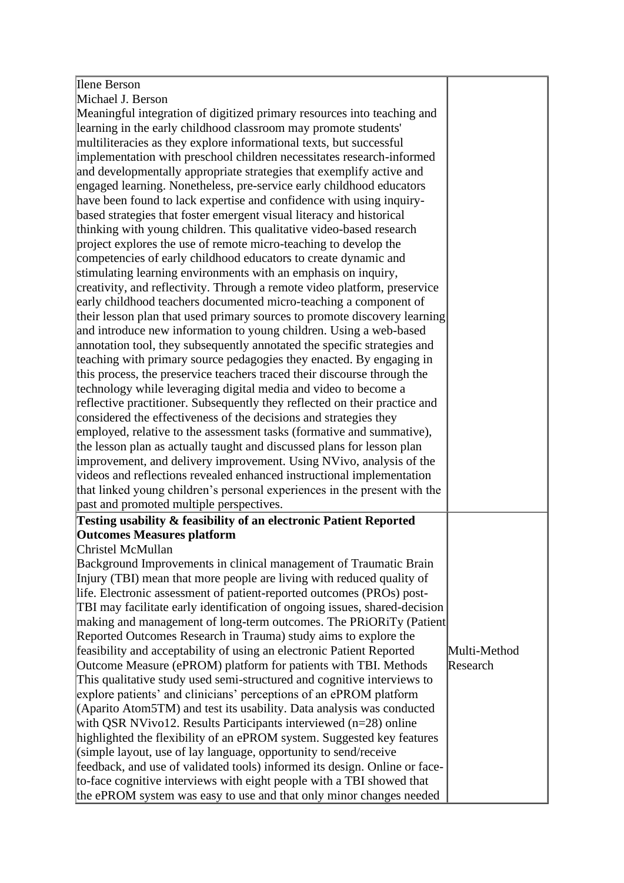| Ilene Berson                                                               |              |
|----------------------------------------------------------------------------|--------------|
| Michael J. Berson                                                          |              |
| Meaningful integration of digitized primary resources into teaching and    |              |
| learning in the early childhood classroom may promote students'            |              |
| multiliteracies as they explore informational texts, but successful        |              |
| implementation with preschool children necessitates research-informed      |              |
| and developmentally appropriate strategies that exemplify active and       |              |
| engaged learning. Nonetheless, pre-service early childhood educators       |              |
| have been found to lack expertise and confidence with using inquiry-       |              |
| based strategies that foster emergent visual literacy and historical       |              |
| thinking with young children. This qualitative video-based research        |              |
| project explores the use of remote micro-teaching to develop the           |              |
| competencies of early childhood educators to create dynamic and            |              |
| stimulating learning environments with an emphasis on inquiry,             |              |
| creativity, and reflectivity. Through a remote video platform, preservice  |              |
|                                                                            |              |
| early childhood teachers documented micro-teaching a component of          |              |
| their lesson plan that used primary sources to promote discovery learning  |              |
| and introduce new information to young children. Using a web-based         |              |
| annotation tool, they subsequently annotated the specific strategies and   |              |
| teaching with primary source pedagogies they enacted. By engaging in       |              |
| this process, the preservice teachers traced their discourse through the   |              |
| technology while leveraging digital media and video to become a            |              |
| reflective practitioner. Subsequently they reflected on their practice and |              |
| considered the effectiveness of the decisions and strategies they          |              |
| employed, relative to the assessment tasks (formative and summative),      |              |
| the lesson plan as actually taught and discussed plans for lesson plan     |              |
| improvement, and delivery improvement. Using NVivo, analysis of the        |              |
| videos and reflections revealed enhanced instructional implementation      |              |
| that linked young children's personal experiences in the present with the  |              |
| past and promoted multiple perspectives.                                   |              |
| Testing usability & feasibility of an electronic Patient Reported          |              |
| <b>Outcomes Measures platform</b>                                          |              |
| Christel McMullan                                                          |              |
| Background Improvements in clinical management of Traumatic Brain          |              |
| Injury (TBI) mean that more people are living with reduced quality of      |              |
| life. Electronic assessment of patient-reported outcomes (PROs) post-      |              |
| TBI may facilitate early identification of ongoing issues, shared-decision |              |
| making and management of long-term outcomes. The PRiORiTy (Patient         |              |
| Reported Outcomes Research in Trauma) study aims to explore the            |              |
| feasibility and acceptability of using an electronic Patient Reported      | Multi-Method |
| Outcome Measure (ePROM) platform for patients with TBI. Methods            | Research     |
| This qualitative study used semi-structured and cognitive interviews to    |              |
| explore patients' and clinicians' perceptions of an ePROM platform         |              |
| (Aparito Atom5TM) and test its usability. Data analysis was conducted      |              |
| with QSR NVivo12. Results Participants interviewed (n=28) online           |              |
| highlighted the flexibility of an ePROM system. Suggested key features     |              |
| (simple layout, use of lay language, opportunity to send/receive           |              |
| feedback, and use of validated tools) informed its design. Online or face- |              |
| to-face cognitive interviews with eight people with a TBI showed that      |              |
|                                                                            |              |

the ePROM system was easy to use and that only minor changes needed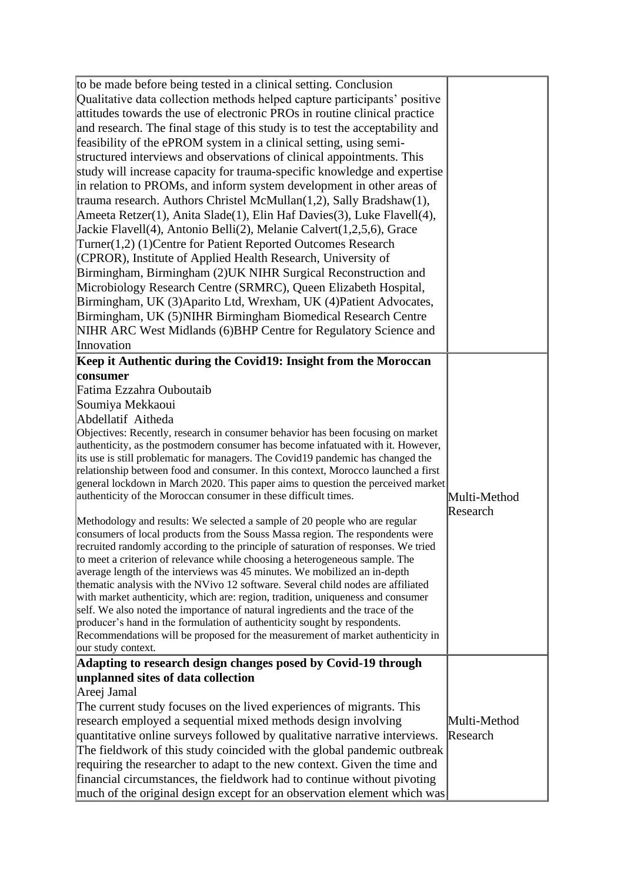| to be made before being tested in a clinical setting. Conclusion<br>Qualitative data collection methods helped capture participants' positive<br>attitudes towards the use of electronic PROs in routine clinical practice<br>and research. The final stage of this study is to test the acceptability and<br>feasibility of the ePROM system in a clinical setting, using semi-<br>structured interviews and observations of clinical appointments. This<br>study will increase capacity for trauma-specific knowledge and expertise<br>in relation to PROMs, and inform system development in other areas of<br>trauma research. Authors Christel McMullan $(1,2)$ , Sally Bradshaw $(1)$ ,                                                                                                                                                               |                          |
|-------------------------------------------------------------------------------------------------------------------------------------------------------------------------------------------------------------------------------------------------------------------------------------------------------------------------------------------------------------------------------------------------------------------------------------------------------------------------------------------------------------------------------------------------------------------------------------------------------------------------------------------------------------------------------------------------------------------------------------------------------------------------------------------------------------------------------------------------------------|--------------------------|
| Ameeta Retzer(1), Anita Slade(1), Elin Haf Davies(3), Luke Flavell(4),<br>Jackie Flavell(4), Antonio Belli(2), Melanie Calvert(1,2,5,6), Grace<br>Turner(1,2) (1) Centre for Patient Reported Outcomes Research<br>(CPROR), Institute of Applied Health Research, University of<br>Birmingham, Birmingham (2) UK NIHR Surgical Reconstruction and<br>Microbiology Research Centre (SRMRC), Queen Elizabeth Hospital,<br>Birmingham, UK (3) Aparito Ltd, Wrexham, UK (4) Patient Advocates,<br>Birmingham, UK (5) NIHR Birmingham Biomedical Research Centre<br>NIHR ARC West Midlands (6) BHP Centre for Regulatory Science and<br>Innovation                                                                                                                                                                                                               |                          |
| Keep it Authentic during the Covid19: Insight from the Moroccan                                                                                                                                                                                                                                                                                                                                                                                                                                                                                                                                                                                                                                                                                                                                                                                             |                          |
| consumer                                                                                                                                                                                                                                                                                                                                                                                                                                                                                                                                                                                                                                                                                                                                                                                                                                                    |                          |
| Fatima Ezzahra Ouboutaib                                                                                                                                                                                                                                                                                                                                                                                                                                                                                                                                                                                                                                                                                                                                                                                                                                    |                          |
| Soumiya Mekkaoui                                                                                                                                                                                                                                                                                                                                                                                                                                                                                                                                                                                                                                                                                                                                                                                                                                            |                          |
| Abdellatif Aitheda                                                                                                                                                                                                                                                                                                                                                                                                                                                                                                                                                                                                                                                                                                                                                                                                                                          |                          |
| Objectives: Recently, research in consumer behavior has been focusing on market<br>authenticity, as the postmodern consumer has become infatuated with it. However,<br>its use is still problematic for managers. The Covid19 pandemic has changed the<br>relationship between food and consumer. In this context, Morocco launched a first<br>general lockdown in March 2020. This paper aims to question the perceived market<br>authenticity of the Moroccan consumer in these difficult times.                                                                                                                                                                                                                                                                                                                                                          | Multi-Method<br>Research |
| Methodology and results: We selected a sample of 20 people who are regular<br>consumers of local products from the Souss Massa region. The respondents were<br>recruited randomly according to the principle of saturation of responses. We tried<br>to meet a criterion of relevance while choosing a heterogeneous sample. The<br>average length of the interviews was 45 minutes. We mobilized an in-depth<br>thematic analysis with the NVivo 12 software. Several child nodes are affiliated<br>with market authenticity, which are: region, tradition, uniqueness and consumer<br>self. We also noted the importance of natural ingredients and the trace of the<br>producer's hand in the formulation of authenticity sought by respondents.<br>Recommendations will be proposed for the measurement of market authenticity in<br>our study context. |                          |
| Adapting to research design changes posed by Covid-19 through                                                                                                                                                                                                                                                                                                                                                                                                                                                                                                                                                                                                                                                                                                                                                                                               |                          |
| unplanned sites of data collection                                                                                                                                                                                                                                                                                                                                                                                                                                                                                                                                                                                                                                                                                                                                                                                                                          |                          |
| Areej Jamal                                                                                                                                                                                                                                                                                                                                                                                                                                                                                                                                                                                                                                                                                                                                                                                                                                                 |                          |
| The current study focuses on the lived experiences of migrants. This                                                                                                                                                                                                                                                                                                                                                                                                                                                                                                                                                                                                                                                                                                                                                                                        |                          |
| research employed a sequential mixed methods design involving                                                                                                                                                                                                                                                                                                                                                                                                                                                                                                                                                                                                                                                                                                                                                                                               | Multi-Method             |
| quantitative online surveys followed by qualitative narrative interviews.                                                                                                                                                                                                                                                                                                                                                                                                                                                                                                                                                                                                                                                                                                                                                                                   | Research                 |
| The fieldwork of this study coincided with the global pandemic outbreak                                                                                                                                                                                                                                                                                                                                                                                                                                                                                                                                                                                                                                                                                                                                                                                     |                          |
| requiring the researcher to adapt to the new context. Given the time and                                                                                                                                                                                                                                                                                                                                                                                                                                                                                                                                                                                                                                                                                                                                                                                    |                          |
| financial circumstances, the fieldwork had to continue without pivoting<br>much of the original design except for an observation element which was                                                                                                                                                                                                                                                                                                                                                                                                                                                                                                                                                                                                                                                                                                          |                          |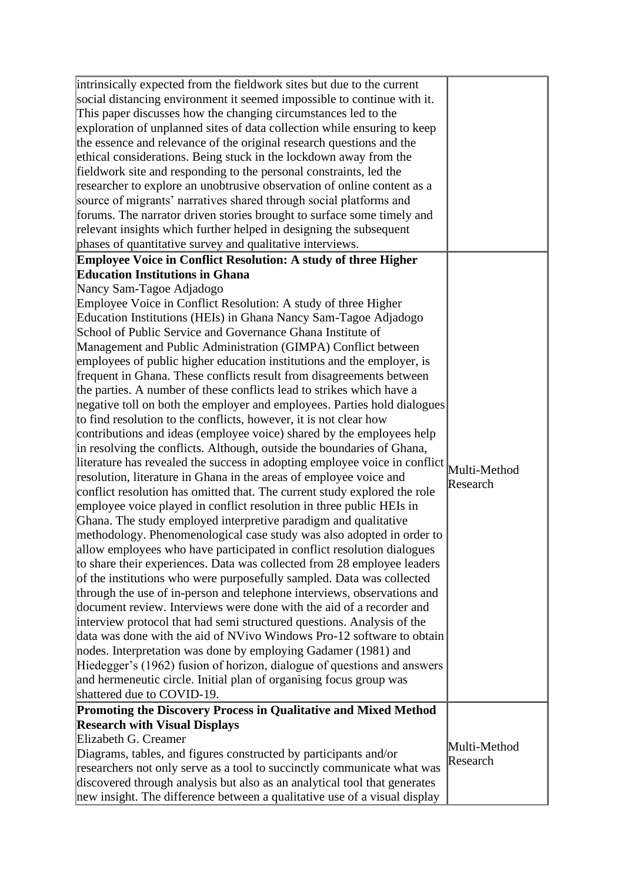| intrinsically expected from the fieldwork sites but due to the current<br>social distancing environment it seemed impossible to continue with it.<br>This paper discusses how the changing circumstances led to the<br>exploration of unplanned sites of data collection while ensuring to keep<br>the essence and relevance of the original research questions and the<br>ethical considerations. Being stuck in the lockdown away from the<br>fieldwork site and responding to the personal constraints, led the<br>researcher to explore an unobtrusive observation of online content as a<br>source of migrants' narratives shared through social platforms and<br>forums. The narrator driven stories brought to surface some timely and<br>relevant insights which further helped in designing the subsequent<br>phases of quantitative survey and qualitative interviews. |              |
|----------------------------------------------------------------------------------------------------------------------------------------------------------------------------------------------------------------------------------------------------------------------------------------------------------------------------------------------------------------------------------------------------------------------------------------------------------------------------------------------------------------------------------------------------------------------------------------------------------------------------------------------------------------------------------------------------------------------------------------------------------------------------------------------------------------------------------------------------------------------------------|--------------|
| Employee Voice in Conflict Resolution: A study of three Higher                                                                                                                                                                                                                                                                                                                                                                                                                                                                                                                                                                                                                                                                                                                                                                                                                   |              |
| <b>Education Institutions in Ghana</b>                                                                                                                                                                                                                                                                                                                                                                                                                                                                                                                                                                                                                                                                                                                                                                                                                                           |              |
| Nancy Sam-Tagoe Adjadogo                                                                                                                                                                                                                                                                                                                                                                                                                                                                                                                                                                                                                                                                                                                                                                                                                                                         |              |
| Employee Voice in Conflict Resolution: A study of three Higher                                                                                                                                                                                                                                                                                                                                                                                                                                                                                                                                                                                                                                                                                                                                                                                                                   |              |
| Education Institutions (HEIs) in Ghana Nancy Sam-Tagoe Adjadogo                                                                                                                                                                                                                                                                                                                                                                                                                                                                                                                                                                                                                                                                                                                                                                                                                  |              |
| School of Public Service and Governance Ghana Institute of                                                                                                                                                                                                                                                                                                                                                                                                                                                                                                                                                                                                                                                                                                                                                                                                                       |              |
| Management and Public Administration (GIMPA) Conflict between                                                                                                                                                                                                                                                                                                                                                                                                                                                                                                                                                                                                                                                                                                                                                                                                                    |              |
| employees of public higher education institutions and the employer, is                                                                                                                                                                                                                                                                                                                                                                                                                                                                                                                                                                                                                                                                                                                                                                                                           |              |
| frequent in Ghana. These conflicts result from disagreements between                                                                                                                                                                                                                                                                                                                                                                                                                                                                                                                                                                                                                                                                                                                                                                                                             |              |
| the parties. A number of these conflicts lead to strikes which have a                                                                                                                                                                                                                                                                                                                                                                                                                                                                                                                                                                                                                                                                                                                                                                                                            |              |
| negative toll on both the employer and employees. Parties hold dialogues                                                                                                                                                                                                                                                                                                                                                                                                                                                                                                                                                                                                                                                                                                                                                                                                         |              |
| to find resolution to the conflicts, however, it is not clear how                                                                                                                                                                                                                                                                                                                                                                                                                                                                                                                                                                                                                                                                                                                                                                                                                |              |
| contributions and ideas (employee voice) shared by the employees help                                                                                                                                                                                                                                                                                                                                                                                                                                                                                                                                                                                                                                                                                                                                                                                                            |              |
| in resolving the conflicts. Although, outside the boundaries of Ghana,                                                                                                                                                                                                                                                                                                                                                                                                                                                                                                                                                                                                                                                                                                                                                                                                           |              |
| literature has revealed the success in adopting employee voice in conflict Multi-Method                                                                                                                                                                                                                                                                                                                                                                                                                                                                                                                                                                                                                                                                                                                                                                                          |              |
| resolution, literature in Ghana in the areas of employee voice and                                                                                                                                                                                                                                                                                                                                                                                                                                                                                                                                                                                                                                                                                                                                                                                                               | Research     |
| conflict resolution has omitted that. The current study explored the role                                                                                                                                                                                                                                                                                                                                                                                                                                                                                                                                                                                                                                                                                                                                                                                                        |              |
| employee voice played in conflict resolution in three public HEIs in                                                                                                                                                                                                                                                                                                                                                                                                                                                                                                                                                                                                                                                                                                                                                                                                             |              |
| Ghana. The study employed interpretive paradigm and qualitative                                                                                                                                                                                                                                                                                                                                                                                                                                                                                                                                                                                                                                                                                                                                                                                                                  |              |
| methodology. Phenomenological case study was also adopted in order to                                                                                                                                                                                                                                                                                                                                                                                                                                                                                                                                                                                                                                                                                                                                                                                                            |              |
| allow employees who have participated in conflict resolution dialogues                                                                                                                                                                                                                                                                                                                                                                                                                                                                                                                                                                                                                                                                                                                                                                                                           |              |
| to share their experiences. Data was collected from 28 employee leaders                                                                                                                                                                                                                                                                                                                                                                                                                                                                                                                                                                                                                                                                                                                                                                                                          |              |
| of the institutions who were purposefully sampled. Data was collected                                                                                                                                                                                                                                                                                                                                                                                                                                                                                                                                                                                                                                                                                                                                                                                                            |              |
| through the use of in-person and telephone interviews, observations and                                                                                                                                                                                                                                                                                                                                                                                                                                                                                                                                                                                                                                                                                                                                                                                                          |              |
| document review. Interviews were done with the aid of a recorder and                                                                                                                                                                                                                                                                                                                                                                                                                                                                                                                                                                                                                                                                                                                                                                                                             |              |
| interview protocol that had semi structured questions. Analysis of the                                                                                                                                                                                                                                                                                                                                                                                                                                                                                                                                                                                                                                                                                                                                                                                                           |              |
| data was done with the aid of NVivo Windows Pro-12 software to obtain                                                                                                                                                                                                                                                                                                                                                                                                                                                                                                                                                                                                                                                                                                                                                                                                            |              |
| nodes. Interpretation was done by employing Gadamer (1981) and                                                                                                                                                                                                                                                                                                                                                                                                                                                                                                                                                                                                                                                                                                                                                                                                                   |              |
| Hiedegger's (1962) fusion of horizon, dialogue of questions and answers                                                                                                                                                                                                                                                                                                                                                                                                                                                                                                                                                                                                                                                                                                                                                                                                          |              |
| and hermeneutic circle. Initial plan of organising focus group was                                                                                                                                                                                                                                                                                                                                                                                                                                                                                                                                                                                                                                                                                                                                                                                                               |              |
| shattered due to COVID-19.                                                                                                                                                                                                                                                                                                                                                                                                                                                                                                                                                                                                                                                                                                                                                                                                                                                       |              |
| Promoting the Discovery Process in Qualitative and Mixed Method                                                                                                                                                                                                                                                                                                                                                                                                                                                                                                                                                                                                                                                                                                                                                                                                                  |              |
| <b>Research with Visual Displays</b>                                                                                                                                                                                                                                                                                                                                                                                                                                                                                                                                                                                                                                                                                                                                                                                                                                             |              |
| Elizabeth G. Creamer                                                                                                                                                                                                                                                                                                                                                                                                                                                                                                                                                                                                                                                                                                                                                                                                                                                             | Multi-Method |
| Diagrams, tables, and figures constructed by participants and/or                                                                                                                                                                                                                                                                                                                                                                                                                                                                                                                                                                                                                                                                                                                                                                                                                 | Research     |
| researchers not only serve as a tool to succinctly communicate what was                                                                                                                                                                                                                                                                                                                                                                                                                                                                                                                                                                                                                                                                                                                                                                                                          |              |
| discovered through analysis but also as an analytical tool that generates                                                                                                                                                                                                                                                                                                                                                                                                                                                                                                                                                                                                                                                                                                                                                                                                        |              |
| new insight. The difference between a qualitative use of a visual display                                                                                                                                                                                                                                                                                                                                                                                                                                                                                                                                                                                                                                                                                                                                                                                                        |              |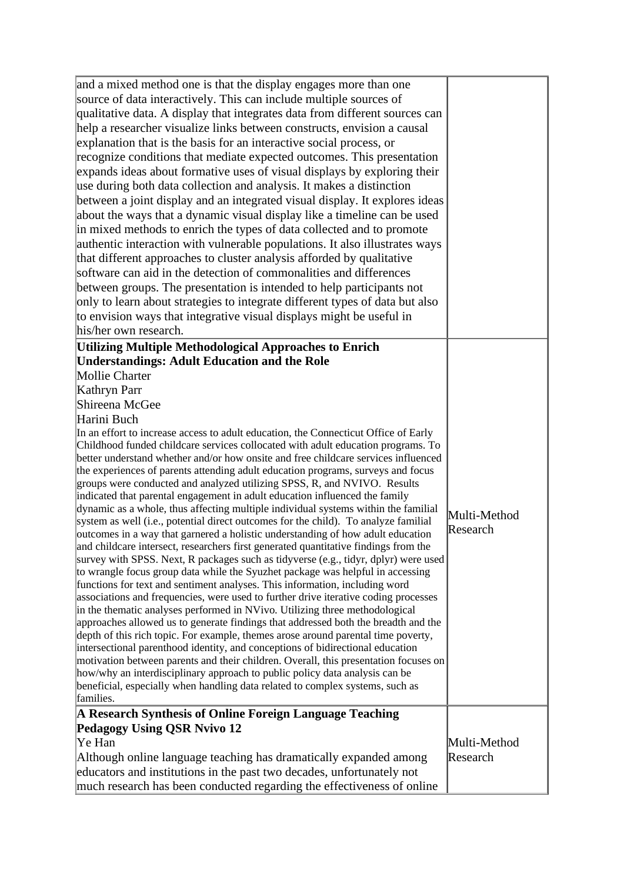| and a mixed method one is that the display engages more than one                                                                                                        |              |
|-------------------------------------------------------------------------------------------------------------------------------------------------------------------------|--------------|
| source of data interactively. This can include multiple sources of                                                                                                      |              |
| qualitative data. A display that integrates data from different sources can                                                                                             |              |
| help a researcher visualize links between constructs, envision a causal                                                                                                 |              |
| explanation that is the basis for an interactive social process, or                                                                                                     |              |
| recognize conditions that mediate expected outcomes. This presentation                                                                                                  |              |
| expands ideas about formative uses of visual displays by exploring their                                                                                                |              |
| use during both data collection and analysis. It makes a distinction                                                                                                    |              |
| between a joint display and an integrated visual display. It explores ideas                                                                                             |              |
| about the ways that a dynamic visual display like a timeline can be used                                                                                                |              |
| in mixed methods to enrich the types of data collected and to promote                                                                                                   |              |
| authentic interaction with vulnerable populations. It also illustrates ways                                                                                             |              |
| that different approaches to cluster analysis afforded by qualitative                                                                                                   |              |
| software can aid in the detection of commonalities and differences                                                                                                      |              |
| between groups. The presentation is intended to help participants not                                                                                                   |              |
| only to learn about strategies to integrate different types of data but also                                                                                            |              |
| to envision ways that integrative visual displays might be useful in                                                                                                    |              |
| his/her own research.                                                                                                                                                   |              |
| <b>Utilizing Multiple Methodological Approaches to Enrich</b>                                                                                                           |              |
| <b>Understandings: Adult Education and the Role</b>                                                                                                                     |              |
| Mollie Charter                                                                                                                                                          |              |
|                                                                                                                                                                         |              |
| Kathryn Parr                                                                                                                                                            |              |
| Shireena McGee                                                                                                                                                          |              |
| Harini Buch                                                                                                                                                             |              |
| In an effort to increase access to adult education, the Connecticut Office of Early<br>Childhood funded childcare services collocated with adult education programs. To |              |
| better understand whether and/or how onsite and free childcare services influenced                                                                                      |              |
| the experiences of parents attending adult education programs, surveys and focus                                                                                        |              |
| groups were conducted and analyzed utilizing SPSS, R, and NVIVO. Results                                                                                                |              |
| indicated that parental engagement in adult education influenced the family                                                                                             |              |
| dynamic as a whole, thus affecting multiple individual systems within the familial                                                                                      | Multi-Method |
| system as well (i.e., potential direct outcomes for the child). To analyze familial                                                                                     | Research     |
| outcomes in a way that garnered a holistic understanding of how adult education                                                                                         |              |
| and childcare intersect, researchers first generated quantitative findings from the                                                                                     |              |
| survey with SPSS. Next, R packages such as tidyverse (e.g., tidyr, dplyr) were used                                                                                     |              |
| to wrangle focus group data while the Syuzhet package was helpful in accessing<br>functions for text and sentiment analyses. This information, including word           |              |
| associations and frequencies, were used to further drive iterative coding processes                                                                                     |              |
| in the thematic analyses performed in NVivo. Utilizing three methodological                                                                                             |              |
| approaches allowed us to generate findings that addressed both the breadth and the                                                                                      |              |
| depth of this rich topic. For example, themes arose around parental time poverty,                                                                                       |              |
| intersectional parenthood identity, and conceptions of bidirectional education                                                                                          |              |
| motivation between parents and their children. Overall, this presentation focuses on                                                                                    |              |
| how/why an interdisciplinary approach to public policy data analysis can be                                                                                             |              |
| beneficial, especially when handling data related to complex systems, such as                                                                                           |              |
| families.                                                                                                                                                               |              |
| A Research Synthesis of Online Foreign Language Teaching                                                                                                                |              |
| <b>Pedagogy Using QSR Nvivo 12</b>                                                                                                                                      |              |
| Ye Han                                                                                                                                                                  | Multi-Method |
| Although online language teaching has dramatically expanded among                                                                                                       | Research     |
| educators and institutions in the past two decades, unfortunately not                                                                                                   |              |
| much research has been conducted regarding the effectiveness of online                                                                                                  |              |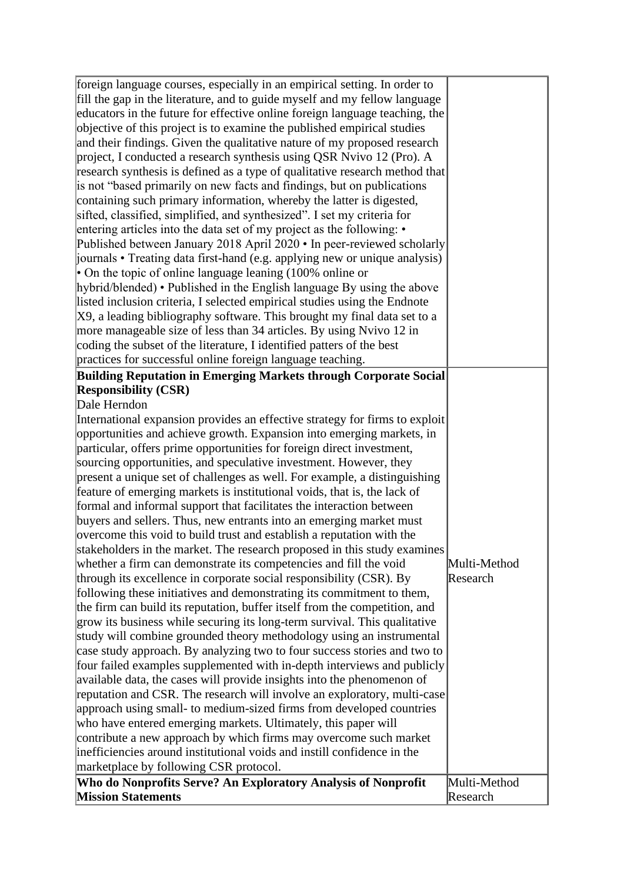| foreign language courses, especially in an empirical setting. In order to<br>fill the gap in the literature, and to guide myself and my fellow language |              |
|---------------------------------------------------------------------------------------------------------------------------------------------------------|--------------|
|                                                                                                                                                         |              |
| educators in the future for effective online foreign language teaching, the                                                                             |              |
| objective of this project is to examine the published empirical studies                                                                                 |              |
| and their findings. Given the qualitative nature of my proposed research                                                                                |              |
| project, I conducted a research synthesis using QSR Nvivo 12 (Pro). A                                                                                   |              |
| research synthesis is defined as a type of qualitative research method that                                                                             |              |
| is not "based primarily on new facts and findings, but on publications                                                                                  |              |
| containing such primary information, whereby the latter is digested,                                                                                    |              |
| sifted, classified, simplified, and synthesized". I set my criteria for                                                                                 |              |
| entering articles into the data set of my project as the following: •                                                                                   |              |
| Published between January 2018 April 2020 • In peer-reviewed scholarly                                                                                  |              |
| journals • Treating data first-hand (e.g. applying new or unique analysis)                                                                              |              |
| • On the topic of online language leaning $(100\%$ online or                                                                                            |              |
| hybrid/blended) • Published in the English language By using the above                                                                                  |              |
| listed inclusion criteria, I selected empirical studies using the Endnote                                                                               |              |
| X9, a leading bibliography software. This brought my final data set to a                                                                                |              |
| more manageable size of less than 34 articles. By using Nvivo 12 in                                                                                     |              |
| coding the subset of the literature, I identified patters of the best                                                                                   |              |
| practices for successful online foreign language teaching.                                                                                              |              |
| Building Reputation in Emerging Markets through Corporate Social                                                                                        |              |
| <b>Responsibility (CSR)</b>                                                                                                                             |              |
| Dale Herndon                                                                                                                                            |              |
| International expansion provides an effective strategy for firms to exploit                                                                             |              |
| opportunities and achieve growth. Expansion into emerging markets, in                                                                                   |              |
| particular, offers prime opportunities for foreign direct investment,                                                                                   |              |
| sourcing opportunities, and speculative investment. However, they                                                                                       |              |
| present a unique set of challenges as well. For example, a distinguishing                                                                               |              |
| feature of emerging markets is institutional voids, that is, the lack of                                                                                |              |
| formal and informal support that facilitates the interaction between                                                                                    |              |
| buyers and sellers. Thus, new entrants into an emerging market must                                                                                     |              |
| overcome this void to build trust and establish a reputation with the                                                                                   |              |
| stakeholders in the market. The research proposed in this study examines                                                                                |              |
| whether a firm can demonstrate its competencies and fill the void                                                                                       | Multi-Method |
| through its excellence in corporate social responsibility (CSR). By                                                                                     | Research     |
| following these initiatives and demonstrating its commitment to them,                                                                                   |              |
| the firm can build its reputation, buffer itself from the competition, and                                                                              |              |
| grow its business while securing its long-term survival. This qualitative                                                                               |              |
| study will combine grounded theory methodology using an instrumental                                                                                    |              |
| case study approach. By analyzing two to four success stories and two to                                                                                |              |
| four failed examples supplemented with in-depth interviews and publicly                                                                                 |              |
| available data, the cases will provide insights into the phenomenon of                                                                                  |              |
| reputation and CSR. The research will involve an exploratory, multi-case                                                                                |              |
| approach using small- to medium-sized firms from developed countries                                                                                    |              |
| who have entered emerging markets. Ultimately, this paper will                                                                                          |              |
| contribute a new approach by which firms may overcome such market                                                                                       |              |
| inefficiencies around institutional voids and instill confidence in the                                                                                 |              |
| marketplace by following CSR protocol.                                                                                                                  |              |
| Who do Nonprofits Serve? An Exploratory Analysis of Nonprofit                                                                                           | Multi-Method |
| <b>Mission Statements</b>                                                                                                                               | Research     |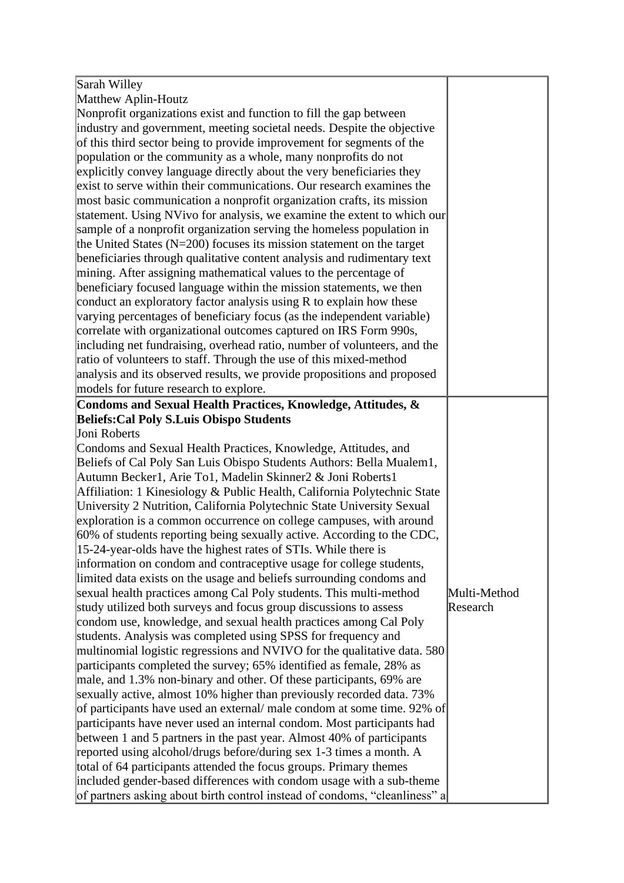| Sarah Willey                                                               |              |
|----------------------------------------------------------------------------|--------------|
| Matthew Aplin-Houtz                                                        |              |
| Nonprofit organizations exist and function to fill the gap between         |              |
| industry and government, meeting societal needs. Despite the objective     |              |
| of this third sector being to provide improvement for segments of the      |              |
| population or the community as a whole, many nonprofits do not             |              |
| explicitly convey language directly about the very beneficiaries they      |              |
| exist to serve within their communications. Our research examines the      |              |
| most basic communication a nonprofit organization crafts, its mission      |              |
| statement. Using NVivo for analysis, we examine the extent to which our    |              |
| sample of a nonprofit organization serving the homeless population in      |              |
| the United States ( $N=200$ ) focuses its mission statement on the target  |              |
| beneficiaries through qualitative content analysis and rudimentary text    |              |
| mining. After assigning mathematical values to the percentage of           |              |
| beneficiary focused language within the mission statements, we then        |              |
| conduct an exploratory factor analysis using R to explain how these        |              |
| varying percentages of beneficiary focus (as the independent variable)     |              |
| correlate with organizational outcomes captured on IRS Form 990s,          |              |
| including net fundraising, overhead ratio, number of volunteers, and the   |              |
| ratio of volunteers to staff. Through the use of this mixed-method         |              |
| analysis and its observed results, we provide propositions and proposed    |              |
| models for future research to explore.                                     |              |
| Condoms and Sexual Health Practices, Knowledge, Attitudes, &               |              |
| <b>Beliefs: Cal Poly S.Luis Obispo Students</b>                            |              |
| Joni Roberts                                                               |              |
| Condoms and Sexual Health Practices, Knowledge, Attitudes, and             |              |
| Beliefs of Cal Poly San Luis Obispo Students Authors: Bella Mualem1,       |              |
| Autumn Becker1, Arie To1, Madelin Skinner2 & Joni Roberts1                 |              |
| Affiliation: 1 Kinesiology & Public Health, California Polytechnic State   |              |
| University 2 Nutrition, California Polytechnic State University Sexual     |              |
| exploration is a common occurrence on college campuses, with around        |              |
| 60% of students reporting being sexually active. According to the CDC,     |              |
| 15-24-year-olds have the highest rates of STIs. While there is             |              |
| information on condom and contraceptive usage for college students,        |              |
| limited data exists on the usage and beliefs surrounding condoms and       |              |
| sexual health practices among Cal Poly students. This multi-method         | Multi-Method |
| study utilized both surveys and focus group discussions to assess          | Research     |
| condom use, knowledge, and sexual health practices among Cal Poly          |              |
| students. Analysis was completed using SPSS for frequency and              |              |
| multinomial logistic regressions and NVIVO for the qualitative data. 580   |              |
| participants completed the survey; 65% identified as female, 28% as        |              |
| male, and 1.3% non-binary and other. Of these participants, 69% are        |              |
| sexually active, almost 10% higher than previously recorded data. 73%      |              |
| of participants have used an external/ male condom at some time. 92% of    |              |
| participants have never used an internal condom. Most participants had     |              |
| between 1 and 5 partners in the past year. Almost 40% of participants      |              |
| reported using alcohol/drugs before/during sex 1-3 times a month. A        |              |
| total of 64 participants attended the focus groups. Primary themes         |              |
| included gender-based differences with condom usage with a sub-theme       |              |
| of partners asking about birth control instead of condoms, "cleanliness" a |              |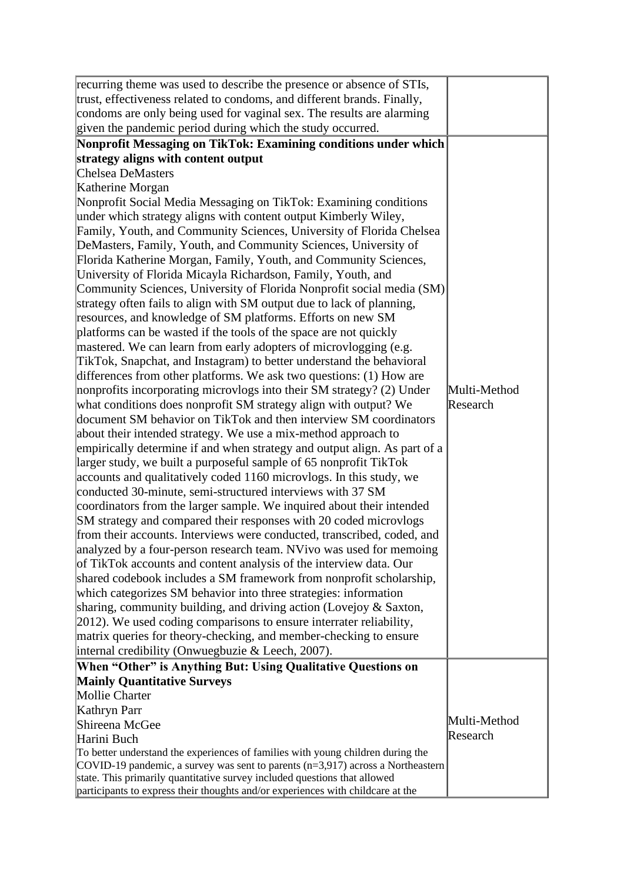| recurring theme was used to describe the presence or absence of STIs,                    |              |
|------------------------------------------------------------------------------------------|--------------|
| trust, effectiveness related to condoms, and different brands. Finally,                  |              |
| condoms are only being used for vaginal sex. The results are alarming                    |              |
| given the pandemic period during which the study occurred.                               |              |
| Nonprofit Messaging on TikTok: Examining conditions under which                          |              |
| strategy aligns with content output                                                      |              |
| Chelsea DeMasters                                                                        |              |
| Katherine Morgan                                                                         |              |
| Nonprofit Social Media Messaging on TikTok: Examining conditions                         |              |
| under which strategy aligns with content output Kimberly Wiley,                          |              |
| Family, Youth, and Community Sciences, University of Florida Chelsea                     |              |
| DeMasters, Family, Youth, and Community Sciences, University of                          |              |
| Florida Katherine Morgan, Family, Youth, and Community Sciences,                         |              |
| University of Florida Micayla Richardson, Family, Youth, and                             |              |
| Community Sciences, University of Florida Nonprofit social media (SM)                    |              |
| strategy often fails to align with SM output due to lack of planning,                    |              |
| resources, and knowledge of SM platforms. Efforts on new SM                              |              |
| platforms can be wasted if the tools of the space are not quickly                        |              |
| mastered. We can learn from early adopters of microvlogging (e.g.                        |              |
| TikTok, Snapchat, and Instagram) to better understand the behavioral                     |              |
| differences from other platforms. We ask two questions: (1) How are                      |              |
| nonprofits incorporating microvlogs into their SM strategy? (2) Under                    | Multi-Method |
| what conditions does nonprofit SM strategy align with output? We                         | Research     |
| document SM behavior on TikTok and then interview SM coordinators                        |              |
| about their intended strategy. We use a mix-method approach to                           |              |
| empirically determine if and when strategy and output align. As part of a                |              |
| larger study, we built a purposeful sample of 65 nonprofit TikTok                        |              |
| accounts and qualitatively coded 1160 microvlogs. In this study, we                      |              |
| conducted 30-minute, semi-structured interviews with 37 SM                               |              |
| coordinators from the larger sample. We inquired about their intended                    |              |
| SM strategy and compared their responses with 20 coded microvlogs                        |              |
| from their accounts. Interviews were conducted, transcribed, coded, and                  |              |
| analyzed by a four-person research team. NVivo was used for memoing                      |              |
| of TikTok accounts and content analysis of the interview data. Our                       |              |
| shared codebook includes a SM framework from nonprofit scholarship,                      |              |
| which categorizes SM behavior into three strategies: information                         |              |
| sharing, community building, and driving action (Lovejoy & Saxton,                       |              |
| [2012]. We used coding comparisons to ensure interrater reliability,                     |              |
| matrix queries for theory-checking, and member-checking to ensure                        |              |
| internal credibility (Onwuegbuzie & Leech, 2007).                                        |              |
| When "Other" is Anything But: Using Qualitative Questions on                             |              |
| <b>Mainly Quantitative Surveys</b>                                                       |              |
| Mollie Charter                                                                           |              |
| Kathryn Parr                                                                             |              |
| Shireena McGee                                                                           | Multi-Method |
| Harini Buch                                                                              | Research     |
| To better understand the experiences of families with young children during the          |              |
| $\text{COVID-19}$ pandemic, a survey was sent to parents (n=3,917) across a Northeastern |              |
| state. This primarily quantitative survey included questions that allowed                |              |
| participants to express their thoughts and/or experiences with childcare at the          |              |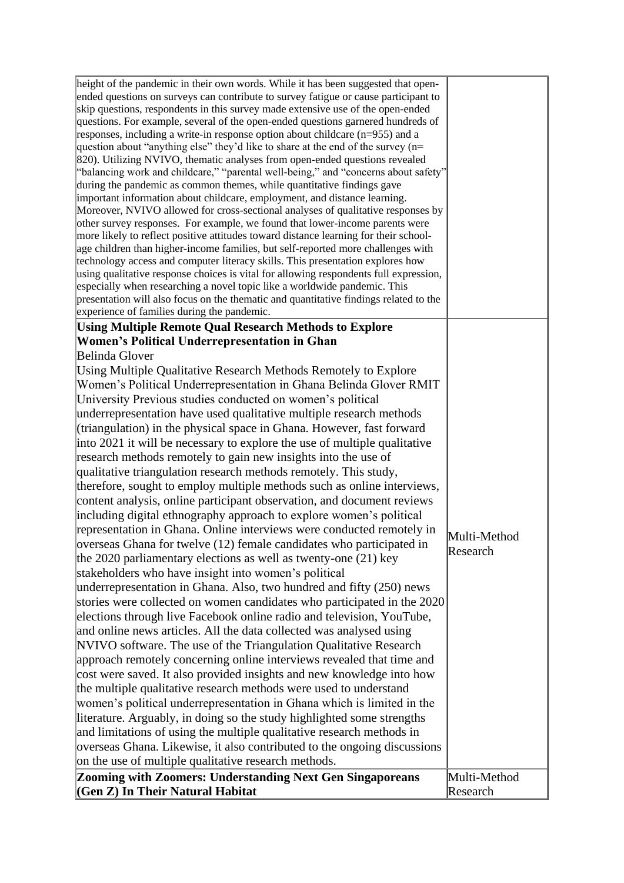| height of the pandemic in their own words. While it has been suggested that open-<br>ended questions on surveys can contribute to survey fatigue or cause participant to<br>skip questions, respondents in this survey made extensive use of the open-ended<br>questions. For example, several of the open-ended questions garnered hundreds of<br>responses, including a write-in response option about childcare $(n=955)$ and a<br>question about "anything else" they'd like to share at the end of the survey $(n=$<br>820). Utilizing NVIVO, thematic analyses from open-ended questions revealed<br>"balancing work and childcare," "parental well-being," and "concerns about safety"<br>during the pandemic as common themes, while quantitative findings gave<br>important information about childcare, employment, and distance learning.<br>Moreover, NVIVO allowed for cross-sectional analyses of qualitative responses by<br>other survey responses. For example, we found that lower-income parents were<br>more likely to reflect positive attitudes toward distance learning for their school-<br>age children than higher-income families, but self-reported more challenges with<br>technology access and computer literacy skills. This presentation explores how<br>using qualitative response choices is vital for allowing respondents full expression,<br>especially when researching a novel topic like a worldwide pandemic. This<br>presentation will also focus on the thematic and quantitative findings related to the |              |
|-------------------------------------------------------------------------------------------------------------------------------------------------------------------------------------------------------------------------------------------------------------------------------------------------------------------------------------------------------------------------------------------------------------------------------------------------------------------------------------------------------------------------------------------------------------------------------------------------------------------------------------------------------------------------------------------------------------------------------------------------------------------------------------------------------------------------------------------------------------------------------------------------------------------------------------------------------------------------------------------------------------------------------------------------------------------------------------------------------------------------------------------------------------------------------------------------------------------------------------------------------------------------------------------------------------------------------------------------------------------------------------------------------------------------------------------------------------------------------------------------------------------------------------------------------|--------------|
| experience of families during the pandemic.                                                                                                                                                                                                                                                                                                                                                                                                                                                                                                                                                                                                                                                                                                                                                                                                                                                                                                                                                                                                                                                                                                                                                                                                                                                                                                                                                                                                                                                                                                           |              |
| <b>Using Multiple Remote Qual Research Methods to Explore</b><br><b>Women's Political Underrepresentation in Ghan</b>                                                                                                                                                                                                                                                                                                                                                                                                                                                                                                                                                                                                                                                                                                                                                                                                                                                                                                                                                                                                                                                                                                                                                                                                                                                                                                                                                                                                                                 |              |
| Belinda Glover                                                                                                                                                                                                                                                                                                                                                                                                                                                                                                                                                                                                                                                                                                                                                                                                                                                                                                                                                                                                                                                                                                                                                                                                                                                                                                                                                                                                                                                                                                                                        |              |
| Using Multiple Qualitative Research Methods Remotely to Explore                                                                                                                                                                                                                                                                                                                                                                                                                                                                                                                                                                                                                                                                                                                                                                                                                                                                                                                                                                                                                                                                                                                                                                                                                                                                                                                                                                                                                                                                                       |              |
| Women's Political Underrepresentation in Ghana Belinda Glover RMIT                                                                                                                                                                                                                                                                                                                                                                                                                                                                                                                                                                                                                                                                                                                                                                                                                                                                                                                                                                                                                                                                                                                                                                                                                                                                                                                                                                                                                                                                                    |              |
| University Previous studies conducted on women's political                                                                                                                                                                                                                                                                                                                                                                                                                                                                                                                                                                                                                                                                                                                                                                                                                                                                                                                                                                                                                                                                                                                                                                                                                                                                                                                                                                                                                                                                                            |              |
| underrepresentation have used qualitative multiple research methods                                                                                                                                                                                                                                                                                                                                                                                                                                                                                                                                                                                                                                                                                                                                                                                                                                                                                                                                                                                                                                                                                                                                                                                                                                                                                                                                                                                                                                                                                   |              |
| (triangulation) in the physical space in Ghana. However, fast forward                                                                                                                                                                                                                                                                                                                                                                                                                                                                                                                                                                                                                                                                                                                                                                                                                                                                                                                                                                                                                                                                                                                                                                                                                                                                                                                                                                                                                                                                                 |              |
| into 2021 it will be necessary to explore the use of multiple qualitative                                                                                                                                                                                                                                                                                                                                                                                                                                                                                                                                                                                                                                                                                                                                                                                                                                                                                                                                                                                                                                                                                                                                                                                                                                                                                                                                                                                                                                                                             |              |
| research methods remotely to gain new insights into the use of                                                                                                                                                                                                                                                                                                                                                                                                                                                                                                                                                                                                                                                                                                                                                                                                                                                                                                                                                                                                                                                                                                                                                                                                                                                                                                                                                                                                                                                                                        |              |
| qualitative triangulation research methods remotely. This study,                                                                                                                                                                                                                                                                                                                                                                                                                                                                                                                                                                                                                                                                                                                                                                                                                                                                                                                                                                                                                                                                                                                                                                                                                                                                                                                                                                                                                                                                                      |              |
| therefore, sought to employ multiple methods such as online interviews,                                                                                                                                                                                                                                                                                                                                                                                                                                                                                                                                                                                                                                                                                                                                                                                                                                                                                                                                                                                                                                                                                                                                                                                                                                                                                                                                                                                                                                                                               |              |
| content analysis, online participant observation, and document reviews                                                                                                                                                                                                                                                                                                                                                                                                                                                                                                                                                                                                                                                                                                                                                                                                                                                                                                                                                                                                                                                                                                                                                                                                                                                                                                                                                                                                                                                                                |              |
| including digital ethnography approach to explore women's political                                                                                                                                                                                                                                                                                                                                                                                                                                                                                                                                                                                                                                                                                                                                                                                                                                                                                                                                                                                                                                                                                                                                                                                                                                                                                                                                                                                                                                                                                   |              |
| representation in Ghana. Online interviews were conducted remotely in                                                                                                                                                                                                                                                                                                                                                                                                                                                                                                                                                                                                                                                                                                                                                                                                                                                                                                                                                                                                                                                                                                                                                                                                                                                                                                                                                                                                                                                                                 |              |
| overseas Ghana for twelve (12) female candidates who participated in                                                                                                                                                                                                                                                                                                                                                                                                                                                                                                                                                                                                                                                                                                                                                                                                                                                                                                                                                                                                                                                                                                                                                                                                                                                                                                                                                                                                                                                                                  | Multi-Method |
|                                                                                                                                                                                                                                                                                                                                                                                                                                                                                                                                                                                                                                                                                                                                                                                                                                                                                                                                                                                                                                                                                                                                                                                                                                                                                                                                                                                                                                                                                                                                                       | Research     |
| the $2020$ parliamentary elections as well as twenty-one $(21)$ key                                                                                                                                                                                                                                                                                                                                                                                                                                                                                                                                                                                                                                                                                                                                                                                                                                                                                                                                                                                                                                                                                                                                                                                                                                                                                                                                                                                                                                                                                   |              |
| stakeholders who have insight into women's political                                                                                                                                                                                                                                                                                                                                                                                                                                                                                                                                                                                                                                                                                                                                                                                                                                                                                                                                                                                                                                                                                                                                                                                                                                                                                                                                                                                                                                                                                                  |              |
| underrepresentation in Ghana. Also, two hundred and fifty (250) news                                                                                                                                                                                                                                                                                                                                                                                                                                                                                                                                                                                                                                                                                                                                                                                                                                                                                                                                                                                                                                                                                                                                                                                                                                                                                                                                                                                                                                                                                  |              |
| stories were collected on women candidates who participated in the 2020                                                                                                                                                                                                                                                                                                                                                                                                                                                                                                                                                                                                                                                                                                                                                                                                                                                                                                                                                                                                                                                                                                                                                                                                                                                                                                                                                                                                                                                                               |              |
| elections through live Facebook online radio and television, YouTube,                                                                                                                                                                                                                                                                                                                                                                                                                                                                                                                                                                                                                                                                                                                                                                                                                                                                                                                                                                                                                                                                                                                                                                                                                                                                                                                                                                                                                                                                                 |              |
| and online news articles. All the data collected was analysed using                                                                                                                                                                                                                                                                                                                                                                                                                                                                                                                                                                                                                                                                                                                                                                                                                                                                                                                                                                                                                                                                                                                                                                                                                                                                                                                                                                                                                                                                                   |              |
| NVIVO software. The use of the Triangulation Qualitative Research                                                                                                                                                                                                                                                                                                                                                                                                                                                                                                                                                                                                                                                                                                                                                                                                                                                                                                                                                                                                                                                                                                                                                                                                                                                                                                                                                                                                                                                                                     |              |
| approach remotely concerning online interviews revealed that time and                                                                                                                                                                                                                                                                                                                                                                                                                                                                                                                                                                                                                                                                                                                                                                                                                                                                                                                                                                                                                                                                                                                                                                                                                                                                                                                                                                                                                                                                                 |              |
| cost were saved. It also provided insights and new knowledge into how                                                                                                                                                                                                                                                                                                                                                                                                                                                                                                                                                                                                                                                                                                                                                                                                                                                                                                                                                                                                                                                                                                                                                                                                                                                                                                                                                                                                                                                                                 |              |
| the multiple qualitative research methods were used to understand                                                                                                                                                                                                                                                                                                                                                                                                                                                                                                                                                                                                                                                                                                                                                                                                                                                                                                                                                                                                                                                                                                                                                                                                                                                                                                                                                                                                                                                                                     |              |
| women's political underrepresentation in Ghana which is limited in the                                                                                                                                                                                                                                                                                                                                                                                                                                                                                                                                                                                                                                                                                                                                                                                                                                                                                                                                                                                                                                                                                                                                                                                                                                                                                                                                                                                                                                                                                |              |
| literature. Arguably, in doing so the study highlighted some strengths                                                                                                                                                                                                                                                                                                                                                                                                                                                                                                                                                                                                                                                                                                                                                                                                                                                                                                                                                                                                                                                                                                                                                                                                                                                                                                                                                                                                                                                                                |              |
| and limitations of using the multiple qualitative research methods in                                                                                                                                                                                                                                                                                                                                                                                                                                                                                                                                                                                                                                                                                                                                                                                                                                                                                                                                                                                                                                                                                                                                                                                                                                                                                                                                                                                                                                                                                 |              |
| overseas Ghana. Likewise, it also contributed to the ongoing discussions                                                                                                                                                                                                                                                                                                                                                                                                                                                                                                                                                                                                                                                                                                                                                                                                                                                                                                                                                                                                                                                                                                                                                                                                                                                                                                                                                                                                                                                                              |              |
| on the use of multiple qualitative research methods.                                                                                                                                                                                                                                                                                                                                                                                                                                                                                                                                                                                                                                                                                                                                                                                                                                                                                                                                                                                                                                                                                                                                                                                                                                                                                                                                                                                                                                                                                                  |              |
| Zooming with Zoomers: Understanding Next Gen Singaporeans                                                                                                                                                                                                                                                                                                                                                                                                                                                                                                                                                                                                                                                                                                                                                                                                                                                                                                                                                                                                                                                                                                                                                                                                                                                                                                                                                                                                                                                                                             | Multi-Method |
| (Gen Z) In Their Natural Habitat                                                                                                                                                                                                                                                                                                                                                                                                                                                                                                                                                                                                                                                                                                                                                                                                                                                                                                                                                                                                                                                                                                                                                                                                                                                                                                                                                                                                                                                                                                                      | Research     |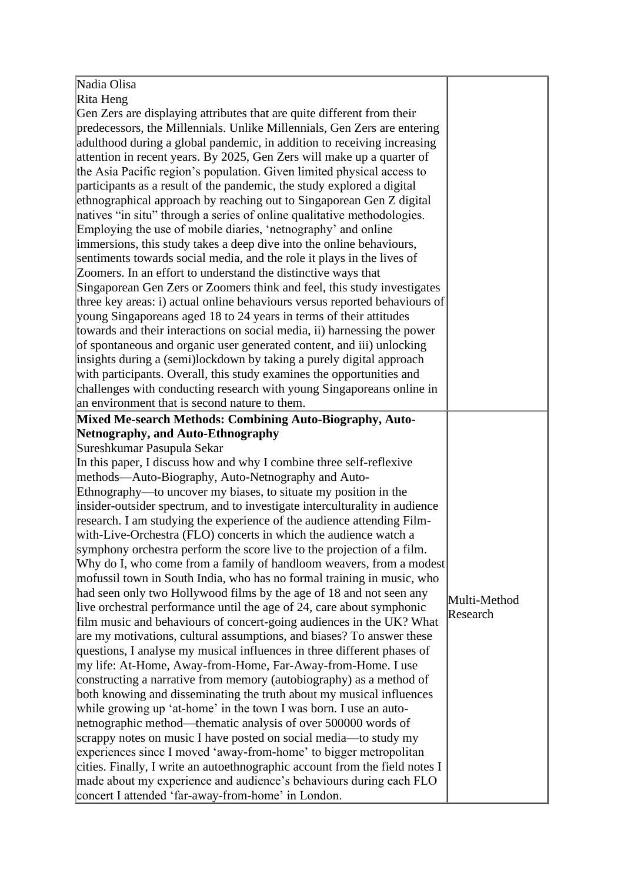| Nadia Olisa                                                                 |              |
|-----------------------------------------------------------------------------|--------------|
| Rita Heng                                                                   |              |
| Gen Zers are displaying attributes that are quite different from their      |              |
| predecessors, the Millennials. Unlike Millennials, Gen Zers are entering    |              |
| adulthood during a global pandemic, in addition to receiving increasing     |              |
| attention in recent years. By 2025, Gen Zers will make up a quarter of      |              |
| the Asia Pacific region's population. Given limited physical access to      |              |
| participants as a result of the pandemic, the study explored a digital      |              |
| ethnographical approach by reaching out to Singaporean Gen Z digital        |              |
| natives "in situ" through a series of online qualitative methodologies.     |              |
| Employing the use of mobile diaries, 'netnography' and online               |              |
| immersions, this study takes a deep dive into the online behaviours,        |              |
| sentiments towards social media, and the role it plays in the lives of      |              |
| Zoomers. In an effort to understand the distinctive ways that               |              |
| Singaporean Gen Zers or Zoomers think and feel, this study investigates     |              |
| three key areas: i) actual online behaviours versus reported behaviours of  |              |
| young Singaporeans aged 18 to 24 years in terms of their attitudes          |              |
| towards and their interactions on social media, ii) harnessing the power    |              |
| of spontaneous and organic user generated content, and iii) unlocking       |              |
| insights during a (semi)lockdown by taking a purely digital approach        |              |
| with participants. Overall, this study examines the opportunities and       |              |
| challenges with conducting research with young Singaporeans online in       |              |
| an environment that is second nature to them.                               |              |
| Mixed Me-search Methods: Combining Auto-Biography, Auto-                    |              |
| Netnography, and Auto-Ethnography                                           |              |
| Sureshkumar Pasupula Sekar                                                  |              |
| In this paper, I discuss how and why I combine three self-reflexive         |              |
| methods—Auto-Biography, Auto-Netnography and Auto-                          |              |
| Ethnography-to uncover my biases, to situate my position in the             |              |
| insider-outsider spectrum, and to investigate interculturality in audience  |              |
| research. I am studying the experience of the audience attending Film-      |              |
| with-Live-Orchestra (FLO) concerts in which the audience watch a            |              |
| symphony orchestra perform the score live to the projection of a film.      |              |
| Why do I, who come from a family of handloom weavers, from a modest         |              |
| mofussil town in South India, who has no formal training in music, who      |              |
| had seen only two Hollywood films by the age of 18 and not seen any         |              |
| live orchestral performance until the age of 24, care about symphonic       | Multi-Method |
|                                                                             | Research     |
| film music and behaviours of concert-going audiences in the UK? What        |              |
| are my motivations, cultural assumptions, and biases? To answer these       |              |
| questions, I analyse my musical influences in three different phases of     |              |
| my life: At-Home, Away-from-Home, Far-Away-from-Home. I use                 |              |
| constructing a narrative from memory (autobiography) as a method of         |              |
| both knowing and disseminating the truth about my musical influences        |              |
| while growing up 'at-home' in the town I was born. I use an auto-           |              |
| netnographic method—thematic analysis of over 500000 words of               |              |
| scrappy notes on music I have posted on social media-to study my            |              |
| experiences since I moved 'away-from-home' to bigger metropolitan           |              |
| cities. Finally, I write an autoethnographic account from the field notes I |              |
| made about my experience and audience's behaviours during each FLO          |              |
| concert I attended 'far-away-from-home' in London.                          |              |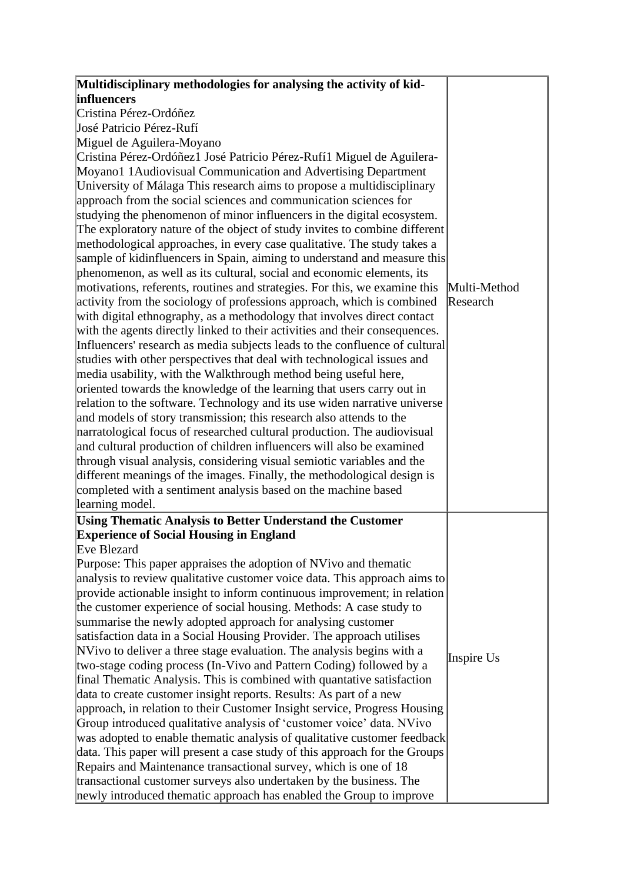| Multidisciplinary methodologies for analysing the activity of kid-          |              |
|-----------------------------------------------------------------------------|--------------|
| influencers                                                                 |              |
| Cristina Pérez-Ordóñez                                                      |              |
| José Patricio Pérez-Rufí                                                    |              |
|                                                                             |              |
| Miguel de Aguilera-Moyano                                                   |              |
| Cristina Pérez-Ordóñez1 José Patricio Pérez-Rufí1 Miguel de Aguilera-       |              |
| Moyano1 1 Audiovisual Communication and Advertising Department              |              |
| University of Málaga This research aims to propose a multidisciplinary      |              |
| approach from the social sciences and communication sciences for            |              |
| studying the phenomenon of minor influencers in the digital ecosystem.      |              |
| The exploratory nature of the object of study invites to combine different  |              |
| methodological approaches, in every case qualitative. The study takes a     |              |
| sample of kidinfluencers in Spain, aiming to understand and measure this    |              |
| phenomenon, as well as its cultural, social and economic elements, its      |              |
| motivations, referents, routines and strategies. For this, we examine this  | Multi-Method |
| activity from the sociology of professions approach, which is combined      | Research     |
| with digital ethnography, as a methodology that involves direct contact     |              |
| with the agents directly linked to their activities and their consequences. |              |
| Influencers' research as media subjects leads to the confluence of cultural |              |
| studies with other perspectives that deal with technological issues and     |              |
| media usability, with the Walkthrough method being useful here,             |              |
| oriented towards the knowledge of the learning that users carry out in      |              |
| relation to the software. Technology and its use widen narrative universe   |              |
| and models of story transmission; this research also attends to the         |              |
| narratological focus of researched cultural production. The audiovisual     |              |
| and cultural production of children influencers will also be examined       |              |
| through visual analysis, considering visual semiotic variables and the      |              |
| different meanings of the images. Finally, the methodological design is     |              |
| completed with a sentiment analysis based on the machine based              |              |
| learning model.                                                             |              |
| <b>Using Thematic Analysis to Better Understand the Customer</b>            |              |
| <b>Experience of Social Housing in England</b>                              |              |
| Eve Blezard                                                                 |              |
| Purpose: This paper appraises the adoption of NVivo and thematic            |              |
| analysis to review qualitative customer voice data. This approach aims to   |              |
| provide actionable insight to inform continuous improvement; in relation    |              |
| the customer experience of social housing. Methods: A case study to         |              |
| summarise the newly adopted approach for analysing customer                 |              |
| satisfaction data in a Social Housing Provider. The approach utilises       |              |
| NVivo to deliver a three stage evaluation. The analysis begins with a       |              |
| two-stage coding process (In-Vivo and Pattern Coding) followed by a         | Inspire Us   |
| final Thematic Analysis. This is combined with quantative satisfaction      |              |
| data to create customer insight reports. Results: As part of a new          |              |
| approach, in relation to their Customer Insight service, Progress Housing   |              |
| Group introduced qualitative analysis of 'customer voice' data. NVivo       |              |
| was adopted to enable thematic analysis of qualitative customer feedback    |              |
| data. This paper will present a case study of this approach for the Groups  |              |
| Repairs and Maintenance transactional survey, which is one of 18            |              |
| transactional customer surveys also undertaken by the business. The         |              |
| newly introduced thematic approach has enabled the Group to improve         |              |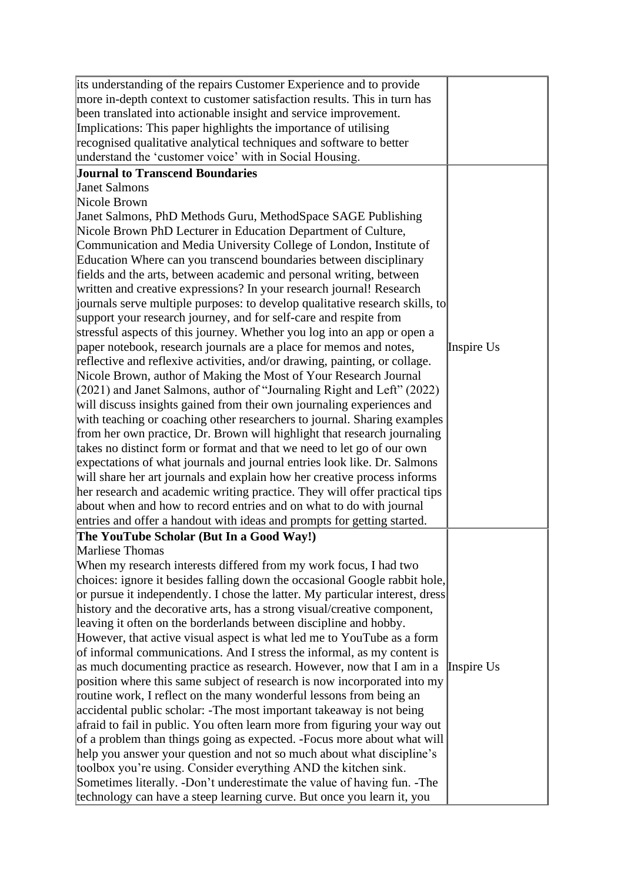| its understanding of the repairs Customer Experience and to provide           |            |
|-------------------------------------------------------------------------------|------------|
| more in-depth context to customer satisfaction results. This in turn has      |            |
| been translated into actionable insight and service improvement.              |            |
| Implications: This paper highlights the importance of utilising               |            |
| recognised qualitative analytical techniques and software to better           |            |
| understand the 'customer voice' with in Social Housing.                       |            |
| <b>Journal to Transcend Boundaries</b>                                        |            |
| <b>Janet Salmons</b>                                                          |            |
| Nicole Brown                                                                  |            |
| Janet Salmons, PhD Methods Guru, MethodSpace SAGE Publishing                  |            |
| Nicole Brown PhD Lecturer in Education Department of Culture,                 |            |
| Communication and Media University College of London, Institute of            |            |
| Education Where can you transcend boundaries between disciplinary             |            |
| fields and the arts, between academic and personal writing, between           |            |
| written and creative expressions? In your research journal! Research          |            |
| journals serve multiple purposes: to develop qualitative research skills, to  |            |
| support your research journey, and for self-care and respite from             |            |
| stressful aspects of this journey. Whether you log into an app or open a      |            |
| paper notebook, research journals are a place for memos and notes,            | Inspire Us |
| reflective and reflexive activities, and/or drawing, painting, or collage.    |            |
| Nicole Brown, author of Making the Most of Your Research Journal              |            |
| (2021) and Janet Salmons, author of "Journaling Right and Left" (2022)        |            |
| will discuss insights gained from their own journaling experiences and        |            |
| with teaching or coaching other researchers to journal. Sharing examples      |            |
| from her own practice, Dr. Brown will highlight that research journaling      |            |
| takes no distinct form or format and that we need to let go of our own        |            |
| expectations of what journals and journal entries look like. Dr. Salmons      |            |
| will share her art journals and explain how her creative process informs      |            |
| her research and academic writing practice. They will offer practical tips    |            |
| about when and how to record entries and on what to do with journal           |            |
| entries and offer a handout with ideas and prompts for getting started.       |            |
| The YouTube Scholar (But In a Good Way!)                                      |            |
| <b>Marliese Thomas</b>                                                        |            |
| When my research interests differed from my work focus, I had two             |            |
| choices: ignore it besides falling down the occasional Google rabbit hole,    |            |
| or pursue it independently. I chose the latter. My particular interest, dress |            |
| history and the decorative arts, has a strong visual/creative component,      |            |
| leaving it often on the borderlands between discipline and hobby.             |            |
| However, that active visual aspect is what led me to YouTube as a form        |            |
| of informal communications. And I stress the informal, as my content is       |            |
| as much documenting practice as research. However, now that I am in a         | Inspire Us |
| position where this same subject of research is now incorporated into my      |            |
| routine work, I reflect on the many wonderful lessons from being an           |            |
| accidental public scholar: -The most important takeaway is not being          |            |
| afraid to fail in public. You often learn more from figuring your way out     |            |
| of a problem than things going as expected. -Focus more about what will       |            |
| help you answer your question and not so much about what discipline's         |            |
| toolbox you're using. Consider everything AND the kitchen sink.               |            |
| Sometimes literally. -Don't underestimate the value of having fun. -The       |            |
| technology can have a steep learning curve. But once you learn it, you        |            |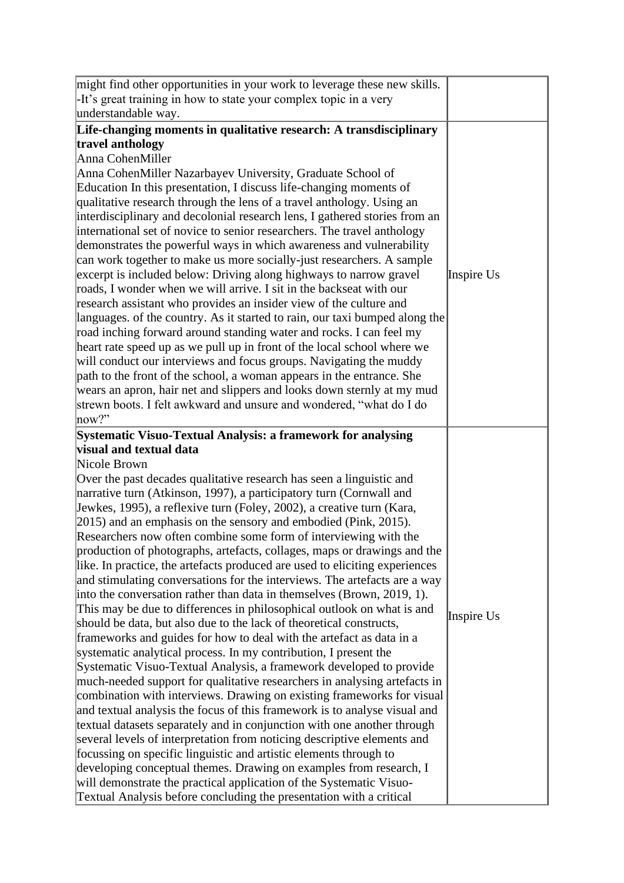| might find other opportunities in your work to leverage these new skills.                                                                     |            |
|-----------------------------------------------------------------------------------------------------------------------------------------------|------------|
| -It's great training in how to state your complex topic in a very                                                                             |            |
| understandable way.                                                                                                                           |            |
| Life-changing moments in qualitative research: A transdisciplinary                                                                            |            |
| travel anthology                                                                                                                              |            |
| Anna CohenMiller                                                                                                                              |            |
| Anna CohenMiller Nazarbayev University, Graduate School of                                                                                    |            |
| Education In this presentation, I discuss life-changing moments of                                                                            |            |
| qualitative research through the lens of a travel anthology. Using an                                                                         |            |
| interdisciplinary and decolonial research lens, I gathered stories from an                                                                    |            |
| international set of novice to senior researchers. The travel anthology                                                                       |            |
| demonstrates the powerful ways in which awareness and vulnerability                                                                           |            |
| can work together to make us more socially-just researchers. A sample                                                                         |            |
| excerpt is included below: Driving along highways to narrow gravel                                                                            | Inspire Us |
| roads, I wonder when we will arrive. I sit in the backseat with our                                                                           |            |
| research assistant who provides an insider view of the culture and                                                                            |            |
| languages. of the country. As it started to rain, our taxi bumped along the                                                                   |            |
| road inching forward around standing water and rocks. I can feel my                                                                           |            |
| heart rate speed up as we pull up in front of the local school where we                                                                       |            |
| will conduct our interviews and focus groups. Navigating the muddy                                                                            |            |
| path to the front of the school, a woman appears in the entrance. She                                                                         |            |
| wears an apron, hair net and slippers and looks down sternly at my mud                                                                        |            |
| strewn boots. I felt awkward and unsure and wondered, "what do I do                                                                           |            |
| now?"                                                                                                                                         |            |
| Systematic Visuo-Textual Analysis: a framework for analysing                                                                                  |            |
| <b>visual and textual data</b>                                                                                                                |            |
| Nicole Brown                                                                                                                                  |            |
| Over the past decades qualitative research has seen a linguistic and                                                                          |            |
| narrative turn (Atkinson, 1997), a participatory turn (Cornwall and                                                                           |            |
| Jewkes, 1995), a reflexive turn (Foley, 2002), a creative turn (Kara,                                                                         |            |
| $(2015)$ and an emphasis on the sensory and embodied (Pink, 2015).                                                                            |            |
| Researchers now often combine some form of interviewing with the                                                                              |            |
| production of photographs, artefacts, collages, maps or drawings and the                                                                      |            |
| like. In practice, the artefacts produced are used to eliciting experiences                                                                   |            |
| and stimulating conversations for the interviews. The artefacts are a way                                                                     |            |
| into the conversation rather than data in themselves (Brown, 2019, 1).                                                                        |            |
| This may be due to differences in philosophical outlook on what is and<br>should be data, but also due to the lack of theoretical constructs, | Inspire Us |
| frameworks and guides for how to deal with the artefact as data in a                                                                          |            |
| systematic analytical process. In my contribution, I present the                                                                              |            |
| Systematic Visuo-Textual Analysis, a framework developed to provide                                                                           |            |
| much-needed support for qualitative researchers in analysing artefacts in                                                                     |            |
| combination with interviews. Drawing on existing frameworks for visual                                                                        |            |
| and textual analysis the focus of this framework is to analyse visual and                                                                     |            |
|                                                                                                                                               |            |
|                                                                                                                                               |            |
| textual datasets separately and in conjunction with one another through                                                                       |            |
| several levels of interpretation from noticing descriptive elements and                                                                       |            |
| focussing on specific linguistic and artistic elements through to                                                                             |            |
| developing conceptual themes. Drawing on examples from research, I<br>will demonstrate the practical application of the Systematic Visuo-     |            |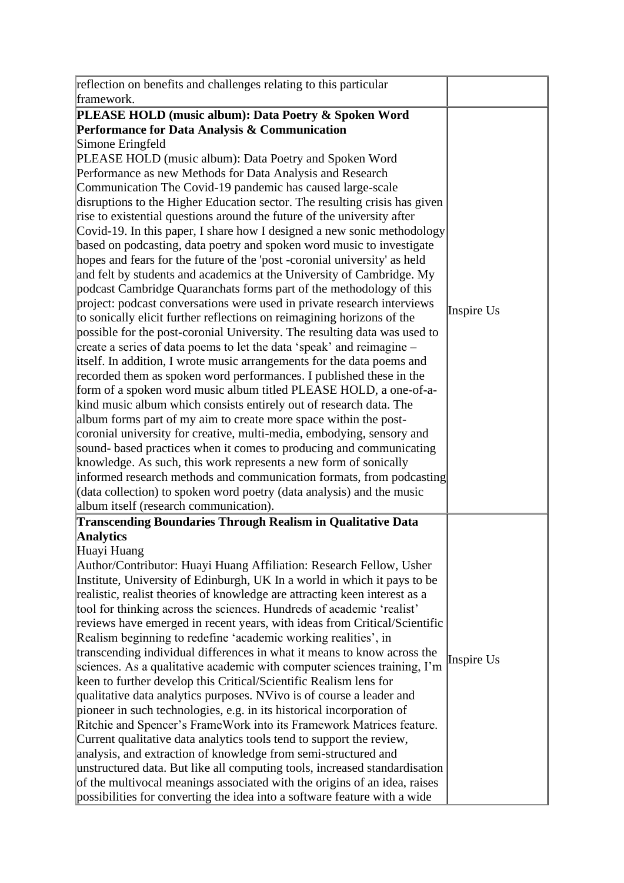| reflection on benefits and challenges relating to this particular                                                                                                                                                                                                                                                                                                                                                                                                                                                                                                                                                                                                                                                                                                                                                                                                                                                                                                                                                                                                                                                                                                                                                                                                                                                                                                                                     |            |
|-------------------------------------------------------------------------------------------------------------------------------------------------------------------------------------------------------------------------------------------------------------------------------------------------------------------------------------------------------------------------------------------------------------------------------------------------------------------------------------------------------------------------------------------------------------------------------------------------------------------------------------------------------------------------------------------------------------------------------------------------------------------------------------------------------------------------------------------------------------------------------------------------------------------------------------------------------------------------------------------------------------------------------------------------------------------------------------------------------------------------------------------------------------------------------------------------------------------------------------------------------------------------------------------------------------------------------------------------------------------------------------------------------|------------|
|                                                                                                                                                                                                                                                                                                                                                                                                                                                                                                                                                                                                                                                                                                                                                                                                                                                                                                                                                                                                                                                                                                                                                                                                                                                                                                                                                                                                       |            |
| framework.<br>PLEASE HOLD (music album): Data Poetry & Spoken Word<br>Performance for Data Analysis & Communication<br>Simone Eringfeld<br>PLEASE HOLD (music album): Data Poetry and Spoken Word<br>Performance as new Methods for Data Analysis and Research<br>Communication The Covid-19 pandemic has caused large-scale<br>disruptions to the Higher Education sector. The resulting crisis has given<br>rise to existential questions around the future of the university after<br>Covid-19. In this paper, I share how I designed a new sonic methodology<br>based on podcasting, data poetry and spoken word music to investigate<br>hopes and fears for the future of the 'post-coronial university' as held<br>and felt by students and academics at the University of Cambridge. My                                                                                                                                                                                                                                                                                                                                                                                                                                                                                                                                                                                                        |            |
| podcast Cambridge Quaranchats forms part of the methodology of this<br>project: podcast conversations were used in private research interviews<br>to sonically elicit further reflections on reimagining horizons of the<br>possible for the post-coronial University. The resulting data was used to<br>create a series of data poems to let the data 'speak' and reimagine –<br>itself. In addition, I wrote music arrangements for the data poems and<br>recorded them as spoken word performances. I published these in the<br>form of a spoken word music album titled PLEASE HOLD, a one-of-a-<br>kind music album which consists entirely out of research data. The<br>album forms part of my aim to create more space within the post-<br>coronial university for creative, multi-media, embodying, sensory and<br>sound-based practices when it comes to producing and communicating<br>knowledge. As such, this work represents a new form of sonically<br>informed research methods and communication formats, from podcasting<br>(data collection) to spoken word poetry (data analysis) and the music<br>album itself (research communication).                                                                                                                                                                                                                                          | Inspire Us |
| <b>Transcending Boundaries Through Realism in Qualitative Data</b><br><b>Analytics</b><br>Huayi Huang<br>Author/Contributor: Huayi Huang Affiliation: Research Fellow, Usher<br>Institute, University of Edinburgh, UK In a world in which it pays to be<br>realistic, realist theories of knowledge are attracting keen interest as a<br>tool for thinking across the sciences. Hundreds of academic 'realist'<br>reviews have emerged in recent years, with ideas from Critical/Scientific<br>Realism beginning to redefine 'academic working realities', in<br>transcending individual differences in what it means to know across the<br>sciences. As a qualitative academic with computer sciences training, I'm<br>keen to further develop this Critical/Scientific Realism lens for<br>qualitative data analytics purposes. NVivo is of course a leader and<br>pioneer in such technologies, e.g. in its historical incorporation of<br>Ritchie and Spencer's FrameWork into its Framework Matrices feature.<br>Current qualitative data analytics tools tend to support the review,<br>analysis, and extraction of knowledge from semi-structured and<br>unstructured data. But like all computing tools, increased standardisation<br>of the multivocal meanings associated with the origins of an idea, raises<br>possibilities for converting the idea into a software feature with a wide | Inspire Us |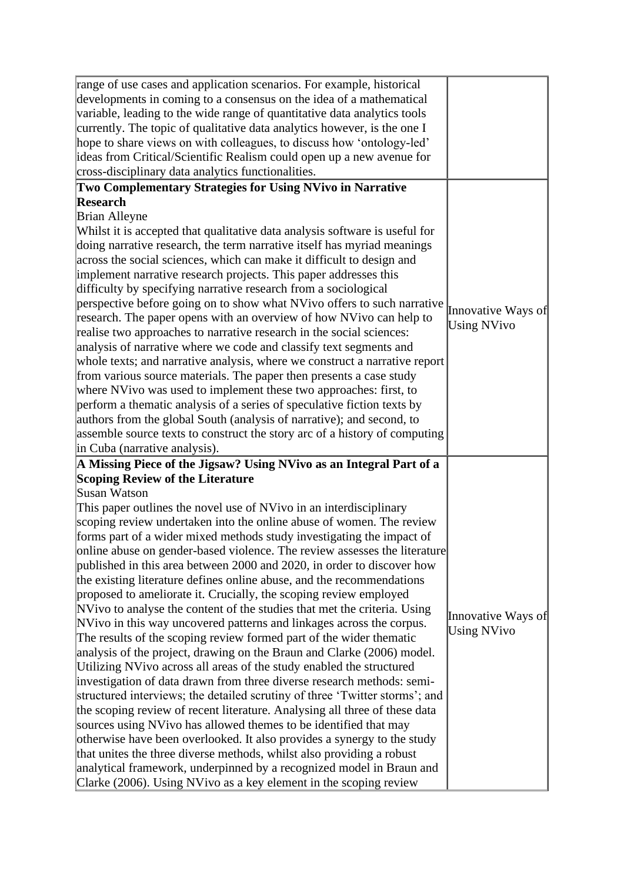| range of use cases and application scenarios. For example, historical       |                    |
|-----------------------------------------------------------------------------|--------------------|
| developments in coming to a consensus on the idea of a mathematical         |                    |
| variable, leading to the wide range of quantitative data analytics tools    |                    |
| currently. The topic of qualitative data analytics however, is the one I    |                    |
| hope to share views on with colleagues, to discuss how 'ontology-led'       |                    |
| ideas from Critical/Scientific Realism could open up a new avenue for       |                    |
| cross-disciplinary data analytics functionalities.                          |                    |
| Two Complementary Strategies for Using NVivo in Narrative                   |                    |
| Research                                                                    |                    |
| Brian Alleyne                                                               |                    |
| Whilst it is accepted that qualitative data analysis software is useful for |                    |
| doing narrative research, the term narrative itself has myriad meanings     |                    |
| across the social sciences, which can make it difficult to design and       |                    |
| implement narrative research projects. This paper addresses this            |                    |
| difficulty by specifying narrative research from a sociological             |                    |
| perspective before going on to show what NVivo offers to such narrative     |                    |
| research. The paper opens with an overview of how NVivo can help to         | Innovative Ways of |
| realise two approaches to narrative research in the social sciences:        | <b>Using NVivo</b> |
| analysis of narrative where we code and classify text segments and          |                    |
| whole texts; and narrative analysis, where we construct a narrative report  |                    |
| from various source materials. The paper then presents a case study         |                    |
| where NVivo was used to implement these two approaches: first, to           |                    |
| perform a thematic analysis of a series of speculative fiction texts by     |                    |
| authors from the global South (analysis of narrative); and second, to       |                    |
| assemble source texts to construct the story arc of a history of computing  |                    |
| in Cuba (narrative analysis).                                               |                    |
| A Missing Piece of the Jigsaw? Using NVivo as an Integral Part of a         |                    |
| <b>Scoping Review of the Literature</b>                                     |                    |
| Susan Watson                                                                |                    |
| This paper outlines the novel use of NVivo in an interdisciplinary          |                    |
| scoping review undertaken into the online abuse of women. The review        |                    |
| forms part of a wider mixed methods study investigating the impact of       |                    |
| online abuse on gender-based violence. The review assesses the literature   |                    |
| published in this area between 2000 and 2020, in order to discover how      |                    |
| the existing literature defines online abuse, and the recommendations       |                    |
| proposed to ameliorate it. Crucially, the scoping review employed           |                    |
| NVivo to analyse the content of the studies that met the criteria. Using    | Innovative Ways of |
| NVivo in this way uncovered patterns and linkages across the corpus.        | <b>Using NVivo</b> |
| The results of the scoping review formed part of the wider thematic         |                    |
| analysis of the project, drawing on the Braun and Clarke (2006) model.      |                    |
| Utilizing NVivo across all areas of the study enabled the structured        |                    |
| investigation of data drawn from three diverse research methods: semi-      |                    |
| structured interviews; the detailed scrutiny of three 'Twitter storms'; and |                    |
| the scoping review of recent literature. Analysing all three of these data  |                    |
| sources using NVivo has allowed themes to be identified that may            |                    |
| otherwise have been overlooked. It also provides a synergy to the study     |                    |
| that unites the three diverse methods, whilst also providing a robust       |                    |
| analytical framework, underpinned by a recognized model in Braun and        |                    |
| Clarke (2006). Using NVivo as a key element in the scoping review           |                    |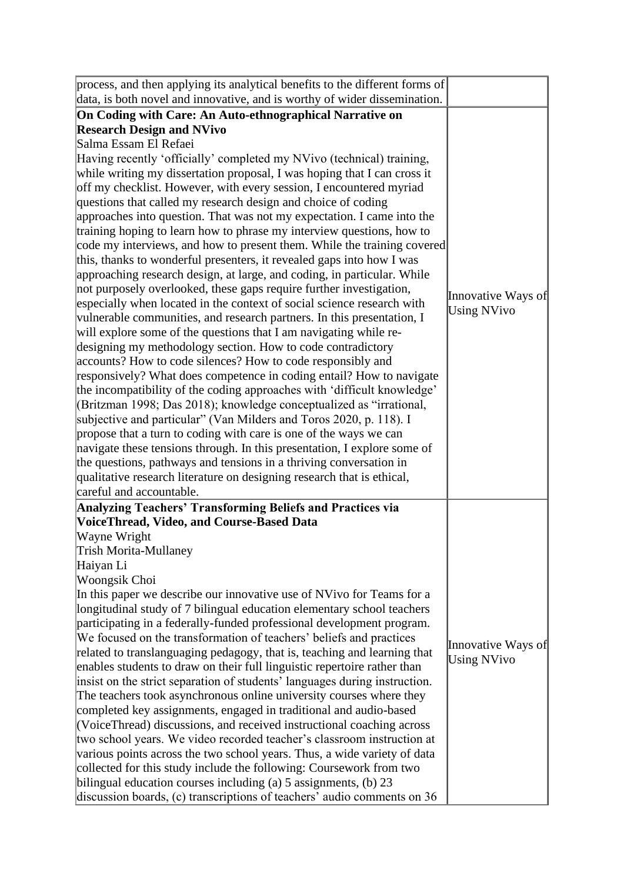| process, and then applying its analytical benefits to the different forms of |                    |
|------------------------------------------------------------------------------|--------------------|
| data, is both novel and innovative, and is worthy of wider dissemination.    |                    |
| On Coding with Care: An Auto-ethnographical Narrative on                     |                    |
| <b>Research Design and NVivo</b>                                             |                    |
| Salma Essam El Refaei                                                        |                    |
| Having recently 'officially' completed my NVivo (technical) training,        |                    |
| while writing my dissertation proposal, I was hoping that I can cross it     |                    |
| off my checklist. However, with every session, I encountered myriad          |                    |
| questions that called my research design and choice of coding                |                    |
| approaches into question. That was not my expectation. I came into the       |                    |
| training hoping to learn how to phrase my interview questions, how to        |                    |
| code my interviews, and how to present them. While the training covered      |                    |
| this, thanks to wonderful presenters, it revealed gaps into how I was        |                    |
| approaching research design, at large, and coding, in particular. While      |                    |
| not purposely overlooked, these gaps require further investigation,          |                    |
| especially when located in the context of social science research with       | Innovative Ways of |
| vulnerable communities, and research partners. In this presentation, I       | <b>Using NVivo</b> |
| will explore some of the questions that I am navigating while re-            |                    |
| designing my methodology section. How to code contradictory                  |                    |
| accounts? How to code silences? How to code responsibly and                  |                    |
| responsively? What does competence in coding entail? How to navigate         |                    |
| the incompatibility of the coding approaches with 'difficult knowledge'      |                    |
| (Britzman 1998; Das 2018); knowledge conceptualized as "irrational,          |                    |
| subjective and particular" (Van Milders and Toros 2020, p. 118). I           |                    |
| propose that a turn to coding with care is one of the ways we can            |                    |
| navigate these tensions through. In this presentation, I explore some of     |                    |
| the questions, pathways and tensions in a thriving conversation in           |                    |
| qualitative research literature on designing research that is ethical,       |                    |
| careful and accountable.                                                     |                    |
| Analyzing Teachers' Transforming Beliefs and Practices via                   |                    |
| VoiceThread, Video, and Course-Based Data                                    |                    |
| Wayne Wright                                                                 |                    |
| Trish Morita-Mullaney                                                        |                    |
| Haiyan Li                                                                    |                    |
| Woongsik Choi                                                                |                    |
| In this paper we describe our innovative use of NVivo for Teams for a        |                    |
| longitudinal study of 7 bilingual education elementary school teachers       |                    |
| participating in a federally-funded professional development program.        |                    |
| We focused on the transformation of teachers' beliefs and practices          | Innovative Ways of |
| related to translanguaging pedagogy, that is, teaching and learning that     | <b>Using NVivo</b> |
| enables students to draw on their full linguistic repertoire rather than     |                    |
| insist on the strict separation of students' languages during instruction.   |                    |
| The teachers took asynchronous online university courses where they          |                    |
| completed key assignments, engaged in traditional and audio-based            |                    |
| (VoiceThread) discussions, and received instructional coaching across        |                    |
| two school years. We video recorded teacher's classroom instruction at       |                    |
| various points across the two school years. Thus, a wide variety of data     |                    |
| collected for this study include the following: Coursework from two          |                    |
| bilingual education courses including (a) $5$ assignments, (b) $23$          |                    |
| discussion boards, (c) transcriptions of teachers' audio comments on 36      |                    |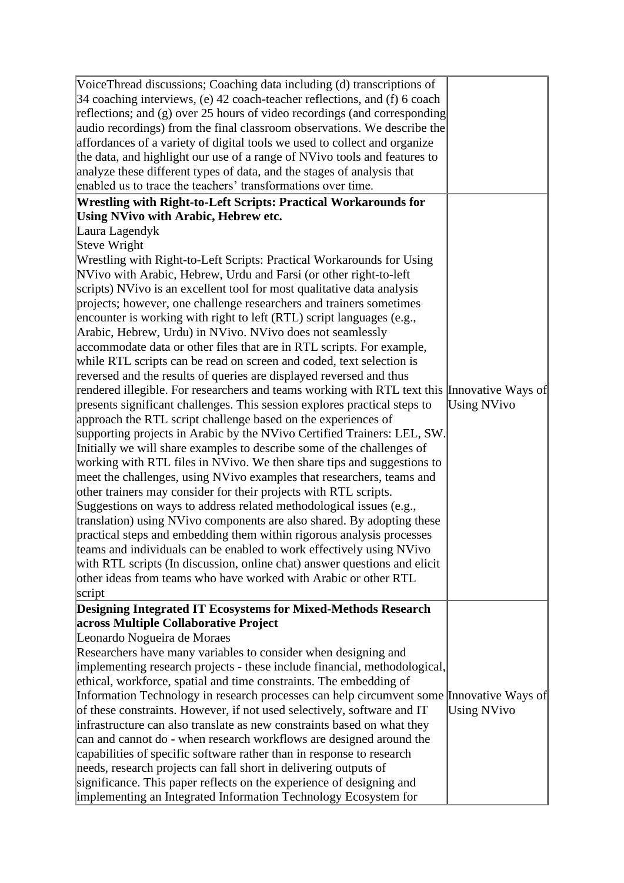| VoiceThread discussions; Coaching data including (d) transcriptions of<br>$34$ coaching interviews, (e) 42 coach-teacher reflections, and (f) 6 coach<br>reflections; and $(g)$ over 25 hours of video recordings (and corresponding<br>audio recordings) from the final classroom observations. We describe the<br>affordances of a variety of digital tools we used to collect and organize<br>the data, and highlight our use of a range of NVivo tools and features to<br>analyze these different types of data, and the stages of analysis that<br>enabled us to trace the teachers' transformations over time. |                    |
|----------------------------------------------------------------------------------------------------------------------------------------------------------------------------------------------------------------------------------------------------------------------------------------------------------------------------------------------------------------------------------------------------------------------------------------------------------------------------------------------------------------------------------------------------------------------------------------------------------------------|--------------------|
| Wrestling with Right-to-Left Scripts: Practical Workarounds for                                                                                                                                                                                                                                                                                                                                                                                                                                                                                                                                                      |                    |
| <b>Using NVivo with Arabic, Hebrew etc.</b>                                                                                                                                                                                                                                                                                                                                                                                                                                                                                                                                                                          |                    |
| Laura Lagendyk<br>Steve Wright                                                                                                                                                                                                                                                                                                                                                                                                                                                                                                                                                                                       |                    |
| Wrestling with Right-to-Left Scripts: Practical Workarounds for Using                                                                                                                                                                                                                                                                                                                                                                                                                                                                                                                                                |                    |
| NVivo with Arabic, Hebrew, Urdu and Farsi (or other right-to-left                                                                                                                                                                                                                                                                                                                                                                                                                                                                                                                                                    |                    |
| scripts) NVivo is an excellent tool for most qualitative data analysis                                                                                                                                                                                                                                                                                                                                                                                                                                                                                                                                               |                    |
| projects; however, one challenge researchers and trainers sometimes                                                                                                                                                                                                                                                                                                                                                                                                                                                                                                                                                  |                    |
| encounter is working with right to left (RTL) script languages (e.g.,                                                                                                                                                                                                                                                                                                                                                                                                                                                                                                                                                |                    |
| Arabic, Hebrew, Urdu) in NVivo. NVivo does not seamlessly                                                                                                                                                                                                                                                                                                                                                                                                                                                                                                                                                            |                    |
| accommodate data or other files that are in RTL scripts. For example,                                                                                                                                                                                                                                                                                                                                                                                                                                                                                                                                                |                    |
| while RTL scripts can be read on screen and coded, text selection is                                                                                                                                                                                                                                                                                                                                                                                                                                                                                                                                                 |                    |
| reversed and the results of queries are displayed reversed and thus                                                                                                                                                                                                                                                                                                                                                                                                                                                                                                                                                  |                    |
| rendered illegible. For researchers and teams working with RTL text this Innovative Ways of                                                                                                                                                                                                                                                                                                                                                                                                                                                                                                                          |                    |
| presents significant challenges. This session explores practical steps to                                                                                                                                                                                                                                                                                                                                                                                                                                                                                                                                            | <b>Using NVivo</b> |
| approach the RTL script challenge based on the experiences of                                                                                                                                                                                                                                                                                                                                                                                                                                                                                                                                                        |                    |
| supporting projects in Arabic by the NVivo Certified Trainers: LEL, SW.                                                                                                                                                                                                                                                                                                                                                                                                                                                                                                                                              |                    |
| Initially we will share examples to describe some of the challenges of                                                                                                                                                                                                                                                                                                                                                                                                                                                                                                                                               |                    |
| working with RTL files in NVivo. We then share tips and suggestions to                                                                                                                                                                                                                                                                                                                                                                                                                                                                                                                                               |                    |
| meet the challenges, using NVivo examples that researchers, teams and                                                                                                                                                                                                                                                                                                                                                                                                                                                                                                                                                |                    |
| other trainers may consider for their projects with RTL scripts.                                                                                                                                                                                                                                                                                                                                                                                                                                                                                                                                                     |                    |
| Suggestions on ways to address related methodological issues (e.g.,                                                                                                                                                                                                                                                                                                                                                                                                                                                                                                                                                  |                    |
| translation) using NVivo components are also shared. By adopting these                                                                                                                                                                                                                                                                                                                                                                                                                                                                                                                                               |                    |
| practical steps and embedding them within rigorous analysis processes                                                                                                                                                                                                                                                                                                                                                                                                                                                                                                                                                |                    |
| teams and individuals can be enabled to work effectively using NVivo                                                                                                                                                                                                                                                                                                                                                                                                                                                                                                                                                 |                    |
| with RTL scripts (In discussion, online chat) answer questions and elicit                                                                                                                                                                                                                                                                                                                                                                                                                                                                                                                                            |                    |
| other ideas from teams who have worked with Arabic or other RTL                                                                                                                                                                                                                                                                                                                                                                                                                                                                                                                                                      |                    |
| script                                                                                                                                                                                                                                                                                                                                                                                                                                                                                                                                                                                                               |                    |
| <b>Designing Integrated IT Ecosystems for Mixed-Methods Research</b><br>across Multiple Collaborative Project                                                                                                                                                                                                                                                                                                                                                                                                                                                                                                        |                    |
| Leonardo Nogueira de Moraes                                                                                                                                                                                                                                                                                                                                                                                                                                                                                                                                                                                          |                    |
| Researchers have many variables to consider when designing and                                                                                                                                                                                                                                                                                                                                                                                                                                                                                                                                                       |                    |
| implementing research projects - these include financial, methodological,                                                                                                                                                                                                                                                                                                                                                                                                                                                                                                                                            |                    |
| ethical, workforce, spatial and time constraints. The embedding of                                                                                                                                                                                                                                                                                                                                                                                                                                                                                                                                                   |                    |
| Information Technology in research processes can help circumvent some Innovative Ways of                                                                                                                                                                                                                                                                                                                                                                                                                                                                                                                             |                    |
| of these constraints. However, if not used selectively, software and IT                                                                                                                                                                                                                                                                                                                                                                                                                                                                                                                                              | <b>Using NVivo</b> |
| infrastructure can also translate as new constraints based on what they                                                                                                                                                                                                                                                                                                                                                                                                                                                                                                                                              |                    |
| can and cannot do - when research workflows are designed around the                                                                                                                                                                                                                                                                                                                                                                                                                                                                                                                                                  |                    |
| capabilities of specific software rather than in response to research                                                                                                                                                                                                                                                                                                                                                                                                                                                                                                                                                |                    |
| needs, research projects can fall short in delivering outputs of                                                                                                                                                                                                                                                                                                                                                                                                                                                                                                                                                     |                    |
| significance. This paper reflects on the experience of designing and                                                                                                                                                                                                                                                                                                                                                                                                                                                                                                                                                 |                    |
| implementing an Integrated Information Technology Ecosystem for                                                                                                                                                                                                                                                                                                                                                                                                                                                                                                                                                      |                    |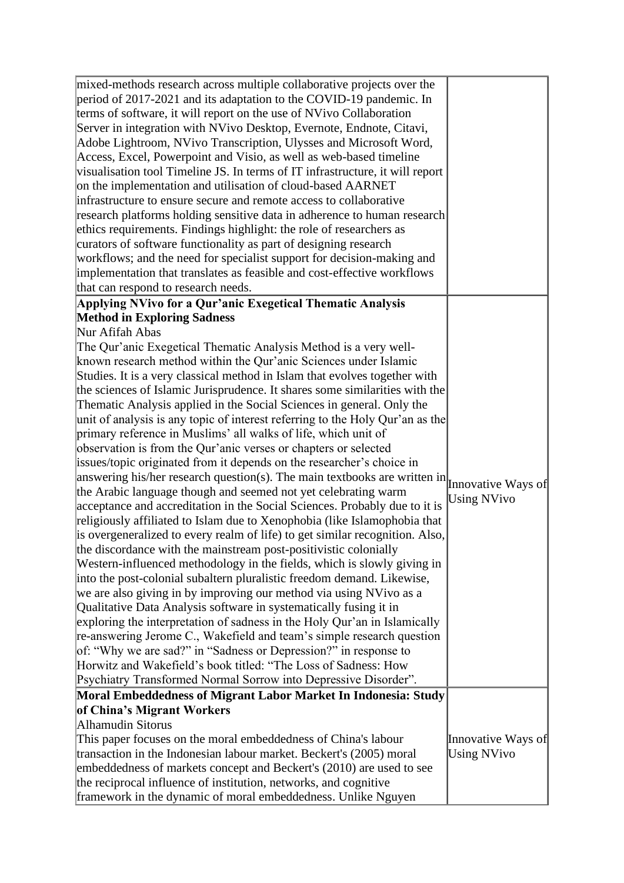| mixed-methods research across multiple collaborative projects over the<br>period of 2017-2021 and its adaptation to the COVID-19 pandemic. In<br>terms of software, it will report on the use of NVivo Collaboration<br>Server in integration with NVivo Desktop, Evernote, Endnote, Citavi,<br>Adobe Lightroom, NVivo Transcription, Ulysses and Microsoft Word,<br>Access, Excel, Powerpoint and Visio, as well as web-based timeline<br>visualisation tool Timeline JS. In terms of IT infrastructure, it will report<br>on the implementation and utilisation of cloud-based AARNET<br>infrastructure to ensure secure and remote access to collaborative<br>research platforms holding sensitive data in adherence to human research<br>ethics requirements. Findings highlight: the role of researchers as<br>curators of software functionality as part of designing research<br>workflows; and the need for specialist support for decision-making and<br>implementation that translates as feasible and cost-effective workflows<br>that can respond to research needs.                                                                                                                                                                                                                                                                                                                                                                                                                                                                                                                                                                                                                                                                                                                                                  |                                          |
|-----------------------------------------------------------------------------------------------------------------------------------------------------------------------------------------------------------------------------------------------------------------------------------------------------------------------------------------------------------------------------------------------------------------------------------------------------------------------------------------------------------------------------------------------------------------------------------------------------------------------------------------------------------------------------------------------------------------------------------------------------------------------------------------------------------------------------------------------------------------------------------------------------------------------------------------------------------------------------------------------------------------------------------------------------------------------------------------------------------------------------------------------------------------------------------------------------------------------------------------------------------------------------------------------------------------------------------------------------------------------------------------------------------------------------------------------------------------------------------------------------------------------------------------------------------------------------------------------------------------------------------------------------------------------------------------------------------------------------------------------------------------------------------------------------------------------------------|------------------------------------------|
| Applying NVivo for a Qur'anic Exegetical Thematic Analysis                                                                                                                                                                                                                                                                                                                                                                                                                                                                                                                                                                                                                                                                                                                                                                                                                                                                                                                                                                                                                                                                                                                                                                                                                                                                                                                                                                                                                                                                                                                                                                                                                                                                                                                                                                        |                                          |
| <b>Method in Exploring Sadness</b><br>Nur Afifah Abas                                                                                                                                                                                                                                                                                                                                                                                                                                                                                                                                                                                                                                                                                                                                                                                                                                                                                                                                                                                                                                                                                                                                                                                                                                                                                                                                                                                                                                                                                                                                                                                                                                                                                                                                                                             |                                          |
| The Qur'anic Exegetical Thematic Analysis Method is a very well-<br>known research method within the Qur'anic Sciences under Islamic<br>Studies. It is a very classical method in Islam that evolves together with<br>the sciences of Islamic Jurisprudence. It shares some similarities with the<br>Thematic Analysis applied in the Social Sciences in general. Only the<br>unit of analysis is any topic of interest referring to the Holy Qur'an as the<br>primary reference in Muslims' all walks of life, which unit of<br>observation is from the Qur'anic verses or chapters or selected<br>issues/topic originated from it depends on the researcher's choice in<br>answering his/her research question(s). The main textbooks are written in $\vert$ Innovative Ways of<br>the Arabic language though and seemed not yet celebrating warm<br>acceptance and accreditation in the Social Sciences. Probably due to it is<br>religiously affiliated to Islam due to Xenophobia (like Islamophobia that<br>is overgeneralized to every realm of life) to get similar recognition. Also,<br>the discordance with the mainstream post-positivistic colonially<br>Western-influenced methodology in the fields, which is slowly giving in<br>into the post-colonial subaltern pluralistic freedom demand. Likewise,<br>we are also giving in by improving our method via using NVivo as a<br>Qualitative Data Analysis software in systematically fusing it in<br>exploring the interpretation of sadness in the Holy Qur'an in Islamically<br>re-answering Jerome C., Wakefield and team's simple research question<br>of: "Why we are sad?" in "Sadness or Depression?" in response to<br>Horwitz and Wakefield's book titled: "The Loss of Sadness: How<br>Psychiatry Transformed Normal Sorrow into Depressive Disorder". | <b>Using NVivo</b>                       |
| Moral Embeddedness of Migrant Labor Market In Indonesia: Study<br>of China's Migrant Workers<br>Alhamudin Sitorus<br>This paper focuses on the moral embeddedness of China's labour<br>transaction in the Indonesian labour market. Beckert's (2005) moral<br>embeddedness of markets concept and Beckert's (2010) are used to see<br>the reciprocal influence of institution, networks, and cognitive<br>framework in the dynamic of moral embeddedness. Unlike Nguyen                                                                                                                                                                                                                                                                                                                                                                                                                                                                                                                                                                                                                                                                                                                                                                                                                                                                                                                                                                                                                                                                                                                                                                                                                                                                                                                                                           | Innovative Ways of<br><b>Using NVivo</b> |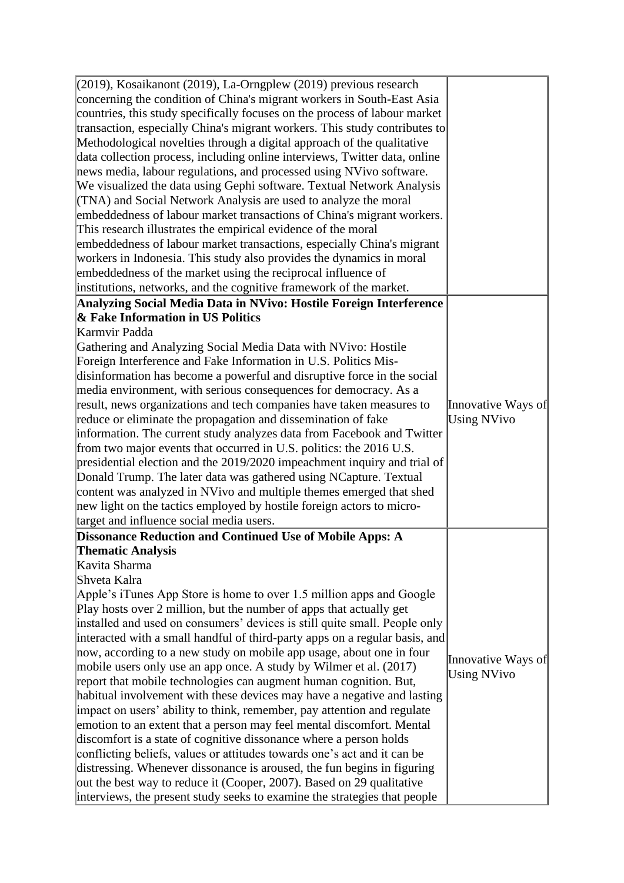| $(2019)$ , Kosaikanont (2019), La-Orngplew (2019) previous research         |                    |
|-----------------------------------------------------------------------------|--------------------|
| concerning the condition of China's migrant workers in South-East Asia      |                    |
| countries, this study specifically focuses on the process of labour market  |                    |
| transaction, especially China's migrant workers. This study contributes to  |                    |
| Methodological novelties through a digital approach of the qualitative      |                    |
| data collection process, including online interviews, Twitter data, online  |                    |
| news media, labour regulations, and processed using NVivo software.         |                    |
| We visualized the data using Gephi software. Textual Network Analysis       |                    |
|                                                                             |                    |
| (TNA) and Social Network Analysis are used to analyze the moral             |                    |
| embeddedness of labour market transactions of China's migrant workers.      |                    |
| This research illustrates the empirical evidence of the moral               |                    |
| embeddedness of labour market transactions, especially China's migrant      |                    |
| workers in Indonesia. This study also provides the dynamics in moral        |                    |
| embeddedness of the market using the reciprocal influence of                |                    |
| institutions, networks, and the cognitive framework of the market.          |                    |
| Analyzing Social Media Data in NVivo: Hostile Foreign Interference          |                    |
| & Fake Information in US Politics                                           |                    |
| Karmvir Padda                                                               |                    |
| Gathering and Analyzing Social Media Data with NVivo: Hostile               |                    |
| Foreign Interference and Fake Information in U.S. Politics Mis-             |                    |
| disinformation has become a powerful and disruptive force in the social     |                    |
| media environment, with serious consequences for democracy. As a            |                    |
| result, news organizations and tech companies have taken measures to        | Innovative Ways of |
| reduce or eliminate the propagation and dissemination of fake               | <b>Using NVivo</b> |
| information. The current study analyzes data from Facebook and Twitter      |                    |
| from two major events that occurred in U.S. politics: the 2016 U.S.         |                    |
| presidential election and the 2019/2020 impeachment inquiry and trial of    |                    |
| Donald Trump. The later data was gathered using NCapture. Textual           |                    |
| content was analyzed in NVivo and multiple themes emerged that shed         |                    |
| new light on the tactics employed by hostile foreign actors to micro-       |                    |
| target and influence social media users.                                    |                    |
| <b>Dissonance Reduction and Continued Use of Mobile Apps: A</b>             |                    |
| Thematic Analysis                                                           |                    |
| Kavita Sharma                                                               |                    |
| Shveta Kalra                                                                |                    |
| Apple's iTunes App Store is home to over 1.5 million apps and Google        |                    |
| Play hosts over 2 million, but the number of apps that actually get         |                    |
| installed and used on consumers' devices is still quite small. People only  |                    |
| interacted with a small handful of third-party apps on a regular basis, and |                    |
| now, according to a new study on mobile app usage, about one in four        |                    |
| mobile users only use an app once. A study by Wilmer et al. $(2017)$        | Innovative Ways of |
| report that mobile technologies can augment human cognition. But,           | <b>Using NVivo</b> |
| habitual involvement with these devices may have a negative and lasting     |                    |
| impact on users' ability to think, remember, pay attention and regulate     |                    |
| emotion to an extent that a person may feel mental discomfort. Mental       |                    |
| discomfort is a state of cognitive dissonance where a person holds          |                    |
| conflicting beliefs, values or attitudes towards one's act and it can be    |                    |
| distressing. Whenever dissonance is aroused, the fun begins in figuring     |                    |
|                                                                             |                    |
| out the best way to reduce it (Cooper, 2007). Based on 29 qualitative       |                    |
| interviews, the present study seeks to examine the strategies that people   |                    |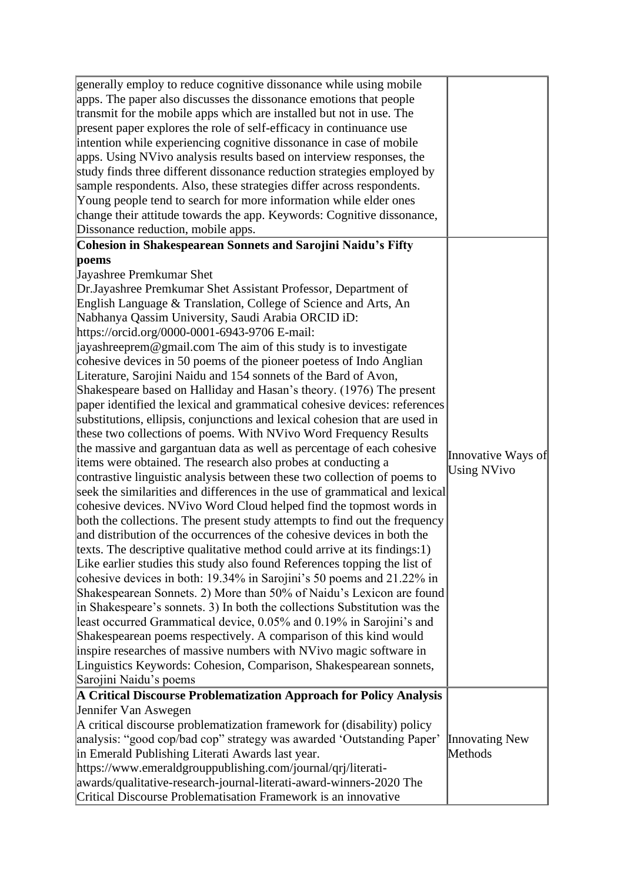| generally employ to reduce cognitive dissonance while using mobile<br>apps. The paper also discusses the dissonance emotions that people<br>transmit for the mobile apps which are installed but not in use. The<br>present paper explores the role of self-efficacy in continuance use<br>intention while experiencing cognitive dissonance in case of mobile<br>apps. Using NVivo analysis results based on interview responses, the<br>study finds three different dissonance reduction strategies employed by<br>sample respondents. Also, these strategies differ across respondents.<br>Young people tend to search for more information while elder ones<br>change their attitude towards the app. Keywords: Cognitive dissonance,<br>Dissonance reduction, mobile apps.                                                                                                                                                                                                                                                                                                                                                                                                                                                                                                                                                                                                                                                                                                                                                                                                                                                                                                                                                                                                                                                                                                                                                                                                                                                                                   |                                          |
|-------------------------------------------------------------------------------------------------------------------------------------------------------------------------------------------------------------------------------------------------------------------------------------------------------------------------------------------------------------------------------------------------------------------------------------------------------------------------------------------------------------------------------------------------------------------------------------------------------------------------------------------------------------------------------------------------------------------------------------------------------------------------------------------------------------------------------------------------------------------------------------------------------------------------------------------------------------------------------------------------------------------------------------------------------------------------------------------------------------------------------------------------------------------------------------------------------------------------------------------------------------------------------------------------------------------------------------------------------------------------------------------------------------------------------------------------------------------------------------------------------------------------------------------------------------------------------------------------------------------------------------------------------------------------------------------------------------------------------------------------------------------------------------------------------------------------------------------------------------------------------------------------------------------------------------------------------------------------------------------------------------------------------------------------------------------|------------------------------------------|
| Cohesion in Shakespearean Sonnets and Sarojini Naidu's Fifty                                                                                                                                                                                                                                                                                                                                                                                                                                                                                                                                                                                                                                                                                                                                                                                                                                                                                                                                                                                                                                                                                                                                                                                                                                                                                                                                                                                                                                                                                                                                                                                                                                                                                                                                                                                                                                                                                                                                                                                                      |                                          |
| poems<br>Jayashree Premkumar Shet<br>Dr. Jayashree Premkumar Shet Assistant Professor, Department of<br>English Language & Translation, College of Science and Arts, An<br>Nabhanya Qassim University, Saudi Arabia ORCID iD:<br>https://orcid.org/0000-0001-6943-9706 E-mail:<br>$\alpha$ ayashreeprem@gmail.com The aim of this study is to investigate<br>cohesive devices in 50 poems of the pioneer poetess of Indo Anglian<br>Literature, Sarojini Naidu and 154 sonnets of the Bard of Avon,<br>Shakespeare based on Halliday and Hasan's theory. (1976) The present<br>paper identified the lexical and grammatical cohesive devices: references<br>substitutions, ellipsis, conjunctions and lexical cohesion that are used in<br>these two collections of poems. With NVivo Word Frequency Results<br>the massive and gargantuan data as well as percentage of each cohesive<br>items were obtained. The research also probes at conducting a<br>contrastive linguistic analysis between these two collection of poems to<br>seek the similarities and differences in the use of grammatical and lexical<br>cohesive devices. NVivo Word Cloud helped find the topmost words in<br>both the collections. The present study attempts to find out the frequency<br>and distribution of the occurrences of the cohesive devices in both the<br>texts. The descriptive qualitative method could arrive at its findings: $1$ )<br>Like earlier studies this study also found References topping the list of<br>cohesive devices in both: 19.34% in Sarojini's 50 poems and 21.22% in<br>Shakespearean Sonnets. 2) More than 50% of Naidu's Lexicon are found<br>in Shakespeare's sonnets. 3) In both the collections Substitution was the<br>least occurred Grammatical device, 0.05% and 0.19% in Sarojini's and<br>Shakespearean poems respectively. A comparison of this kind would<br>inspire researches of massive numbers with NVivo magic software in<br>Linguistics Keywords: Cohesion, Comparison, Shakespearean sonnets,<br>Sarojini Naidu's poems | Innovative Ways of<br><b>Using NVivo</b> |
| A Critical Discourse Problematization Approach for Policy Analysis<br>Jennifer Van Aswegen<br>A critical discourse problematization framework for (disability) policy<br>analysis: "good cop/bad cop" strategy was awarded 'Outstanding Paper'<br>in Emerald Publishing Literati Awards last year.<br>https://www.emeraldgrouppublishing.com/journal/qrj/literati-<br>awards/qualitative-research-journal-literati-award-winners-2020 The<br>Critical Discourse Problematisation Framework is an innovative                                                                                                                                                                                                                                                                                                                                                                                                                                                                                                                                                                                                                                                                                                                                                                                                                                                                                                                                                                                                                                                                                                                                                                                                                                                                                                                                                                                                                                                                                                                                                       | <b>Innovating New</b><br>Methods         |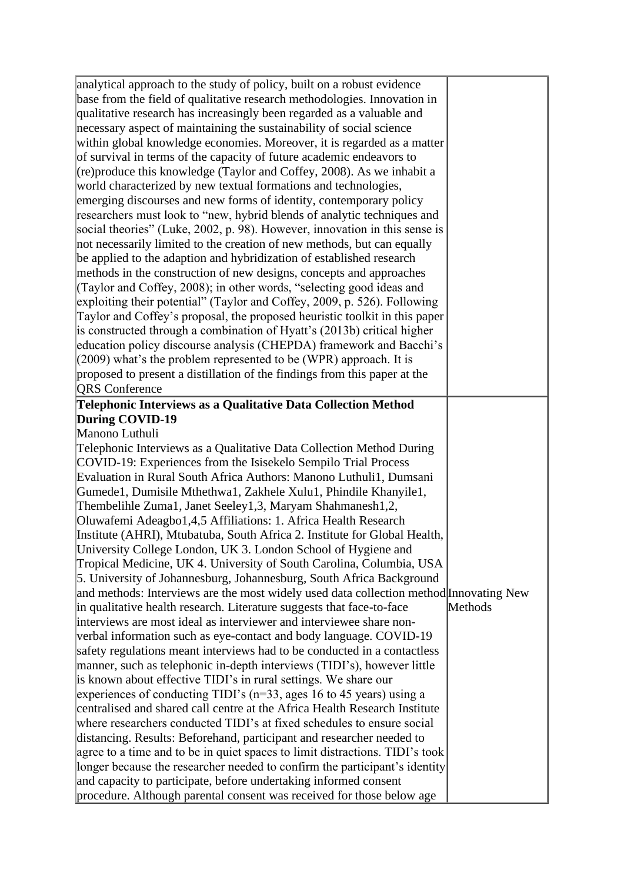| analytical approach to the study of policy, built on a robust evidence                                                                         |         |
|------------------------------------------------------------------------------------------------------------------------------------------------|---------|
| base from the field of qualitative research methodologies. Innovation in                                                                       |         |
| qualitative research has increasingly been regarded as a valuable and                                                                          |         |
| necessary aspect of maintaining the sustainability of social science                                                                           |         |
| within global knowledge economies. Moreover, it is regarded as a matter                                                                        |         |
| of survival in terms of the capacity of future academic endeavors to                                                                           |         |
| (re) produce this knowledge (Taylor and Coffey, 2008). As we inhabit a                                                                         |         |
| world characterized by new textual formations and technologies,                                                                                |         |
| emerging discourses and new forms of identity, contemporary policy                                                                             |         |
| researchers must look to "new, hybrid blends of analytic techniques and                                                                        |         |
| social theories" (Luke, 2002, p. 98). However, innovation in this sense is                                                                     |         |
| not necessarily limited to the creation of new methods, but can equally                                                                        |         |
| be applied to the adaption and hybridization of established research                                                                           |         |
| methods in the construction of new designs, concepts and approaches                                                                            |         |
| (Taylor and Coffey, 2008); in other words, "selecting good ideas and                                                                           |         |
| exploiting their potential" (Taylor and Coffey, 2009, p. 526). Following                                                                       |         |
| Taylor and Coffey's proposal, the proposed heuristic toolkit in this paper                                                                     |         |
| is constructed through a combination of Hyatt's (2013b) critical higher                                                                        |         |
| education policy discourse analysis (CHEPDA) framework and Bacchi's                                                                            |         |
| (2009) what's the problem represented to be (WPR) approach. It is                                                                              |         |
| proposed to present a distillation of the findings from this paper at the                                                                      |         |
| <b>QRS</b> Conference                                                                                                                          |         |
|                                                                                                                                                |         |
| Telephonic Interviews as a Qualitative Data Collection Method                                                                                  |         |
| During COVID-19                                                                                                                                |         |
| Manono Luthuli                                                                                                                                 |         |
| Telephonic Interviews as a Qualitative Data Collection Method During                                                                           |         |
| COVID-19: Experiences from the Isisekelo Sempilo Trial Process                                                                                 |         |
| Evaluation in Rural South Africa Authors: Manono Luthuli1, Dumsani                                                                             |         |
| Gumede1, Dumisile Mthethwa1, Zakhele Xulu1, Phindile Khanyile1,                                                                                |         |
| Thembelihle Zuma1, Janet Seeley1,3, Maryam Shahmanesh1,2,                                                                                      |         |
| Oluwafemi Adeagbo1,4,5 Affiliations: 1. Africa Health Research                                                                                 |         |
| Institute (AHRI), Mtubatuba, South Africa 2. Institute for Global Health,                                                                      |         |
| University College London, UK 3. London School of Hygiene and                                                                                  |         |
| Tropical Medicine, UK 4. University of South Carolina, Columbia, USA                                                                           |         |
| 5. University of Johannesburg, Johannesburg, South Africa Background                                                                           |         |
| and methods: Interviews are the most widely used data collection method Innovating New                                                         |         |
| in qualitative health research. Literature suggests that face-to-face                                                                          | Methods |
| interviews are most ideal as interviewer and interviewee share non-                                                                            |         |
| verbal information such as eye-contact and body language. COVID-19                                                                             |         |
| safety regulations meant interviews had to be conducted in a contactless                                                                       |         |
| manner, such as telephonic in-depth interviews (TIDI's), however little                                                                        |         |
| is known about effective TIDI's in rural settings. We share our                                                                                |         |
| experiences of conducting TIDI's $(n=33, \text{ ages } 16 \text{ to } 45 \text{ years})$ using a                                               |         |
| centralised and shared call centre at the Africa Health Research Institute                                                                     |         |
| where researchers conducted TIDI's at fixed schedules to ensure social                                                                         |         |
| distancing. Results: Beforehand, participant and researcher needed to                                                                          |         |
| agree to a time and to be in quiet spaces to limit distractions. TIDI's took                                                                   |         |
|                                                                                                                                                |         |
|                                                                                                                                                |         |
| longer because the researcher needed to confirm the participant's identity<br>and capacity to participate, before undertaking informed consent |         |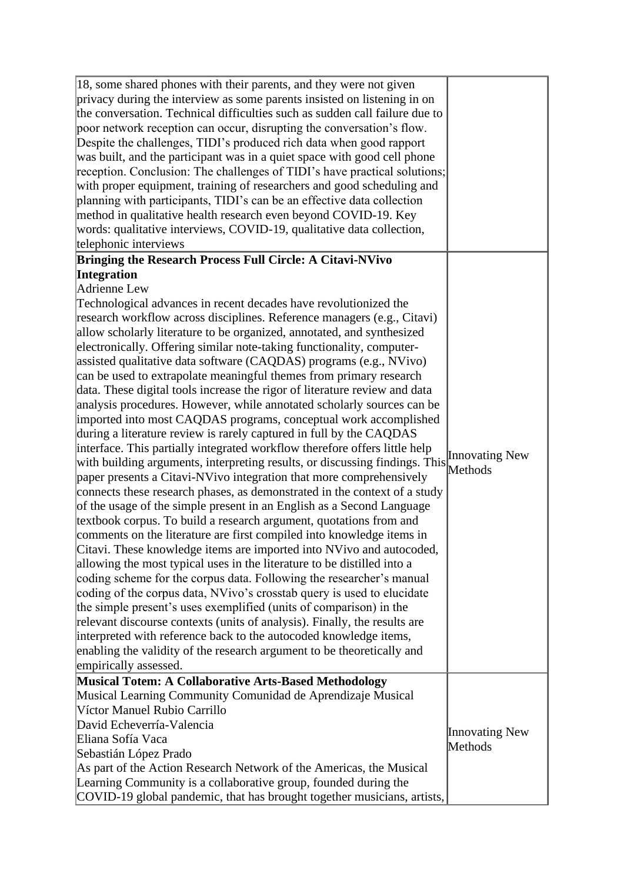| 18, some shared phones with their parents, and they were not given<br>privacy during the interview as some parents insisted on listening in on<br>the conversation. Technical difficulties such as sudden call failure due to<br>poor network reception can occur, disrupting the conversation's flow.<br>Despite the challenges, TIDI's produced rich data when good rapport<br>was built, and the participant was in a quiet space with good cell phone<br>reception. Conclusion: The challenges of TIDI's have practical solutions;<br>with proper equipment, training of researchers and good scheduling and<br>planning with participants, TIDI's can be an effective data collection<br>method in qualitative health research even beyond COVID-19. Key<br>words: qualitative interviews, COVID-19, qualitative data collection,<br>telephonic interviews |                       |
|-----------------------------------------------------------------------------------------------------------------------------------------------------------------------------------------------------------------------------------------------------------------------------------------------------------------------------------------------------------------------------------------------------------------------------------------------------------------------------------------------------------------------------------------------------------------------------------------------------------------------------------------------------------------------------------------------------------------------------------------------------------------------------------------------------------------------------------------------------------------|-----------------------|
| <b>Bringing the Research Process Full Circle: A Citavi-NVivo</b>                                                                                                                                                                                                                                                                                                                                                                                                                                                                                                                                                                                                                                                                                                                                                                                                |                       |
| Integration                                                                                                                                                                                                                                                                                                                                                                                                                                                                                                                                                                                                                                                                                                                                                                                                                                                     |                       |
| Adrienne Lew                                                                                                                                                                                                                                                                                                                                                                                                                                                                                                                                                                                                                                                                                                                                                                                                                                                    |                       |
| Technological advances in recent decades have revolutionized the                                                                                                                                                                                                                                                                                                                                                                                                                                                                                                                                                                                                                                                                                                                                                                                                |                       |
| research workflow across disciplines. Reference managers (e.g., Citavi)                                                                                                                                                                                                                                                                                                                                                                                                                                                                                                                                                                                                                                                                                                                                                                                         |                       |
| allow scholarly literature to be organized, annotated, and synthesized                                                                                                                                                                                                                                                                                                                                                                                                                                                                                                                                                                                                                                                                                                                                                                                          |                       |
| electronically. Offering similar note-taking functionality, computer-                                                                                                                                                                                                                                                                                                                                                                                                                                                                                                                                                                                                                                                                                                                                                                                           |                       |
| assisted qualitative data software (CAQDAS) programs (e.g., NVivo)                                                                                                                                                                                                                                                                                                                                                                                                                                                                                                                                                                                                                                                                                                                                                                                              |                       |
| can be used to extrapolate meaningful themes from primary research                                                                                                                                                                                                                                                                                                                                                                                                                                                                                                                                                                                                                                                                                                                                                                                              |                       |
| data. These digital tools increase the rigor of literature review and data                                                                                                                                                                                                                                                                                                                                                                                                                                                                                                                                                                                                                                                                                                                                                                                      |                       |
| analysis procedures. However, while annotated scholarly sources can be                                                                                                                                                                                                                                                                                                                                                                                                                                                                                                                                                                                                                                                                                                                                                                                          |                       |
| imported into most CAQDAS programs, conceptual work accomplished                                                                                                                                                                                                                                                                                                                                                                                                                                                                                                                                                                                                                                                                                                                                                                                                |                       |
| during a literature review is rarely captured in full by the CAQDAS                                                                                                                                                                                                                                                                                                                                                                                                                                                                                                                                                                                                                                                                                                                                                                                             |                       |
| interface. This partially integrated workflow therefore offers little help                                                                                                                                                                                                                                                                                                                                                                                                                                                                                                                                                                                                                                                                                                                                                                                      | <b>Innovating New</b> |
| with building arguments, interpreting results, or discussing findings. This                                                                                                                                                                                                                                                                                                                                                                                                                                                                                                                                                                                                                                                                                                                                                                                     | Methods               |
| paper presents a Citavi-NVivo integration that more comprehensively                                                                                                                                                                                                                                                                                                                                                                                                                                                                                                                                                                                                                                                                                                                                                                                             |                       |
| connects these research phases, as demonstrated in the context of a study                                                                                                                                                                                                                                                                                                                                                                                                                                                                                                                                                                                                                                                                                                                                                                                       |                       |
| of the usage of the simple present in an English as a Second Language                                                                                                                                                                                                                                                                                                                                                                                                                                                                                                                                                                                                                                                                                                                                                                                           |                       |
| textbook corpus. To build a research argument, quotations from and                                                                                                                                                                                                                                                                                                                                                                                                                                                                                                                                                                                                                                                                                                                                                                                              |                       |
| comments on the literature are first compiled into knowledge items in                                                                                                                                                                                                                                                                                                                                                                                                                                                                                                                                                                                                                                                                                                                                                                                           |                       |
| Citavi. These knowledge items are imported into NVivo and autocoded,                                                                                                                                                                                                                                                                                                                                                                                                                                                                                                                                                                                                                                                                                                                                                                                            |                       |
| allowing the most typical uses in the literature to be distilled into a                                                                                                                                                                                                                                                                                                                                                                                                                                                                                                                                                                                                                                                                                                                                                                                         |                       |
| coding scheme for the corpus data. Following the researcher's manual                                                                                                                                                                                                                                                                                                                                                                                                                                                                                                                                                                                                                                                                                                                                                                                            |                       |
| coding of the corpus data, NVivo's crosstab query is used to elucidate                                                                                                                                                                                                                                                                                                                                                                                                                                                                                                                                                                                                                                                                                                                                                                                          |                       |
| the simple present's uses exemplified (units of comparison) in the                                                                                                                                                                                                                                                                                                                                                                                                                                                                                                                                                                                                                                                                                                                                                                                              |                       |
| relevant discourse contexts (units of analysis). Finally, the results are                                                                                                                                                                                                                                                                                                                                                                                                                                                                                                                                                                                                                                                                                                                                                                                       |                       |
| interpreted with reference back to the autocoded knowledge items,                                                                                                                                                                                                                                                                                                                                                                                                                                                                                                                                                                                                                                                                                                                                                                                               |                       |
| enabling the validity of the research argument to be theoretically and                                                                                                                                                                                                                                                                                                                                                                                                                                                                                                                                                                                                                                                                                                                                                                                          |                       |
| empirically assessed.                                                                                                                                                                                                                                                                                                                                                                                                                                                                                                                                                                                                                                                                                                                                                                                                                                           |                       |
| Musical Totem: A Collaborative Arts-Based Methodology                                                                                                                                                                                                                                                                                                                                                                                                                                                                                                                                                                                                                                                                                                                                                                                                           |                       |
| Musical Learning Community Comunidad de Aprendizaje Musical                                                                                                                                                                                                                                                                                                                                                                                                                                                                                                                                                                                                                                                                                                                                                                                                     |                       |
| Víctor Manuel Rubio Carrillo                                                                                                                                                                                                                                                                                                                                                                                                                                                                                                                                                                                                                                                                                                                                                                                                                                    |                       |
| David Echeverría-Valencia                                                                                                                                                                                                                                                                                                                                                                                                                                                                                                                                                                                                                                                                                                                                                                                                                                       | <b>Innovating New</b> |
| Eliana Sofía Vaca                                                                                                                                                                                                                                                                                                                                                                                                                                                                                                                                                                                                                                                                                                                                                                                                                                               | Methods               |
| Sebastián López Prado                                                                                                                                                                                                                                                                                                                                                                                                                                                                                                                                                                                                                                                                                                                                                                                                                                           |                       |
| As part of the Action Research Network of the Americas, the Musical                                                                                                                                                                                                                                                                                                                                                                                                                                                                                                                                                                                                                                                                                                                                                                                             |                       |
| Learning Community is a collaborative group, founded during the                                                                                                                                                                                                                                                                                                                                                                                                                                                                                                                                                                                                                                                                                                                                                                                                 |                       |
| COVID-19 global pandemic, that has brought together musicians, artists,                                                                                                                                                                                                                                                                                                                                                                                                                                                                                                                                                                                                                                                                                                                                                                                         |                       |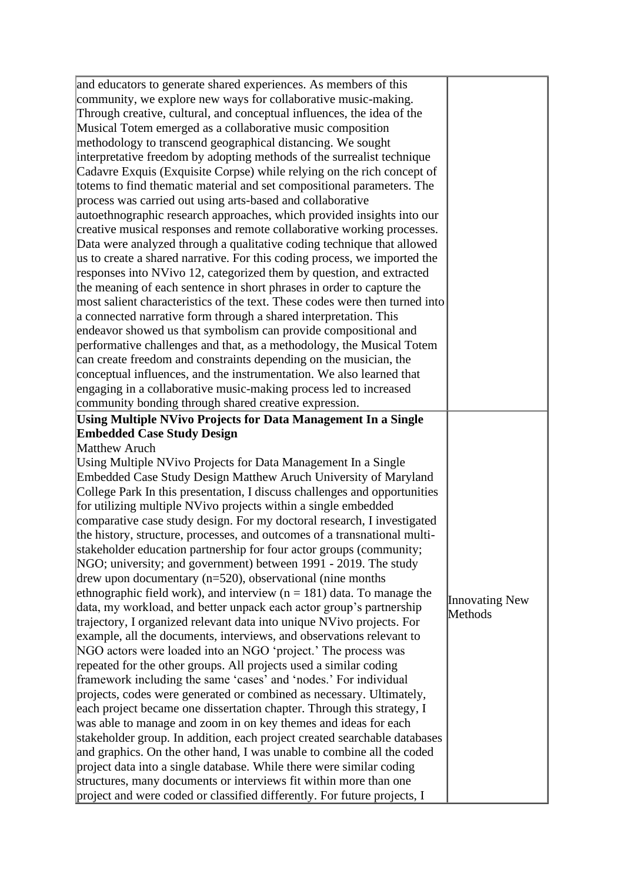| and educators to generate shared experiences. As members of this            |                |
|-----------------------------------------------------------------------------|----------------|
|                                                                             |                |
| community, we explore new ways for collaborative music-making.              |                |
| Through creative, cultural, and conceptual influences, the idea of the      |                |
| Musical Totem emerged as a collaborative music composition                  |                |
| methodology to transcend geographical distancing. We sought                 |                |
| interpretative freedom by adopting methods of the surrealist technique      |                |
| Cadavre Exquis (Exquisite Corpse) while relying on the rich concept of      |                |
| totems to find thematic material and set compositional parameters. The      |                |
| process was carried out using arts-based and collaborative                  |                |
| autoethnographic research approaches, which provided insights into our      |                |
| creative musical responses and remote collaborative working processes.      |                |
| Data were analyzed through a qualitative coding technique that allowed      |                |
| us to create a shared narrative. For this coding process, we imported the   |                |
| responses into NVivo 12, categorized them by question, and extracted        |                |
| the meaning of each sentence in short phrases in order to capture the       |                |
| most salient characteristics of the text. These codes were then turned into |                |
| a connected narrative form through a shared interpretation. This            |                |
| endeavor showed us that symbolism can provide compositional and             |                |
| performative challenges and that, as a methodology, the Musical Totem       |                |
| can create freedom and constraints depending on the musician, the           |                |
|                                                                             |                |
| conceptual influences, and the instrumentation. We also learned that        |                |
| engaging in a collaborative music-making process led to increased           |                |
| community bonding through shared creative expression.                       |                |
| Using Multiple NVivo Projects for Data Management In a Single               |                |
| <b>Embedded Case Study Design</b>                                           |                |
| Matthew Aruch                                                               |                |
| Using Multiple NVivo Projects for Data Management In a Single               |                |
| Embedded Case Study Design Matthew Aruch University of Maryland             |                |
| College Park In this presentation, I discuss challenges and opportunities   |                |
| for utilizing multiple NVivo projects within a single embedded              |                |
| comparative case study design. For my doctoral research, I investigated     |                |
| the history, structure, processes, and outcomes of a transnational multi-   |                |
| stakeholder education partnership for four actor groups (community;         |                |
| NGO; university; and government) between 1991 - 2019. The study             |                |
| drew upon documentary $(n=520)$ , observational (nine months                |                |
| ethnographic field work), and interview ( $n = 181$ ) data. To manage the   |                |
| data, my workload, and better unpack each actor group's partnership         | Innovating New |
| trajectory, I organized relevant data into unique NVivo projects. For       | Methods        |
| example, all the documents, interviews, and observations relevant to        |                |
| NGO actors were loaded into an NGO 'project.' The process was               |                |
| repeated for the other groups. All projects used a similar coding           |                |
| framework including the same 'cases' and 'nodes.' For individual            |                |
|                                                                             |                |
| projects, codes were generated or combined as necessary. Ultimately,        |                |
| each project became one dissertation chapter. Through this strategy, I      |                |
| was able to manage and zoom in on key themes and ideas for each             |                |
| stakeholder group. In addition, each project created searchable databases   |                |
| and graphics. On the other hand, I was unable to combine all the coded      |                |
| project data into a single database. While there were similar coding        |                |
| structures, many documents or interviews fit within more than one           |                |
| project and were coded or classified differently. For future projects, I    |                |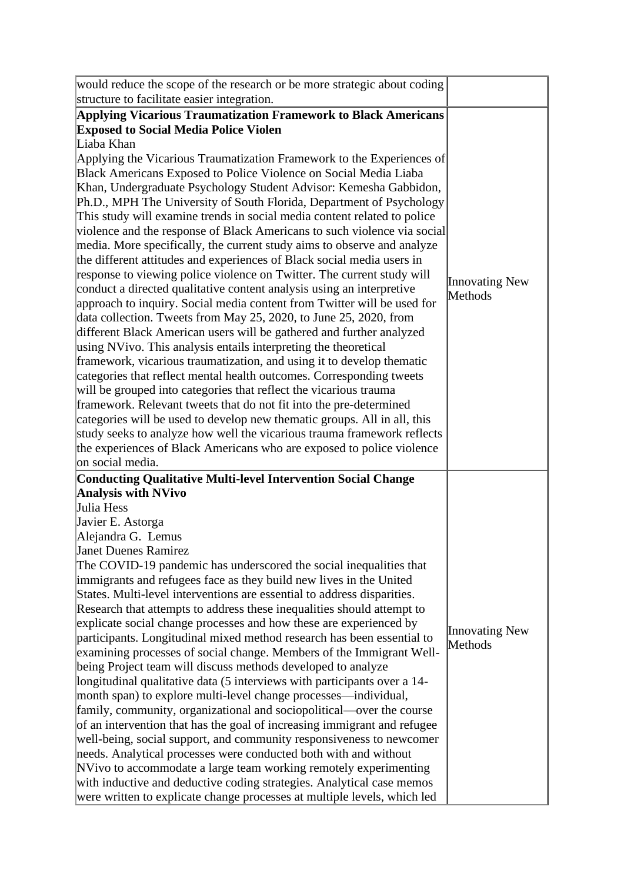| would reduce the scope of the research or be more strategic about coding                                                                 |                       |
|------------------------------------------------------------------------------------------------------------------------------------------|-----------------------|
| structure to facilitate easier integration.                                                                                              |                       |
| Applying Vicarious Traumatization Framework to Black Americans                                                                           |                       |
| <b>Exposed to Social Media Police Violen</b>                                                                                             |                       |
| Liaba Khan                                                                                                                               |                       |
| Applying the Vicarious Traumatization Framework to the Experiences of                                                                    |                       |
| Black Americans Exposed to Police Violence on Social Media Liaba                                                                         |                       |
| Khan, Undergraduate Psychology Student Advisor: Kemesha Gabbidon,                                                                        |                       |
| Ph.D., MPH The University of South Florida, Department of Psychology                                                                     |                       |
| This study will examine trends in social media content related to police                                                                 |                       |
| violence and the response of Black Americans to such violence via social                                                                 |                       |
| media. More specifically, the current study aims to observe and analyze                                                                  |                       |
| the different attitudes and experiences of Black social media users in                                                                   |                       |
| response to viewing police violence on Twitter. The current study will                                                                   | <b>Innovating New</b> |
| conduct a directed qualitative content analysis using an interpretive                                                                    | Methods               |
| approach to inquiry. Social media content from Twitter will be used for                                                                  |                       |
| data collection. Tweets from May 25, 2020, to June 25, 2020, from                                                                        |                       |
| different Black American users will be gathered and further analyzed                                                                     |                       |
| using NVivo. This analysis entails interpreting the theoretical                                                                          |                       |
| framework, vicarious traumatization, and using it to develop thematic                                                                    |                       |
| categories that reflect mental health outcomes. Corresponding tweets                                                                     |                       |
| will be grouped into categories that reflect the vicarious trauma                                                                        |                       |
| framework. Relevant tweets that do not fit into the pre-determined                                                                       |                       |
| categories will be used to develop new thematic groups. All in all, this                                                                 |                       |
| study seeks to analyze how well the vicarious trauma framework reflects                                                                  |                       |
| the experiences of Black Americans who are exposed to police violence                                                                    |                       |
| on social media.                                                                                                                         |                       |
| <b>Conducting Qualitative Multi-level Intervention Social Change</b>                                                                     |                       |
| <b>Analysis with NVivo</b><br>Julia Hess                                                                                                 |                       |
|                                                                                                                                          |                       |
| Javier E. Astorga                                                                                                                        |                       |
| Alejandra G. Lemus<br><b>Janet Duenes Ramirez</b>                                                                                        |                       |
|                                                                                                                                          |                       |
| The COVID-19 pandemic has underscored the social inequalities that<br>immigrants and refugees face as they build new lives in the United |                       |
| States. Multi-level interventions are essential to address disparities.                                                                  |                       |
| Research that attempts to address these inequalities should attempt to                                                                   |                       |
| explicate social change processes and how these are experienced by                                                                       |                       |
| participants. Longitudinal mixed method research has been essential to                                                                   | <b>Innovating New</b> |
| examining processes of social change. Members of the Immigrant Well-                                                                     | Methods               |
| being Project team will discuss methods developed to analyze                                                                             |                       |
| longitudinal qualitative data (5 interviews with participants over a 14-                                                                 |                       |
| month span) to explore multi-level change processes—individual,                                                                          |                       |
| family, community, organizational and sociopolitical—over the course                                                                     |                       |
| of an intervention that has the goal of increasing immigrant and refugee                                                                 |                       |
| well-being, social support, and community responsiveness to newcomer                                                                     |                       |
| needs. Analytical processes were conducted both with and without                                                                         |                       |
| NVivo to accommodate a large team working remotely experimenting                                                                         |                       |
| with inductive and deductive coding strategies. Analytical case memos                                                                    |                       |
| were written to explicate change processes at multiple levels, which led                                                                 |                       |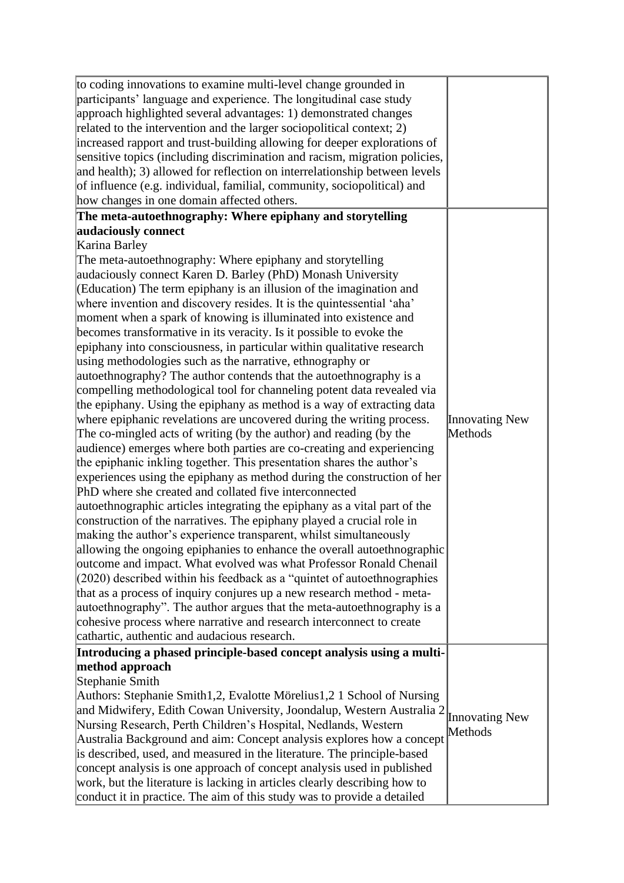| The meta-autoethnography: Where epiphany and storytelling<br>audaciously connect<br>Karina Barley<br>The meta-autoethnography: Where epiphany and storytelling<br>audaciously connect Karen D. Barley (PhD) Monash University<br>(Education) The term epiphany is an illusion of the imagination and<br>where invention and discovery resides. It is the quintessential 'aha'<br>moment when a spark of knowing is illuminated into existence and<br>becomes transformative in its veracity. Is it possible to evoke the<br>epiphany into consciousness, in particular within qualitative research<br>using methodologies such as the narrative, ethnography or<br>autoethnography? The author contends that the autoethnography is a<br>compelling methodological tool for channeling potent data revealed via<br>the epiphany. Using the epiphany as method is a way of extracting data<br>where epiphanic revelations are uncovered during the writing process.<br>Innovating New<br>Methods<br>The co-mingled acts of writing (by the author) and reading (by the<br>audience) emerges where both parties are co-creating and experiencing<br>the epiphanic inkling together. This presentation shares the author's<br>experiences using the epiphany as method during the construction of her<br>PhD where she created and collated five interconnected<br>autoethnographic articles integrating the epiphany as a vital part of the<br>construction of the narratives. The epiphany played a crucial role in<br>making the author's experience transparent, whilst simultaneously<br>allowing the ongoing epiphanies to enhance the overall autoethnographic<br>outcome and impact. What evolved was what Professor Ronald Chenail<br>$(2020)$ described within his feedback as a "quintet of autoethnographies"<br>that as a process of inquiry conjures up a new research method - meta-<br>autoethnography". The author argues that the meta-autoethnography is a<br>cohesive process where narrative and research interconnect to create<br>cathartic, authentic and audacious research.<br>Introducing a phased principle-based concept analysis using a multi-<br>method approach<br>Stephanie Smith<br>Authors: Stephanie Smith1,2, Evalotte Mörelius1,2 1 School of Nursing<br>and Midwifery, Edith Cowan University, Joondalup, Western Australia 2<br><b>Innovating New</b><br>Nursing Research, Perth Children's Hospital, Nedlands, Western<br>Methods<br>Australia Background and aim: Concept analysis explores how a concept<br>is described, used, and measured in the literature. The principle-based<br>concept analysis is one approach of concept analysis used in published<br>work, but the literature is lacking in articles clearly describing how to | to coding innovations to examine multi-level change grounded in<br>participants' language and experience. The longitudinal case study<br>approach highlighted several advantages: 1) demonstrated changes<br>related to the intervention and the larger sociopolitical context; 2)<br>increased rapport and trust-building allowing for deeper explorations of<br>sensitive topics (including discrimination and racism, migration policies,<br>and health); 3) allowed for reflection on interrelationship between levels<br>of influence (e.g. individual, familial, community, sociopolitical) and<br>how changes in one domain affected others. |  |
|-------------------------------------------------------------------------------------------------------------------------------------------------------------------------------------------------------------------------------------------------------------------------------------------------------------------------------------------------------------------------------------------------------------------------------------------------------------------------------------------------------------------------------------------------------------------------------------------------------------------------------------------------------------------------------------------------------------------------------------------------------------------------------------------------------------------------------------------------------------------------------------------------------------------------------------------------------------------------------------------------------------------------------------------------------------------------------------------------------------------------------------------------------------------------------------------------------------------------------------------------------------------------------------------------------------------------------------------------------------------------------------------------------------------------------------------------------------------------------------------------------------------------------------------------------------------------------------------------------------------------------------------------------------------------------------------------------------------------------------------------------------------------------------------------------------------------------------------------------------------------------------------------------------------------------------------------------------------------------------------------------------------------------------------------------------------------------------------------------------------------------------------------------------------------------------------------------------------------------------------------------------------------------------------------------------------------------------------------------------------------------------------------------------------------------------------------------------------------------------------------------------------------------------------------------------------------------------------------------------------------------------------------------------------------------------------------------------------------------------------------------------------------------------|-----------------------------------------------------------------------------------------------------------------------------------------------------------------------------------------------------------------------------------------------------------------------------------------------------------------------------------------------------------------------------------------------------------------------------------------------------------------------------------------------------------------------------------------------------------------------------------------------------------------------------------------------------|--|
|                                                                                                                                                                                                                                                                                                                                                                                                                                                                                                                                                                                                                                                                                                                                                                                                                                                                                                                                                                                                                                                                                                                                                                                                                                                                                                                                                                                                                                                                                                                                                                                                                                                                                                                                                                                                                                                                                                                                                                                                                                                                                                                                                                                                                                                                                                                                                                                                                                                                                                                                                                                                                                                                                                                                                                                     |                                                                                                                                                                                                                                                                                                                                                                                                                                                                                                                                                                                                                                                     |  |
|                                                                                                                                                                                                                                                                                                                                                                                                                                                                                                                                                                                                                                                                                                                                                                                                                                                                                                                                                                                                                                                                                                                                                                                                                                                                                                                                                                                                                                                                                                                                                                                                                                                                                                                                                                                                                                                                                                                                                                                                                                                                                                                                                                                                                                                                                                                                                                                                                                                                                                                                                                                                                                                                                                                                                                                     |                                                                                                                                                                                                                                                                                                                                                                                                                                                                                                                                                                                                                                                     |  |
|                                                                                                                                                                                                                                                                                                                                                                                                                                                                                                                                                                                                                                                                                                                                                                                                                                                                                                                                                                                                                                                                                                                                                                                                                                                                                                                                                                                                                                                                                                                                                                                                                                                                                                                                                                                                                                                                                                                                                                                                                                                                                                                                                                                                                                                                                                                                                                                                                                                                                                                                                                                                                                                                                                                                                                                     |                                                                                                                                                                                                                                                                                                                                                                                                                                                                                                                                                                                                                                                     |  |
|                                                                                                                                                                                                                                                                                                                                                                                                                                                                                                                                                                                                                                                                                                                                                                                                                                                                                                                                                                                                                                                                                                                                                                                                                                                                                                                                                                                                                                                                                                                                                                                                                                                                                                                                                                                                                                                                                                                                                                                                                                                                                                                                                                                                                                                                                                                                                                                                                                                                                                                                                                                                                                                                                                                                                                                     |                                                                                                                                                                                                                                                                                                                                                                                                                                                                                                                                                                                                                                                     |  |
|                                                                                                                                                                                                                                                                                                                                                                                                                                                                                                                                                                                                                                                                                                                                                                                                                                                                                                                                                                                                                                                                                                                                                                                                                                                                                                                                                                                                                                                                                                                                                                                                                                                                                                                                                                                                                                                                                                                                                                                                                                                                                                                                                                                                                                                                                                                                                                                                                                                                                                                                                                                                                                                                                                                                                                                     |                                                                                                                                                                                                                                                                                                                                                                                                                                                                                                                                                                                                                                                     |  |
|                                                                                                                                                                                                                                                                                                                                                                                                                                                                                                                                                                                                                                                                                                                                                                                                                                                                                                                                                                                                                                                                                                                                                                                                                                                                                                                                                                                                                                                                                                                                                                                                                                                                                                                                                                                                                                                                                                                                                                                                                                                                                                                                                                                                                                                                                                                                                                                                                                                                                                                                                                                                                                                                                                                                                                                     |                                                                                                                                                                                                                                                                                                                                                                                                                                                                                                                                                                                                                                                     |  |
|                                                                                                                                                                                                                                                                                                                                                                                                                                                                                                                                                                                                                                                                                                                                                                                                                                                                                                                                                                                                                                                                                                                                                                                                                                                                                                                                                                                                                                                                                                                                                                                                                                                                                                                                                                                                                                                                                                                                                                                                                                                                                                                                                                                                                                                                                                                                                                                                                                                                                                                                                                                                                                                                                                                                                                                     |                                                                                                                                                                                                                                                                                                                                                                                                                                                                                                                                                                                                                                                     |  |
|                                                                                                                                                                                                                                                                                                                                                                                                                                                                                                                                                                                                                                                                                                                                                                                                                                                                                                                                                                                                                                                                                                                                                                                                                                                                                                                                                                                                                                                                                                                                                                                                                                                                                                                                                                                                                                                                                                                                                                                                                                                                                                                                                                                                                                                                                                                                                                                                                                                                                                                                                                                                                                                                                                                                                                                     |                                                                                                                                                                                                                                                                                                                                                                                                                                                                                                                                                                                                                                                     |  |
|                                                                                                                                                                                                                                                                                                                                                                                                                                                                                                                                                                                                                                                                                                                                                                                                                                                                                                                                                                                                                                                                                                                                                                                                                                                                                                                                                                                                                                                                                                                                                                                                                                                                                                                                                                                                                                                                                                                                                                                                                                                                                                                                                                                                                                                                                                                                                                                                                                                                                                                                                                                                                                                                                                                                                                                     |                                                                                                                                                                                                                                                                                                                                                                                                                                                                                                                                                                                                                                                     |  |
|                                                                                                                                                                                                                                                                                                                                                                                                                                                                                                                                                                                                                                                                                                                                                                                                                                                                                                                                                                                                                                                                                                                                                                                                                                                                                                                                                                                                                                                                                                                                                                                                                                                                                                                                                                                                                                                                                                                                                                                                                                                                                                                                                                                                                                                                                                                                                                                                                                                                                                                                                                                                                                                                                                                                                                                     |                                                                                                                                                                                                                                                                                                                                                                                                                                                                                                                                                                                                                                                     |  |
|                                                                                                                                                                                                                                                                                                                                                                                                                                                                                                                                                                                                                                                                                                                                                                                                                                                                                                                                                                                                                                                                                                                                                                                                                                                                                                                                                                                                                                                                                                                                                                                                                                                                                                                                                                                                                                                                                                                                                                                                                                                                                                                                                                                                                                                                                                                                                                                                                                                                                                                                                                                                                                                                                                                                                                                     |                                                                                                                                                                                                                                                                                                                                                                                                                                                                                                                                                                                                                                                     |  |
|                                                                                                                                                                                                                                                                                                                                                                                                                                                                                                                                                                                                                                                                                                                                                                                                                                                                                                                                                                                                                                                                                                                                                                                                                                                                                                                                                                                                                                                                                                                                                                                                                                                                                                                                                                                                                                                                                                                                                                                                                                                                                                                                                                                                                                                                                                                                                                                                                                                                                                                                                                                                                                                                                                                                                                                     |                                                                                                                                                                                                                                                                                                                                                                                                                                                                                                                                                                                                                                                     |  |
|                                                                                                                                                                                                                                                                                                                                                                                                                                                                                                                                                                                                                                                                                                                                                                                                                                                                                                                                                                                                                                                                                                                                                                                                                                                                                                                                                                                                                                                                                                                                                                                                                                                                                                                                                                                                                                                                                                                                                                                                                                                                                                                                                                                                                                                                                                                                                                                                                                                                                                                                                                                                                                                                                                                                                                                     |                                                                                                                                                                                                                                                                                                                                                                                                                                                                                                                                                                                                                                                     |  |
|                                                                                                                                                                                                                                                                                                                                                                                                                                                                                                                                                                                                                                                                                                                                                                                                                                                                                                                                                                                                                                                                                                                                                                                                                                                                                                                                                                                                                                                                                                                                                                                                                                                                                                                                                                                                                                                                                                                                                                                                                                                                                                                                                                                                                                                                                                                                                                                                                                                                                                                                                                                                                                                                                                                                                                                     |                                                                                                                                                                                                                                                                                                                                                                                                                                                                                                                                                                                                                                                     |  |
|                                                                                                                                                                                                                                                                                                                                                                                                                                                                                                                                                                                                                                                                                                                                                                                                                                                                                                                                                                                                                                                                                                                                                                                                                                                                                                                                                                                                                                                                                                                                                                                                                                                                                                                                                                                                                                                                                                                                                                                                                                                                                                                                                                                                                                                                                                                                                                                                                                                                                                                                                                                                                                                                                                                                                                                     |                                                                                                                                                                                                                                                                                                                                                                                                                                                                                                                                                                                                                                                     |  |
|                                                                                                                                                                                                                                                                                                                                                                                                                                                                                                                                                                                                                                                                                                                                                                                                                                                                                                                                                                                                                                                                                                                                                                                                                                                                                                                                                                                                                                                                                                                                                                                                                                                                                                                                                                                                                                                                                                                                                                                                                                                                                                                                                                                                                                                                                                                                                                                                                                                                                                                                                                                                                                                                                                                                                                                     |                                                                                                                                                                                                                                                                                                                                                                                                                                                                                                                                                                                                                                                     |  |
|                                                                                                                                                                                                                                                                                                                                                                                                                                                                                                                                                                                                                                                                                                                                                                                                                                                                                                                                                                                                                                                                                                                                                                                                                                                                                                                                                                                                                                                                                                                                                                                                                                                                                                                                                                                                                                                                                                                                                                                                                                                                                                                                                                                                                                                                                                                                                                                                                                                                                                                                                                                                                                                                                                                                                                                     |                                                                                                                                                                                                                                                                                                                                                                                                                                                                                                                                                                                                                                                     |  |
|                                                                                                                                                                                                                                                                                                                                                                                                                                                                                                                                                                                                                                                                                                                                                                                                                                                                                                                                                                                                                                                                                                                                                                                                                                                                                                                                                                                                                                                                                                                                                                                                                                                                                                                                                                                                                                                                                                                                                                                                                                                                                                                                                                                                                                                                                                                                                                                                                                                                                                                                                                                                                                                                                                                                                                                     |                                                                                                                                                                                                                                                                                                                                                                                                                                                                                                                                                                                                                                                     |  |
|                                                                                                                                                                                                                                                                                                                                                                                                                                                                                                                                                                                                                                                                                                                                                                                                                                                                                                                                                                                                                                                                                                                                                                                                                                                                                                                                                                                                                                                                                                                                                                                                                                                                                                                                                                                                                                                                                                                                                                                                                                                                                                                                                                                                                                                                                                                                                                                                                                                                                                                                                                                                                                                                                                                                                                                     |                                                                                                                                                                                                                                                                                                                                                                                                                                                                                                                                                                                                                                                     |  |
|                                                                                                                                                                                                                                                                                                                                                                                                                                                                                                                                                                                                                                                                                                                                                                                                                                                                                                                                                                                                                                                                                                                                                                                                                                                                                                                                                                                                                                                                                                                                                                                                                                                                                                                                                                                                                                                                                                                                                                                                                                                                                                                                                                                                                                                                                                                                                                                                                                                                                                                                                                                                                                                                                                                                                                                     |                                                                                                                                                                                                                                                                                                                                                                                                                                                                                                                                                                                                                                                     |  |
|                                                                                                                                                                                                                                                                                                                                                                                                                                                                                                                                                                                                                                                                                                                                                                                                                                                                                                                                                                                                                                                                                                                                                                                                                                                                                                                                                                                                                                                                                                                                                                                                                                                                                                                                                                                                                                                                                                                                                                                                                                                                                                                                                                                                                                                                                                                                                                                                                                                                                                                                                                                                                                                                                                                                                                                     |                                                                                                                                                                                                                                                                                                                                                                                                                                                                                                                                                                                                                                                     |  |
|                                                                                                                                                                                                                                                                                                                                                                                                                                                                                                                                                                                                                                                                                                                                                                                                                                                                                                                                                                                                                                                                                                                                                                                                                                                                                                                                                                                                                                                                                                                                                                                                                                                                                                                                                                                                                                                                                                                                                                                                                                                                                                                                                                                                                                                                                                                                                                                                                                                                                                                                                                                                                                                                                                                                                                                     |                                                                                                                                                                                                                                                                                                                                                                                                                                                                                                                                                                                                                                                     |  |
|                                                                                                                                                                                                                                                                                                                                                                                                                                                                                                                                                                                                                                                                                                                                                                                                                                                                                                                                                                                                                                                                                                                                                                                                                                                                                                                                                                                                                                                                                                                                                                                                                                                                                                                                                                                                                                                                                                                                                                                                                                                                                                                                                                                                                                                                                                                                                                                                                                                                                                                                                                                                                                                                                                                                                                                     |                                                                                                                                                                                                                                                                                                                                                                                                                                                                                                                                                                                                                                                     |  |
|                                                                                                                                                                                                                                                                                                                                                                                                                                                                                                                                                                                                                                                                                                                                                                                                                                                                                                                                                                                                                                                                                                                                                                                                                                                                                                                                                                                                                                                                                                                                                                                                                                                                                                                                                                                                                                                                                                                                                                                                                                                                                                                                                                                                                                                                                                                                                                                                                                                                                                                                                                                                                                                                                                                                                                                     |                                                                                                                                                                                                                                                                                                                                                                                                                                                                                                                                                                                                                                                     |  |
|                                                                                                                                                                                                                                                                                                                                                                                                                                                                                                                                                                                                                                                                                                                                                                                                                                                                                                                                                                                                                                                                                                                                                                                                                                                                                                                                                                                                                                                                                                                                                                                                                                                                                                                                                                                                                                                                                                                                                                                                                                                                                                                                                                                                                                                                                                                                                                                                                                                                                                                                                                                                                                                                                                                                                                                     |                                                                                                                                                                                                                                                                                                                                                                                                                                                                                                                                                                                                                                                     |  |
|                                                                                                                                                                                                                                                                                                                                                                                                                                                                                                                                                                                                                                                                                                                                                                                                                                                                                                                                                                                                                                                                                                                                                                                                                                                                                                                                                                                                                                                                                                                                                                                                                                                                                                                                                                                                                                                                                                                                                                                                                                                                                                                                                                                                                                                                                                                                                                                                                                                                                                                                                                                                                                                                                                                                                                                     |                                                                                                                                                                                                                                                                                                                                                                                                                                                                                                                                                                                                                                                     |  |
|                                                                                                                                                                                                                                                                                                                                                                                                                                                                                                                                                                                                                                                                                                                                                                                                                                                                                                                                                                                                                                                                                                                                                                                                                                                                                                                                                                                                                                                                                                                                                                                                                                                                                                                                                                                                                                                                                                                                                                                                                                                                                                                                                                                                                                                                                                                                                                                                                                                                                                                                                                                                                                                                                                                                                                                     |                                                                                                                                                                                                                                                                                                                                                                                                                                                                                                                                                                                                                                                     |  |
|                                                                                                                                                                                                                                                                                                                                                                                                                                                                                                                                                                                                                                                                                                                                                                                                                                                                                                                                                                                                                                                                                                                                                                                                                                                                                                                                                                                                                                                                                                                                                                                                                                                                                                                                                                                                                                                                                                                                                                                                                                                                                                                                                                                                                                                                                                                                                                                                                                                                                                                                                                                                                                                                                                                                                                                     |                                                                                                                                                                                                                                                                                                                                                                                                                                                                                                                                                                                                                                                     |  |
|                                                                                                                                                                                                                                                                                                                                                                                                                                                                                                                                                                                                                                                                                                                                                                                                                                                                                                                                                                                                                                                                                                                                                                                                                                                                                                                                                                                                                                                                                                                                                                                                                                                                                                                                                                                                                                                                                                                                                                                                                                                                                                                                                                                                                                                                                                                                                                                                                                                                                                                                                                                                                                                                                                                                                                                     |                                                                                                                                                                                                                                                                                                                                                                                                                                                                                                                                                                                                                                                     |  |
|                                                                                                                                                                                                                                                                                                                                                                                                                                                                                                                                                                                                                                                                                                                                                                                                                                                                                                                                                                                                                                                                                                                                                                                                                                                                                                                                                                                                                                                                                                                                                                                                                                                                                                                                                                                                                                                                                                                                                                                                                                                                                                                                                                                                                                                                                                                                                                                                                                                                                                                                                                                                                                                                                                                                                                                     |                                                                                                                                                                                                                                                                                                                                                                                                                                                                                                                                                                                                                                                     |  |
|                                                                                                                                                                                                                                                                                                                                                                                                                                                                                                                                                                                                                                                                                                                                                                                                                                                                                                                                                                                                                                                                                                                                                                                                                                                                                                                                                                                                                                                                                                                                                                                                                                                                                                                                                                                                                                                                                                                                                                                                                                                                                                                                                                                                                                                                                                                                                                                                                                                                                                                                                                                                                                                                                                                                                                                     |                                                                                                                                                                                                                                                                                                                                                                                                                                                                                                                                                                                                                                                     |  |
|                                                                                                                                                                                                                                                                                                                                                                                                                                                                                                                                                                                                                                                                                                                                                                                                                                                                                                                                                                                                                                                                                                                                                                                                                                                                                                                                                                                                                                                                                                                                                                                                                                                                                                                                                                                                                                                                                                                                                                                                                                                                                                                                                                                                                                                                                                                                                                                                                                                                                                                                                                                                                                                                                                                                                                                     |                                                                                                                                                                                                                                                                                                                                                                                                                                                                                                                                                                                                                                                     |  |
|                                                                                                                                                                                                                                                                                                                                                                                                                                                                                                                                                                                                                                                                                                                                                                                                                                                                                                                                                                                                                                                                                                                                                                                                                                                                                                                                                                                                                                                                                                                                                                                                                                                                                                                                                                                                                                                                                                                                                                                                                                                                                                                                                                                                                                                                                                                                                                                                                                                                                                                                                                                                                                                                                                                                                                                     |                                                                                                                                                                                                                                                                                                                                                                                                                                                                                                                                                                                                                                                     |  |
|                                                                                                                                                                                                                                                                                                                                                                                                                                                                                                                                                                                                                                                                                                                                                                                                                                                                                                                                                                                                                                                                                                                                                                                                                                                                                                                                                                                                                                                                                                                                                                                                                                                                                                                                                                                                                                                                                                                                                                                                                                                                                                                                                                                                                                                                                                                                                                                                                                                                                                                                                                                                                                                                                                                                                                                     |                                                                                                                                                                                                                                                                                                                                                                                                                                                                                                                                                                                                                                                     |  |
|                                                                                                                                                                                                                                                                                                                                                                                                                                                                                                                                                                                                                                                                                                                                                                                                                                                                                                                                                                                                                                                                                                                                                                                                                                                                                                                                                                                                                                                                                                                                                                                                                                                                                                                                                                                                                                                                                                                                                                                                                                                                                                                                                                                                                                                                                                                                                                                                                                                                                                                                                                                                                                                                                                                                                                                     |                                                                                                                                                                                                                                                                                                                                                                                                                                                                                                                                                                                                                                                     |  |
|                                                                                                                                                                                                                                                                                                                                                                                                                                                                                                                                                                                                                                                                                                                                                                                                                                                                                                                                                                                                                                                                                                                                                                                                                                                                                                                                                                                                                                                                                                                                                                                                                                                                                                                                                                                                                                                                                                                                                                                                                                                                                                                                                                                                                                                                                                                                                                                                                                                                                                                                                                                                                                                                                                                                                                                     |                                                                                                                                                                                                                                                                                                                                                                                                                                                                                                                                                                                                                                                     |  |
|                                                                                                                                                                                                                                                                                                                                                                                                                                                                                                                                                                                                                                                                                                                                                                                                                                                                                                                                                                                                                                                                                                                                                                                                                                                                                                                                                                                                                                                                                                                                                                                                                                                                                                                                                                                                                                                                                                                                                                                                                                                                                                                                                                                                                                                                                                                                                                                                                                                                                                                                                                                                                                                                                                                                                                                     |                                                                                                                                                                                                                                                                                                                                                                                                                                                                                                                                                                                                                                                     |  |
|                                                                                                                                                                                                                                                                                                                                                                                                                                                                                                                                                                                                                                                                                                                                                                                                                                                                                                                                                                                                                                                                                                                                                                                                                                                                                                                                                                                                                                                                                                                                                                                                                                                                                                                                                                                                                                                                                                                                                                                                                                                                                                                                                                                                                                                                                                                                                                                                                                                                                                                                                                                                                                                                                                                                                                                     |                                                                                                                                                                                                                                                                                                                                                                                                                                                                                                                                                                                                                                                     |  |
|                                                                                                                                                                                                                                                                                                                                                                                                                                                                                                                                                                                                                                                                                                                                                                                                                                                                                                                                                                                                                                                                                                                                                                                                                                                                                                                                                                                                                                                                                                                                                                                                                                                                                                                                                                                                                                                                                                                                                                                                                                                                                                                                                                                                                                                                                                                                                                                                                                                                                                                                                                                                                                                                                                                                                                                     |                                                                                                                                                                                                                                                                                                                                                                                                                                                                                                                                                                                                                                                     |  |
|                                                                                                                                                                                                                                                                                                                                                                                                                                                                                                                                                                                                                                                                                                                                                                                                                                                                                                                                                                                                                                                                                                                                                                                                                                                                                                                                                                                                                                                                                                                                                                                                                                                                                                                                                                                                                                                                                                                                                                                                                                                                                                                                                                                                                                                                                                                                                                                                                                                                                                                                                                                                                                                                                                                                                                                     | conduct it in practice. The aim of this study was to provide a detailed                                                                                                                                                                                                                                                                                                                                                                                                                                                                                                                                                                             |  |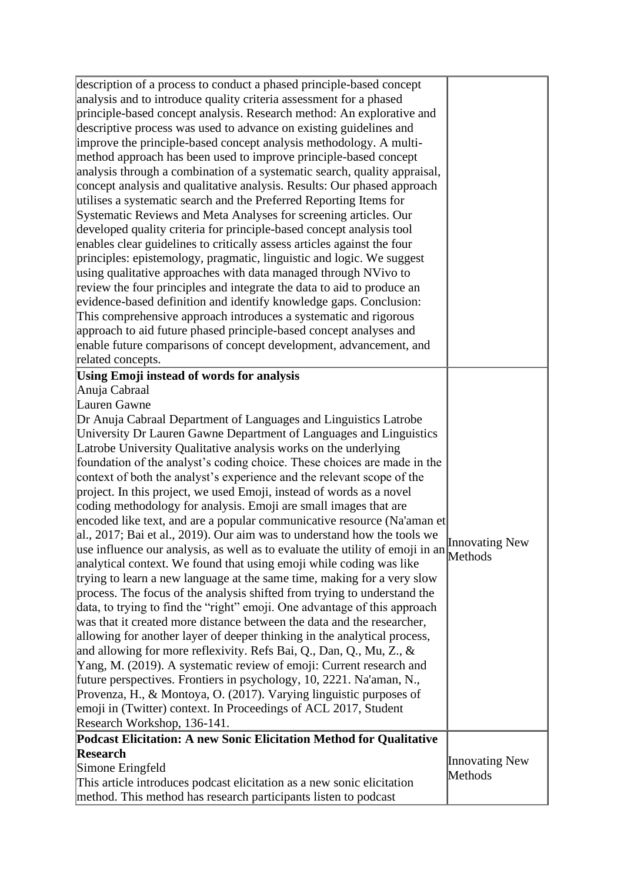| description of a process to conduct a phased principle-based concept<br>analysis and to introduce quality criteria assessment for a phased<br>principle-based concept analysis. Research method: An explorative and<br>descriptive process was used to advance on existing guidelines and<br>improve the principle-based concept analysis methodology. A multi-<br>method approach has been used to improve principle-based concept<br>analysis through a combination of a systematic search, quality appraisal,<br>concept analysis and qualitative analysis. Results: Our phased approach<br>utilises a systematic search and the Preferred Reporting Items for<br>Systematic Reviews and Meta Analyses for screening articles. Our<br>developed quality criteria for principle-based concept analysis tool<br>enables clear guidelines to critically assess articles against the four<br>principles: epistemology, pragmatic, linguistic and logic. We suggest<br>using qualitative approaches with data managed through NVivo to<br>review the four principles and integrate the data to aid to produce an<br>evidence-based definition and identify knowledge gaps. Conclusion:<br>This comprehensive approach introduces a systematic and rigorous<br>approach to aid future phased principle-based concept analyses and<br>enable future comparisons of concept development, advancement, and<br>related concepts.                                                                                                                                                                                                                                                                                                |                           |
|--------------------------------------------------------------------------------------------------------------------------------------------------------------------------------------------------------------------------------------------------------------------------------------------------------------------------------------------------------------------------------------------------------------------------------------------------------------------------------------------------------------------------------------------------------------------------------------------------------------------------------------------------------------------------------------------------------------------------------------------------------------------------------------------------------------------------------------------------------------------------------------------------------------------------------------------------------------------------------------------------------------------------------------------------------------------------------------------------------------------------------------------------------------------------------------------------------------------------------------------------------------------------------------------------------------------------------------------------------------------------------------------------------------------------------------------------------------------------------------------------------------------------------------------------------------------------------------------------------------------------------------------------------------------------------------------------------------------------|---------------------------|
| <b>Using Emoji instead of words for analysis</b><br>Anuja Cabraal<br>Lauren Gawne<br>Dr Anuja Cabraal Department of Languages and Linguistics Latrobe<br>University Dr Lauren Gawne Department of Languages and Linguistics<br>Latrobe University Qualitative analysis works on the underlying<br>foundation of the analyst's coding choice. These choices are made in the<br>context of both the analyst's experience and the relevant scope of the<br>project. In this project, we used Emoji, instead of words as a novel<br>coding methodology for analysis. Emoji are small images that are<br>encoded like text, and are a popular communicative resource (Na'aman et<br>$ a $ , 2017; Bai et al., 2019). Our aim was to understand how the tools we<br>$\mu$ use influence our analysis, as well as to evaluate the utility of emoji in an Methods<br>analytical context. We found that using emoji while coding was like<br>trying to learn a new language at the same time, making for a very slow<br>process. The focus of the analysis shifted from trying to understand the<br>data, to trying to find the "right" emoji. One advantage of this approach<br>was that it created more distance between the data and the researcher,<br>allowing for another layer of deeper thinking in the analytical process,<br>and allowing for more reflexivity. Refs Bai, Q., Dan, Q., Mu, Z., &<br>Yang, M. (2019). A systematic review of emoji: Current research and<br>future perspectives. Frontiers in psychology, 10, 2221. Na'aman, N.,<br>Provenza, H., & Montoya, O. (2017). Varying linguistic purposes of<br>emoji in (Twitter) context. In Proceedings of ACL 2017, Student<br>Research Workshop, 136-141. | <b>Innovating New</b>     |
| Podcast Elicitation: A new Sonic Elicitation Method for Qualitative<br>Research<br>Simone Eringfeld<br>This article introduces podcast elicitation as a new sonic elicitation<br>method. This method has research participants listen to podcast                                                                                                                                                                                                                                                                                                                                                                                                                                                                                                                                                                                                                                                                                                                                                                                                                                                                                                                                                                                                                                                                                                                                                                                                                                                                                                                                                                                                                                                                         | Innovating New<br>Methods |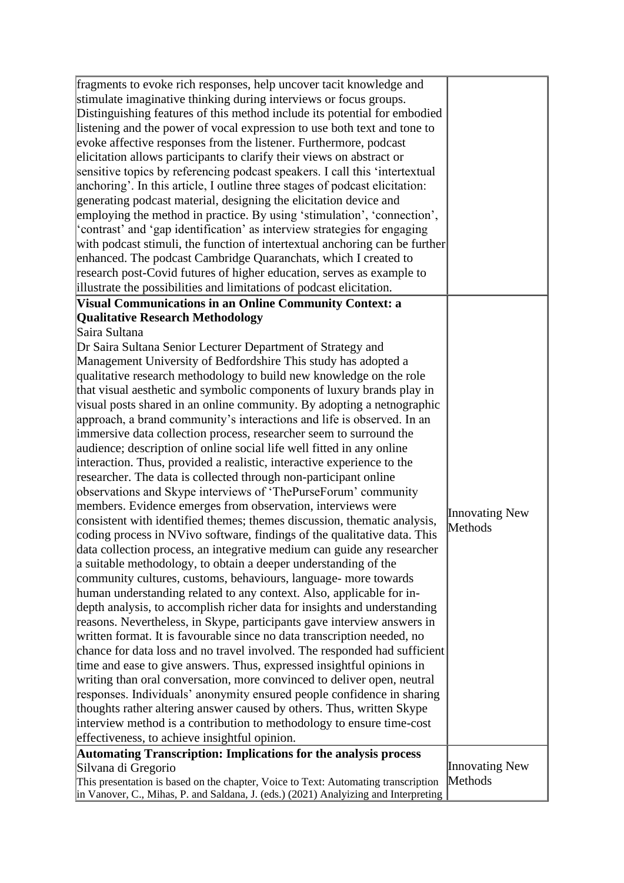| fragments to evoke rich responses, help uncover tacit knowledge and<br>stimulate imaginative thinking during interviews or focus groups.<br>Distinguishing features of this method include its potential for embodied<br>listening and the power of vocal expression to use both text and tone to<br>evoke affective responses from the listener. Furthermore, podcast<br>elicitation allows participants to clarify their views on abstract or<br>sensitive topics by referencing podcast speakers. I call this 'intertextual<br>anchoring'. In this article, I outline three stages of podcast elicitation:<br>generating podcast material, designing the elicitation device and<br>employing the method in practice. By using 'stimulation', 'connection',<br>'contrast' and 'gap identification' as interview strategies for engaging<br>with podcast stimuli, the function of intertextual anchoring can be further<br>enhanced. The podcast Cambridge Quaranchats, which I created to<br>research post-Covid futures of higher education, serves as example to<br>illustrate the possibilities and limitations of podcast elicitation.                                                                                                                                                                                                                                                                                                                                                                                                                                                                                                                                                                                                                                                                                                                                                                                                                                                                                                                                       |                           |
|------------------------------------------------------------------------------------------------------------------------------------------------------------------------------------------------------------------------------------------------------------------------------------------------------------------------------------------------------------------------------------------------------------------------------------------------------------------------------------------------------------------------------------------------------------------------------------------------------------------------------------------------------------------------------------------------------------------------------------------------------------------------------------------------------------------------------------------------------------------------------------------------------------------------------------------------------------------------------------------------------------------------------------------------------------------------------------------------------------------------------------------------------------------------------------------------------------------------------------------------------------------------------------------------------------------------------------------------------------------------------------------------------------------------------------------------------------------------------------------------------------------------------------------------------------------------------------------------------------------------------------------------------------------------------------------------------------------------------------------------------------------------------------------------------------------------------------------------------------------------------------------------------------------------------------------------------------------------------------------------------------------------------------------------------------------------------------|---------------------------|
| <b>Visual Communications in an Online Community Context: a</b>                                                                                                                                                                                                                                                                                                                                                                                                                                                                                                                                                                                                                                                                                                                                                                                                                                                                                                                                                                                                                                                                                                                                                                                                                                                                                                                                                                                                                                                                                                                                                                                                                                                                                                                                                                                                                                                                                                                                                                                                                     |                           |
| <b>Qualitative Research Methodology</b>                                                                                                                                                                                                                                                                                                                                                                                                                                                                                                                                                                                                                                                                                                                                                                                                                                                                                                                                                                                                                                                                                                                                                                                                                                                                                                                                                                                                                                                                                                                                                                                                                                                                                                                                                                                                                                                                                                                                                                                                                                            |                           |
| Saira Sultana<br>Dr Saira Sultana Senior Lecturer Department of Strategy and<br>Management University of Bedfordshire This study has adopted a<br>qualitative research methodology to build new knowledge on the role<br>that visual aesthetic and symbolic components of luxury brands play in<br>visual posts shared in an online community. By adopting a netnographic<br>approach, a brand community's interactions and life is observed. In an<br>immersive data collection process, researcher seem to surround the<br>audience; description of online social life well fitted in any online<br>interaction. Thus, provided a realistic, interactive experience to the<br>researcher. The data is collected through non-participant online<br>observations and Skype interviews of 'ThePurseForum' community<br>members. Evidence emerges from observation, interviews were<br>consistent with identified themes; themes discussion, thematic analysis,<br>coding process in NVivo software, findings of the qualitative data. This<br>data collection process, an integrative medium can guide any researcher<br>a suitable methodology, to obtain a deeper understanding of the<br>community cultures, customs, behaviours, language- more towards<br>human understanding related to any context. Also, applicable for in-<br>depth analysis, to accomplish richer data for insights and understanding<br>reasons. Nevertheless, in Skype, participants gave interview answers in<br>written format. It is favourable since no data transcription needed, no<br>chance for data loss and no travel involved. The responded had sufficient<br>time and ease to give answers. Thus, expressed insightful opinions in<br>writing than oral conversation, more convinced to deliver open, neutral<br>responses. Individuals' anonymity ensured people confidence in sharing<br>thoughts rather altering answer caused by others. Thus, written Skype<br>interview method is a contribution to methodology to ensure time-cost<br>effectiveness, to achieve insightful opinion. | Innovating New<br>Methods |
| Automating Transcription: Implications for the analysis process                                                                                                                                                                                                                                                                                                                                                                                                                                                                                                                                                                                                                                                                                                                                                                                                                                                                                                                                                                                                                                                                                                                                                                                                                                                                                                                                                                                                                                                                                                                                                                                                                                                                                                                                                                                                                                                                                                                                                                                                                    |                           |
| Silvana di Gregorio<br>This presentation is based on the chapter, Voice to Text: Automating transcription<br>in Vanover, C., Mihas, P. and Saldana, J. (eds.) (2021) Analyizing and Interpreting                                                                                                                                                                                                                                                                                                                                                                                                                                                                                                                                                                                                                                                                                                                                                                                                                                                                                                                                                                                                                                                                                                                                                                                                                                                                                                                                                                                                                                                                                                                                                                                                                                                                                                                                                                                                                                                                                   | Innovating New<br>Methods |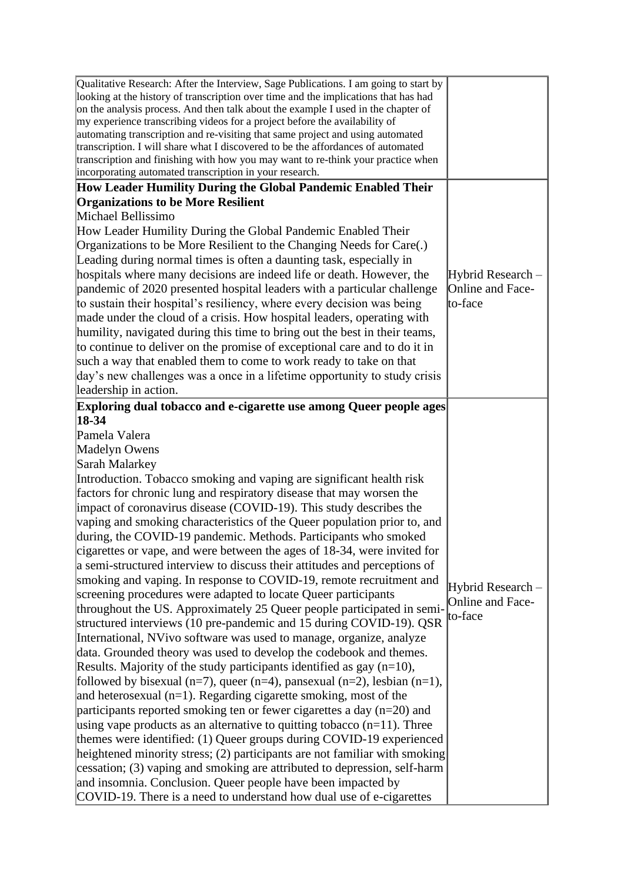| Qualitative Research: After the Interview, Sage Publications. I am going to start by<br>looking at the history of transcription over time and the implications that has had<br>on the analysis process. And then talk about the example I used in the chapter of<br>my experience transcribing videos for a project before the availability of<br>automating transcription and re-visiting that same project and using automated<br>transcription. I will share what I discovered to be the affordances of automated<br>transcription and finishing with how you may want to re-think your practice when<br>incorporating automated transcription in your research. |                   |
|---------------------------------------------------------------------------------------------------------------------------------------------------------------------------------------------------------------------------------------------------------------------------------------------------------------------------------------------------------------------------------------------------------------------------------------------------------------------------------------------------------------------------------------------------------------------------------------------------------------------------------------------------------------------|-------------------|
| How Leader Humility During the Global Pandemic Enabled Their<br><b>Organizations to be More Resilient</b>                                                                                                                                                                                                                                                                                                                                                                                                                                                                                                                                                           |                   |
| Michael Bellissimo                                                                                                                                                                                                                                                                                                                                                                                                                                                                                                                                                                                                                                                  |                   |
| How Leader Humility During the Global Pandemic Enabled Their                                                                                                                                                                                                                                                                                                                                                                                                                                                                                                                                                                                                        |                   |
| Organizations to be More Resilient to the Changing Needs for Care(.)                                                                                                                                                                                                                                                                                                                                                                                                                                                                                                                                                                                                |                   |
| Leading during normal times is often a daunting task, especially in                                                                                                                                                                                                                                                                                                                                                                                                                                                                                                                                                                                                 |                   |
| hospitals where many decisions are indeed life or death. However, the                                                                                                                                                                                                                                                                                                                                                                                                                                                                                                                                                                                               | Hybrid Research - |
| pandemic of 2020 presented hospital leaders with a particular challenge                                                                                                                                                                                                                                                                                                                                                                                                                                                                                                                                                                                             | Online and Face-  |
| to sustain their hospital's resiliency, where every decision was being                                                                                                                                                                                                                                                                                                                                                                                                                                                                                                                                                                                              | to-face           |
| made under the cloud of a crisis. How hospital leaders, operating with                                                                                                                                                                                                                                                                                                                                                                                                                                                                                                                                                                                              |                   |
| humility, navigated during this time to bring out the best in their teams,                                                                                                                                                                                                                                                                                                                                                                                                                                                                                                                                                                                          |                   |
| to continue to deliver on the promise of exceptional care and to do it in                                                                                                                                                                                                                                                                                                                                                                                                                                                                                                                                                                                           |                   |
| such a way that enabled them to come to work ready to take on that                                                                                                                                                                                                                                                                                                                                                                                                                                                                                                                                                                                                  |                   |
| day's new challenges was a once in a lifetime opportunity to study crisis                                                                                                                                                                                                                                                                                                                                                                                                                                                                                                                                                                                           |                   |
| leadership in action.                                                                                                                                                                                                                                                                                                                                                                                                                                                                                                                                                                                                                                               |                   |
| Exploring dual tobacco and e-cigarette use among Queer people ages                                                                                                                                                                                                                                                                                                                                                                                                                                                                                                                                                                                                  |                   |
| $18-34$                                                                                                                                                                                                                                                                                                                                                                                                                                                                                                                                                                                                                                                             |                   |
| Pamela Valera                                                                                                                                                                                                                                                                                                                                                                                                                                                                                                                                                                                                                                                       |                   |
| Madelyn Owens                                                                                                                                                                                                                                                                                                                                                                                                                                                                                                                                                                                                                                                       |                   |
| Sarah Malarkey                                                                                                                                                                                                                                                                                                                                                                                                                                                                                                                                                                                                                                                      |                   |
| Introduction. Tobacco smoking and vaping are significant health risk                                                                                                                                                                                                                                                                                                                                                                                                                                                                                                                                                                                                |                   |
| factors for chronic lung and respiratory disease that may worsen the                                                                                                                                                                                                                                                                                                                                                                                                                                                                                                                                                                                                |                   |
| impact of coronavirus disease (COVID-19). This study describes the                                                                                                                                                                                                                                                                                                                                                                                                                                                                                                                                                                                                  |                   |
| vaping and smoking characteristics of the Queer population prior to, and                                                                                                                                                                                                                                                                                                                                                                                                                                                                                                                                                                                            |                   |
| during, the COVID-19 pandemic. Methods. Participants who smoked                                                                                                                                                                                                                                                                                                                                                                                                                                                                                                                                                                                                     |                   |
| cigarettes or vape, and were between the ages of 18-34, were invited for                                                                                                                                                                                                                                                                                                                                                                                                                                                                                                                                                                                            |                   |
| a semi-structured interview to discuss their attitudes and perceptions of                                                                                                                                                                                                                                                                                                                                                                                                                                                                                                                                                                                           |                   |
| smoking and vaping. In response to COVID-19, remote recruitment and                                                                                                                                                                                                                                                                                                                                                                                                                                                                                                                                                                                                 | Hybrid Research - |
| screening procedures were adapted to locate Queer participants<br>throughout the US. Approximately 25 Queer people participated in semi-                                                                                                                                                                                                                                                                                                                                                                                                                                                                                                                            | Online and Face-  |
| structured interviews (10 pre-pandemic and 15 during COVID-19). QSR                                                                                                                                                                                                                                                                                                                                                                                                                                                                                                                                                                                                 | to-face           |
| International, NVivo software was used to manage, organize, analyze                                                                                                                                                                                                                                                                                                                                                                                                                                                                                                                                                                                                 |                   |
| data. Grounded theory was used to develop the codebook and themes.                                                                                                                                                                                                                                                                                                                                                                                                                                                                                                                                                                                                  |                   |
| Results. Majority of the study participants identified as gay $(n=10)$ ,                                                                                                                                                                                                                                                                                                                                                                                                                                                                                                                                                                                            |                   |
| followed by bisexual (n=7), queer (n=4), pansexual (n=2), lesbian (n=1),                                                                                                                                                                                                                                                                                                                                                                                                                                                                                                                                                                                            |                   |
| and heterosexual $(n=1)$ . Regarding cigarette smoking, most of the                                                                                                                                                                                                                                                                                                                                                                                                                                                                                                                                                                                                 |                   |
| participants reported smoking ten or fewer cigarettes a day $(n=20)$ and                                                                                                                                                                                                                                                                                                                                                                                                                                                                                                                                                                                            |                   |
| using vape products as an alternative to quitting tobacco $(n=11)$ . Three                                                                                                                                                                                                                                                                                                                                                                                                                                                                                                                                                                                          |                   |
| themes were identified: (1) Queer groups during COVID-19 experienced                                                                                                                                                                                                                                                                                                                                                                                                                                                                                                                                                                                                |                   |
| heightened minority stress; $(2)$ participants are not familiar with smoking                                                                                                                                                                                                                                                                                                                                                                                                                                                                                                                                                                                        |                   |
| cessation; (3) vaping and smoking are attributed to depression, self-harm                                                                                                                                                                                                                                                                                                                                                                                                                                                                                                                                                                                           |                   |
| and insomnia. Conclusion. Queer people have been impacted by                                                                                                                                                                                                                                                                                                                                                                                                                                                                                                                                                                                                        |                   |
| COVID-19. There is a need to understand how dual use of e-cigarettes                                                                                                                                                                                                                                                                                                                                                                                                                                                                                                                                                                                                |                   |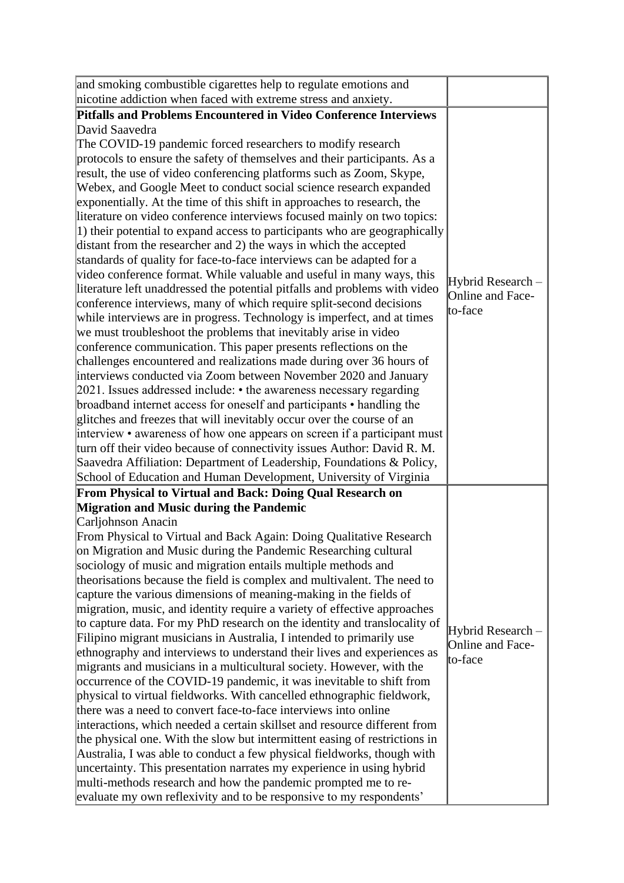| and smoking combustible cigarettes help to regulate emotions and                   |                   |
|------------------------------------------------------------------------------------|-------------------|
| nicotine addiction when faced with extreme stress and anxiety.                     |                   |
| <b>Pitfalls and Problems Encountered in Video Conference Interviews</b>            |                   |
| David Saavedra                                                                     |                   |
| The COVID-19 pandemic forced researchers to modify research                        |                   |
| protocols to ensure the safety of themselves and their participants. As a          |                   |
| result, the use of video conferencing platforms such as Zoom, Skype,               |                   |
| Webex, and Google Meet to conduct social science research expanded                 |                   |
| exponentially. At the time of this shift in approaches to research, the            |                   |
| literature on video conference interviews focused mainly on two topics:            |                   |
| $\vert$ 1) their potential to expand access to participants who are geographically |                   |
| distant from the researcher and 2) the ways in which the accepted                  |                   |
| standards of quality for face-to-face interviews can be adapted for a              |                   |
| video conference format. While valuable and useful in many ways, this              | Hybrid Research - |
| literature left unaddressed the potential pitfalls and problems with video         | Online and Face-  |
| conference interviews, many of which require split-second decisions                | to-face           |
| while interviews are in progress. Technology is imperfect, and at times            |                   |
| we must troubleshoot the problems that inevitably arise in video                   |                   |
| conference communication. This paper presents reflections on the                   |                   |
| challenges encountered and realizations made during over 36 hours of               |                   |
| interviews conducted via Zoom between November 2020 and January                    |                   |
| $2021$ . Issues addressed include: $\cdot$ the awareness necessary regarding       |                   |
| broadband internet access for oneself and participants • handling the              |                   |
| glitches and freezes that will inevitably occur over the course of an              |                   |
| interview • awareness of how one appears on screen if a participant must           |                   |
| turn off their video because of connectivity issues Author: David R. M.            |                   |
| Saavedra Affiliation: Department of Leadership, Foundations & Policy,              |                   |
| School of Education and Human Development, University of Virginia                  |                   |
| From Physical to Virtual and Back: Doing Qual Research on                          |                   |
| <b>Migration and Music during the Pandemic</b>                                     |                   |
| Carljohnson Anacin                                                                 |                   |
| From Physical to Virtual and Back Again: Doing Qualitative Research                |                   |
| on Migration and Music during the Pandemic Researching cultural                    |                   |
| sociology of music and migration entails multiple methods and                      |                   |
| theorisations because the field is complex and multivalent. The need to            |                   |
| capture the various dimensions of meaning-making in the fields of                  |                   |
| migration, music, and identity require a variety of effective approaches           |                   |
| to capture data. For my PhD research on the identity and translocality of          | Hybrid Research - |
| Filipino migrant musicians in Australia, I intended to primarily use               | Online and Face-  |
| ethnography and interviews to understand their lives and experiences as            | to-face           |
| migrants and musicians in a multicultural society. However, with the               |                   |
| occurrence of the COVID-19 pandemic, it was inevitable to shift from               |                   |
| physical to virtual fieldworks. With cancelled ethnographic fieldwork,             |                   |
| there was a need to convert face-to-face interviews into online                    |                   |
| interactions, which needed a certain skillset and resource different from          |                   |
| the physical one. With the slow but intermittent easing of restrictions in         |                   |
| Australia, I was able to conduct a few physical fieldworks, though with            |                   |
| uncertainty. This presentation narrates my experience in using hybrid              |                   |
| multi-methods research and how the pandemic prompted me to re-                     |                   |
| evaluate my own reflexivity and to be responsive to my respondents'                |                   |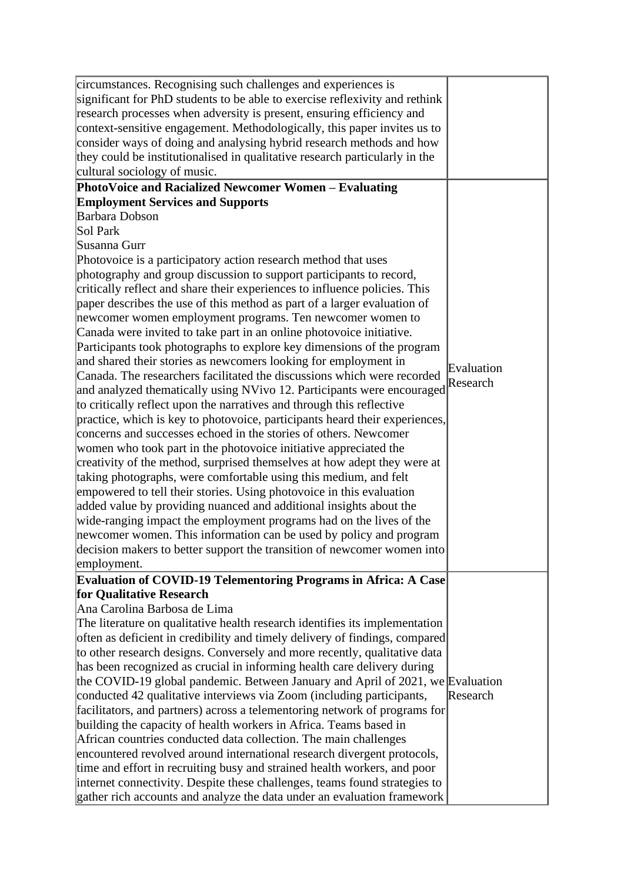| circumstances. Recognising such challenges and experiences is<br>significant for PhD students to be able to exercise reflexivity and rethink<br>research processes when adversity is present, ensuring efficiency and<br>context-sensitive engagement. Methodologically, this paper invites us to<br>consider ways of doing and analysing hybrid research methods and how<br>they could be institutionalised in qualitative research particularly in the<br>cultural sociology of music.<br>PhotoVoice and Racialized Newcomer Women - Evaluating                                                                                                                                                                                                                                                                                                                                                                                                                                                                                                                                                                                                                                                                                                                                                                                                                                                                                                                                                                                                                                                                                                                           |                        |
|-----------------------------------------------------------------------------------------------------------------------------------------------------------------------------------------------------------------------------------------------------------------------------------------------------------------------------------------------------------------------------------------------------------------------------------------------------------------------------------------------------------------------------------------------------------------------------------------------------------------------------------------------------------------------------------------------------------------------------------------------------------------------------------------------------------------------------------------------------------------------------------------------------------------------------------------------------------------------------------------------------------------------------------------------------------------------------------------------------------------------------------------------------------------------------------------------------------------------------------------------------------------------------------------------------------------------------------------------------------------------------------------------------------------------------------------------------------------------------------------------------------------------------------------------------------------------------------------------------------------------------------------------------------------------------|------------------------|
| <b>Employment Services and Supports</b><br><b>Barbara Dobson</b><br>Sol Park<br>Susanna Gurr<br>Photovoice is a participatory action research method that uses<br>photography and group discussion to support participants to record,<br>critically reflect and share their experiences to influence policies. This<br>paper describes the use of this method as part of a larger evaluation of<br>newcomer women employment programs. Ten newcomer women to<br>Canada were invited to take part in an online photovoice initiative.<br>Participants took photographs to explore key dimensions of the program<br>and shared their stories as newcomers looking for employment in<br>Canada. The researchers facilitated the discussions which were recorded<br>and analyzed thematically using NVivo 12. Participants were encouraged<br>to critically reflect upon the narratives and through this reflective<br>practice, which is key to photovoice, participants heard their experiences,<br>concerns and successes echoed in the stories of others. Newcomer<br>women who took part in the photovoice initiative appreciated the<br>creativity of the method, surprised themselves at how adept they were at<br>taking photographs, were comfortable using this medium, and felt<br>empowered to tell their stories. Using photovoice in this evaluation<br>added value by providing nuanced and additional insights about the<br>wide-ranging impact the employment programs had on the lives of the<br>newcomer women. This information can be used by policy and program<br>decision makers to better support the transition of newcomer women into<br>employment. | Evaluation<br>Research |
| Evaluation of COVID-19 Telementoring Programs in Africa: A Case<br>for Qualitative Research<br>Ana Carolina Barbosa de Lima<br>The literature on qualitative health research identifies its implementation<br>often as deficient in credibility and timely delivery of findings, compared<br>to other research designs. Conversely and more recently, qualitative data<br>has been recognized as crucial in informing health care delivery during<br>the COVID-19 global pandemic. Between January and April of $2021$ , we Evaluation<br>conducted 42 qualitative interviews via Zoom (including participants,<br>facilitators, and partners) across a telementoring network of programs for<br>building the capacity of health workers in Africa. Teams based in<br>African countries conducted data collection. The main challenges<br>encountered revolved around international research divergent protocols,<br>time and effort in recruiting busy and strained health workers, and poor<br>internet connectivity. Despite these challenges, teams found strategies to<br>gather rich accounts and analyze the data under an evaluation framework                                                                                                                                                                                                                                                                                                                                                                                                                                                                                                                      | Research               |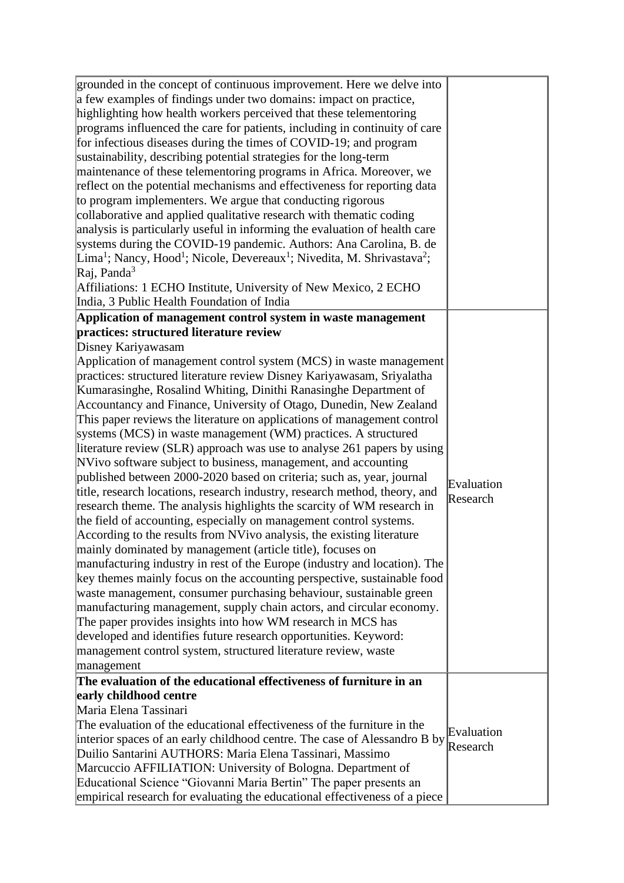| grounded in the concept of continuous improvement. Here we delve into<br>a few examples of findings under two domains: impact on practice,<br>highlighting how health workers perceived that these telementoring<br>programs influenced the care for patients, including in continuity of care<br>for infectious diseases during the times of COVID-19; and program<br>sustainability, describing potential strategies for the long-term<br>maintenance of these telementoring programs in Africa. Moreover, we<br>reflect on the potential mechanisms and effectiveness for reporting data<br>to program implementers. We argue that conducting rigorous<br>collaborative and applied qualitative research with thematic coding<br>analysis is particularly useful in informing the evaluation of health care<br>systems during the COVID-19 pandemic. Authors: Ana Carolina, B. de<br>$\text{Lima}^1$ ; Nancy, Hood <sup>1</sup> ; Nicole, Devereaux <sup>1</sup> ; Nivedita, M. Shrivastava <sup>2</sup> ;<br>$Ra$ j, Panda <sup>3</sup><br>Affiliations: 1 ECHO Institute, University of New Mexico, 2 ECHO<br>India, 3 Public Health Foundation of India                                                                                                                                                                                                                                                                                                                                                                                                                 |                        |
|-------------------------------------------------------------------------------------------------------------------------------------------------------------------------------------------------------------------------------------------------------------------------------------------------------------------------------------------------------------------------------------------------------------------------------------------------------------------------------------------------------------------------------------------------------------------------------------------------------------------------------------------------------------------------------------------------------------------------------------------------------------------------------------------------------------------------------------------------------------------------------------------------------------------------------------------------------------------------------------------------------------------------------------------------------------------------------------------------------------------------------------------------------------------------------------------------------------------------------------------------------------------------------------------------------------------------------------------------------------------------------------------------------------------------------------------------------------------------------------------------------------------------------------------------------------------------------|------------------------|
| Application of management control system in waste management                                                                                                                                                                                                                                                                                                                                                                                                                                                                                                                                                                                                                                                                                                                                                                                                                                                                                                                                                                                                                                                                                                                                                                                                                                                                                                                                                                                                                                                                                                                  |                        |
| practices: structured literature review                                                                                                                                                                                                                                                                                                                                                                                                                                                                                                                                                                                                                                                                                                                                                                                                                                                                                                                                                                                                                                                                                                                                                                                                                                                                                                                                                                                                                                                                                                                                       |                        |
| Disney Kariyawasam<br>Application of management control system (MCS) in waste management<br>practices: structured literature review Disney Kariyawasam, Sriyalatha<br>Kumarasinghe, Rosalind Whiting, Dinithi Ranasinghe Department of<br>Accountancy and Finance, University of Otago, Dunedin, New Zealand<br>This paper reviews the literature on applications of management control<br>systems (MCS) in waste management (WM) practices. A structured<br>literature review (SLR) approach was use to analyse 261 papers by using<br>NVivo software subject to business, management, and accounting<br>published between 2000-2020 based on criteria; such as, year, journal<br>title, research locations, research industry, research method, theory, and<br>research theme. The analysis highlights the scarcity of WM research in<br>the field of accounting, especially on management control systems.<br>According to the results from NVivo analysis, the existing literature<br>mainly dominated by management (article title), focuses on<br>manufacturing industry in rest of the Europe (industry and location). The<br>key themes mainly focus on the accounting perspective, sustainable food<br>waste management, consumer purchasing behaviour, sustainable green<br>manufacturing management, supply chain actors, and circular economy.<br>The paper provides insights into how WM research in MCS has<br>developed and identifies future research opportunities. Keyword:<br>management control system, structured literature review, waste<br>management | Evaluation<br>Research |
| The evaluation of the educational effectiveness of furniture in an<br>early childhood centre<br>Maria Elena Tassinari<br>The evaluation of the educational effectiveness of the furniture in the<br>interior spaces of an early childhood centre. The case of Alessandro B by<br>Duilio Santarini AUTHORS: Maria Elena Tassinari, Massimo<br>Marcuccio AFFILIATION: University of Bologna. Department of<br>Educational Science "Giovanni Maria Bertin" The paper presents an<br>empirical research for evaluating the educational effectiveness of a piece                                                                                                                                                                                                                                                                                                                                                                                                                                                                                                                                                                                                                                                                                                                                                                                                                                                                                                                                                                                                                   | Evaluation<br>Research |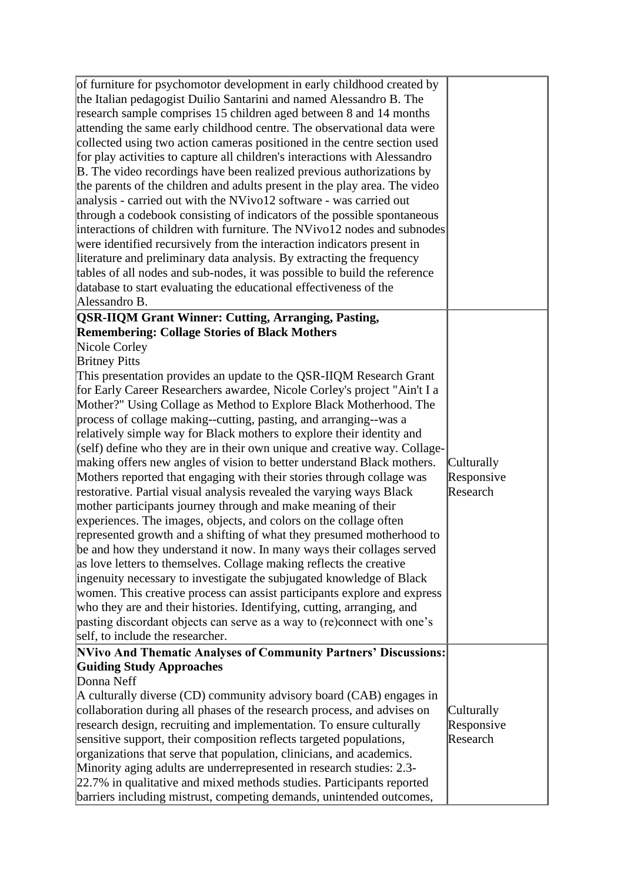| of furniture for psychomotor development in early childhood created by<br>the Italian pedagogist Duilio Santarini and named Alessandro B. The<br>research sample comprises 15 children aged between 8 and 14 months<br>attending the same early childhood centre. The observational data were<br>collected using two action cameras positioned in the centre section used<br>for play activities to capture all children's interactions with Alessandro<br>B. The video recordings have been realized previous authorizations by<br>the parents of the children and adults present in the play area. The video<br>analysis - carried out with the NVivo12 software - was carried out<br>through a codebook consisting of indicators of the possible spontaneous<br>interactions of children with furniture. The NVivo12 nodes and subnodes<br>were identified recursively from the interaction indicators present in<br>literature and preliminary data analysis. By extracting the frequency<br>tables of all nodes and sub-nodes, it was possible to build the reference<br>database to start evaluating the educational effectiveness of the<br>Alessandro B.                                                                                                                                                                                                                                                                |                                      |
|---------------------------------------------------------------------------------------------------------------------------------------------------------------------------------------------------------------------------------------------------------------------------------------------------------------------------------------------------------------------------------------------------------------------------------------------------------------------------------------------------------------------------------------------------------------------------------------------------------------------------------------------------------------------------------------------------------------------------------------------------------------------------------------------------------------------------------------------------------------------------------------------------------------------------------------------------------------------------------------------------------------------------------------------------------------------------------------------------------------------------------------------------------------------------------------------------------------------------------------------------------------------------------------------------------------------------------------------------------------------------------------------------------------------------------|--------------------------------------|
| <b>QSR-IIQM Grant Winner: Cutting, Arranging, Pasting,</b><br><b>Remembering: Collage Stories of Black Mothers</b>                                                                                                                                                                                                                                                                                                                                                                                                                                                                                                                                                                                                                                                                                                                                                                                                                                                                                                                                                                                                                                                                                                                                                                                                                                                                                                              |                                      |
| Nicole Corley<br><b>Britney Pitts</b><br>This presentation provides an update to the QSR-IIQM Research Grant<br>for Early Career Researchers awardee, Nicole Corley's project "Ain't I a<br>Mother?" Using Collage as Method to Explore Black Motherhood. The<br>process of collage making--cutting, pasting, and arranging--was a<br>relatively simple way for Black mothers to explore their identity and<br>(self) define who they are in their own unique and creative way. Collage-<br>making offers new angles of vision to better understand Black mothers.<br>Mothers reported that engaging with their stories through collage was<br>restorative. Partial visual analysis revealed the varying ways Black<br>mother participants journey through and make meaning of their<br>experiences. The images, objects, and colors on the collage often<br>represented growth and a shifting of what they presumed motherhood to<br>be and how they understand it now. In many ways their collages served<br>as love letters to themselves. Collage making reflects the creative<br>ingenuity necessary to investigate the subjugated knowledge of Black<br>women. This creative process can assist participants explore and express<br>who they are and their histories. Identifying, cutting, arranging, and<br>pasting discordant objects can serve as a way to (re)connect with one's<br>self, to include the researcher. | Culturally<br>Responsive<br>Research |
| NVivo And Thematic Analyses of Community Partners' Discussions:<br><b>Guiding Study Approaches</b><br>Donna Neff<br>A culturally diverse (CD) community advisory board (CAB) engages in<br>collaboration during all phases of the research process, and advises on<br>research design, recruiting and implementation. To ensure culturally<br>sensitive support, their composition reflects targeted populations,<br>organizations that serve that population, clinicians, and academics.<br>Minority aging adults are underrepresented in research studies: 2.3-<br>22.7% in qualitative and mixed methods studies. Participants reported<br>barriers including mistrust, competing demands, unintended outcomes,                                                                                                                                                                                                                                                                                                                                                                                                                                                                                                                                                                                                                                                                                                              | Culturally<br>Responsive<br>Research |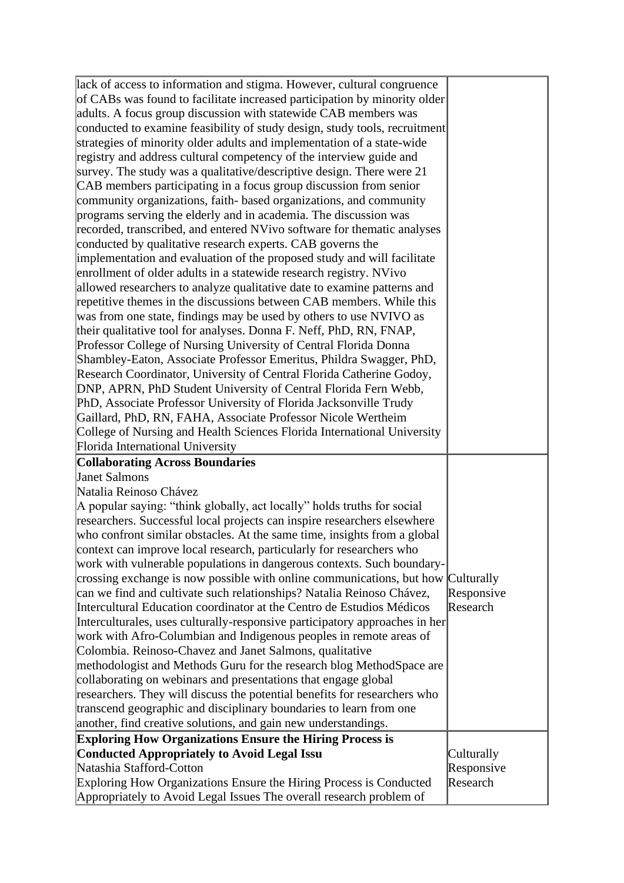| lack of access to information and stigma. However, cultural congruence<br>of CABs was found to facilitate increased participation by minority older<br>adults. A focus group discussion with statewide CAB members was<br>conducted to examine feasibility of study design, study tools, recruitment<br>strategies of minority older adults and implementation of a state-wide<br>registry and address cultural competency of the interview guide and<br>survey. The study was a qualitative/descriptive design. There were 21<br>CAB members participating in a focus group discussion from senior<br>community organizations, faith-based organizations, and community<br>programs serving the elderly and in academia. The discussion was<br>recorded, transcribed, and entered NVivo software for thematic analyses<br>conducted by qualitative research experts. CAB governs the<br>implementation and evaluation of the proposed study and will facilitate<br>enrollment of older adults in a statewide research registry. NVivo<br>allowed researchers to analyze qualitative date to examine patterns and<br>repetitive themes in the discussions between CAB members. While this<br>was from one state, findings may be used by others to use NVIVO as<br>their qualitative tool for analyses. Donna F. Neff, PhD, RN, FNAP,<br>Professor College of Nursing University of Central Florida Donna<br>Shambley-Eaton, Associate Professor Emeritus, Phildra Swagger, PhD,<br>Research Coordinator, University of Central Florida Catherine Godoy,<br>DNP, APRN, PhD Student University of Central Florida Fern Webb,<br>PhD, Associate Professor University of Florida Jacksonville Trudy<br>Gaillard, PhD, RN, FAHA, Associate Professor Nicole Wertheim<br>College of Nursing and Health Sciences Florida International University<br>Florida International University |                        |
|---------------------------------------------------------------------------------------------------------------------------------------------------------------------------------------------------------------------------------------------------------------------------------------------------------------------------------------------------------------------------------------------------------------------------------------------------------------------------------------------------------------------------------------------------------------------------------------------------------------------------------------------------------------------------------------------------------------------------------------------------------------------------------------------------------------------------------------------------------------------------------------------------------------------------------------------------------------------------------------------------------------------------------------------------------------------------------------------------------------------------------------------------------------------------------------------------------------------------------------------------------------------------------------------------------------------------------------------------------------------------------------------------------------------------------------------------------------------------------------------------------------------------------------------------------------------------------------------------------------------------------------------------------------------------------------------------------------------------------------------------------------------------------------------------------------------------------------------------------------------------------|------------------------|
| <b>Collaborating Across Boundaries</b><br><b>Janet Salmons</b><br>Natalia Reinoso Chávez<br>A popular saying: "think globally, act locally" holds truths for social<br>researchers. Successful local projects can inspire researchers elsewhere<br>who confront similar obstacles. At the same time, insights from a global<br>context can improve local research, particularly for researchers who<br>work with vulnerable populations in dangerous contexts. Such boundary-<br>crossing exchange is now possible with online communications, but how Culturally<br>can we find and cultivate such relationships? Natalia Reinoso Chávez,<br>Intercultural Education coordinator at the Centro de Estudios Médicos<br>Interculturales, uses culturally-responsive participatory approaches in her<br>work with Afro-Columbian and Indigenous peoples in remote areas of<br>Colombia. Reinoso-Chavez and Janet Salmons, qualitative<br>methodologist and Methods Guru for the research blog MethodSpace are<br>collaborating on webinars and presentations that engage global<br>researchers. They will discuss the potential benefits for researchers who<br>transcend geographic and disciplinary boundaries to learn from one<br>another, find creative solutions, and gain new understandings.                                                                                                                                                                                                                                                                                                                                                                                                                                                                                                                                                                              | Responsive<br>Research |
| <b>Exploring How Organizations Ensure the Hiring Process is</b>                                                                                                                                                                                                                                                                                                                                                                                                                                                                                                                                                                                                                                                                                                                                                                                                                                                                                                                                                                                                                                                                                                                                                                                                                                                                                                                                                                                                                                                                                                                                                                                                                                                                                                                                                                                                                 |                        |
| <b>Conducted Appropriately to Avoid Legal Issu</b>                                                                                                                                                                                                                                                                                                                                                                                                                                                                                                                                                                                                                                                                                                                                                                                                                                                                                                                                                                                                                                                                                                                                                                                                                                                                                                                                                                                                                                                                                                                                                                                                                                                                                                                                                                                                                              | Culturally             |
| Natashia Stafford-Cotton                                                                                                                                                                                                                                                                                                                                                                                                                                                                                                                                                                                                                                                                                                                                                                                                                                                                                                                                                                                                                                                                                                                                                                                                                                                                                                                                                                                                                                                                                                                                                                                                                                                                                                                                                                                                                                                        | Responsive             |
| Exploring How Organizations Ensure the Hiring Process is Conducted<br>Appropriately to Avoid Legal Issues The overall research problem of                                                                                                                                                                                                                                                                                                                                                                                                                                                                                                                                                                                                                                                                                                                                                                                                                                                                                                                                                                                                                                                                                                                                                                                                                                                                                                                                                                                                                                                                                                                                                                                                                                                                                                                                       | Research               |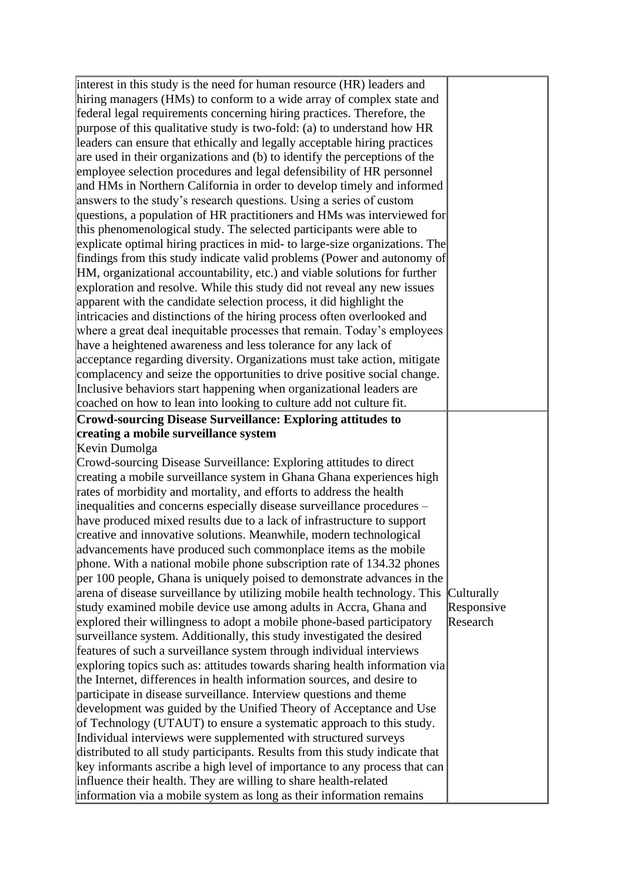| interest in this study is the need for human resource (HR) leaders and       |            |
|------------------------------------------------------------------------------|------------|
| hiring managers (HMs) to conform to a wide array of complex state and        |            |
|                                                                              |            |
| federal legal requirements concerning hiring practices. Therefore, the       |            |
| purpose of this qualitative study is two-fold: (a) to understand how HR      |            |
| leaders can ensure that ethically and legally acceptable hiring practices    |            |
| are used in their organizations and (b) to identify the perceptions of the   |            |
| employee selection procedures and legal defensibility of HR personnel        |            |
| and HMs in Northern California in order to develop timely and informed       |            |
| answers to the study's research questions. Using a series of custom          |            |
| questions, a population of HR practitioners and HMs was interviewed for      |            |
| this phenomenological study. The selected participants were able to          |            |
| explicate optimal hiring practices in mid- to large-size organizations. The  |            |
| findings from this study indicate valid problems (Power and autonomy of      |            |
| HM, organizational accountability, etc.) and viable solutions for further    |            |
| exploration and resolve. While this study did not reveal any new issues      |            |
| apparent with the candidate selection process, it did highlight the          |            |
| intricacies and distinctions of the hiring process often overlooked and      |            |
| where a great deal inequitable processes that remain. Today's employees      |            |
| have a heightened awareness and less tolerance for any lack of               |            |
| acceptance regarding diversity. Organizations must take action, mitigate     |            |
| complacency and seize the opportunities to drive positive social change.     |            |
| Inclusive behaviors start happening when organizational leaders are          |            |
| coached on how to lean into looking to culture add not culture fit.          |            |
| <b>Crowd-sourcing Disease Surveillance: Exploring attitudes to</b>           |            |
| creating a mobile surveillance system                                        |            |
| Kevin Dumolga                                                                |            |
| Crowd-sourcing Disease Surveillance: Exploring attitudes to direct           |            |
| creating a mobile surveillance system in Ghana Ghana experiences high        |            |
| rates of morbidity and mortality, and efforts to address the health          |            |
| inequalities and concerns especially disease surveillance procedures –       |            |
| have produced mixed results due to a lack of infrastructure to support       |            |
| creative and innovative solutions. Meanwhile, modern technological           |            |
| advancements have produced such commonplace items as the mobile              |            |
| phone. With a national mobile phone subscription rate of 134.32 phones       |            |
| per 100 people, Ghana is uniquely poised to demonstrate advances in the      |            |
| arena of disease surveillance by utilizing mobile health technology. This    | Culturally |
| study examined mobile device use among adults in Accra, Ghana and            | Responsive |
|                                                                              | Research   |
| explored their willingness to adopt a mobile phone-based participatory       |            |
| surveillance system. Additionally, this study investigated the desired       |            |
| features of such a surveillance system through individual interviews         |            |
| exploring topics such as: attitudes towards sharing health information via   |            |
| the Internet, differences in health information sources, and desire to       |            |
| participate in disease surveillance. Interview questions and theme           |            |
| development was guided by the Unified Theory of Acceptance and Use           |            |
| of Technology (UTAUT) to ensure a systematic approach to this study.         |            |
| Individual interviews were supplemented with structured surveys              |            |
| distributed to all study participants. Results from this study indicate that |            |
| key informants ascribe a high level of importance to any process that can    |            |
| influence their health. They are willing to share health-related             |            |
| information via a mobile system as long as their information remains         |            |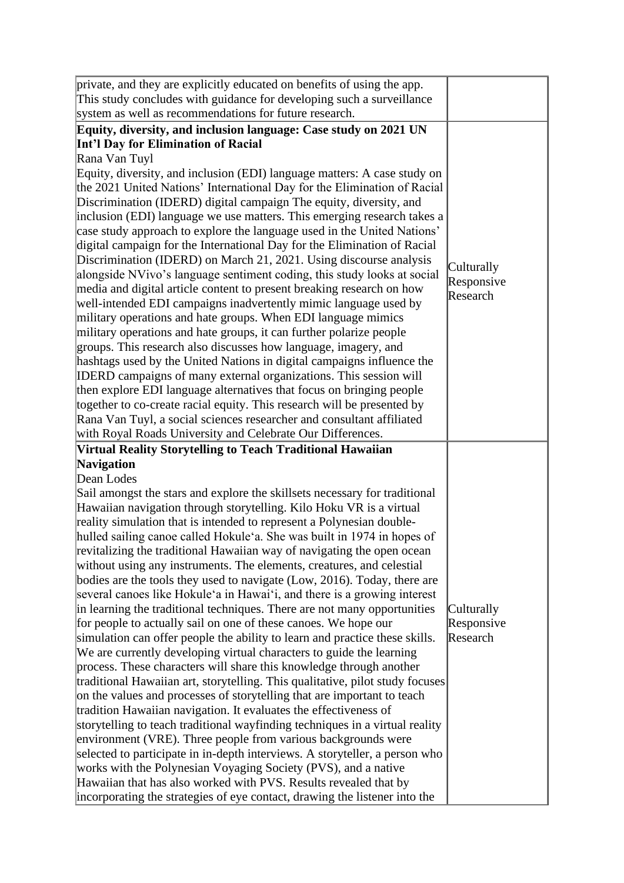| private, and they are explicitly educated on benefits of using the app.                                                                       |            |
|-----------------------------------------------------------------------------------------------------------------------------------------------|------------|
| This study concludes with guidance for developing such a surveillance                                                                         |            |
| system as well as recommendations for future research.                                                                                        |            |
| Equity, diversity, and inclusion language: Case study on 2021 UN                                                                              |            |
| Int'l Day for Elimination of Racial                                                                                                           |            |
| Rana Van Tuyl                                                                                                                                 |            |
| Equity, diversity, and inclusion (EDI) language matters: A case study on                                                                      |            |
| the 2021 United Nations' International Day for the Elimination of Racial                                                                      |            |
| Discrimination (IDERD) digital campaign The equity, diversity, and                                                                            |            |
| inclusion (EDI) language we use matters. This emerging research takes a                                                                       |            |
| case study approach to explore the language used in the United Nations'                                                                       |            |
| digital campaign for the International Day for the Elimination of Racial                                                                      |            |
| Discrimination (IDERD) on March 21, 2021. Using discourse analysis                                                                            | Culturally |
| alongside NVivo's language sentiment coding, this study looks at social                                                                       | Responsive |
| media and digital article content to present breaking research on how                                                                         | Research   |
| well-intended EDI campaigns inadvertently mimic language used by                                                                              |            |
| military operations and hate groups. When EDI language mimics                                                                                 |            |
| military operations and hate groups, it can further polarize people                                                                           |            |
| groups. This research also discusses how language, imagery, and                                                                               |            |
| hashtags used by the United Nations in digital campaigns influence the                                                                        |            |
| IDERD campaigns of many external organizations. This session will                                                                             |            |
| then explore EDI language alternatives that focus on bringing people                                                                          |            |
| together to co-create racial equity. This research will be presented by                                                                       |            |
| Rana Van Tuyl, a social sciences researcher and consultant affiliated                                                                         |            |
| with Royal Roads University and Celebrate Our Differences.                                                                                    |            |
|                                                                                                                                               |            |
| Virtual Reality Storytelling to Teach Traditional Hawaiian                                                                                    |            |
| Navigation                                                                                                                                    |            |
| Dean Lodes                                                                                                                                    |            |
| Sail amongst the stars and explore the skillsets necessary for traditional                                                                    |            |
| Hawaiian navigation through storytelling. Kilo Hoku VR is a virtual                                                                           |            |
| reality simulation that is intended to represent a Polynesian double-                                                                         |            |
| hulled sailing canoe called Hokule'a. She was built in 1974 in hopes of                                                                       |            |
| revitalizing the traditional Hawaiian way of navigating the open ocean                                                                        |            |
| without using any instruments. The elements, creatures, and celestial                                                                         |            |
| bodies are the tools they used to navigate (Low, 2016). Today, there are                                                                      |            |
| several canoes like Hokule'a in Hawai'i, and there is a growing interest                                                                      |            |
| in learning the traditional techniques. There are not many opportunities                                                                      | Culturally |
| for people to actually sail on one of these canoes. We hope our                                                                               | Responsive |
| simulation can offer people the ability to learn and practice these skills.                                                                   | Research   |
| We are currently developing virtual characters to guide the learning                                                                          |            |
| process. These characters will share this knowledge through another                                                                           |            |
| traditional Hawaiian art, storytelling. This qualitative, pilot study focuses                                                                 |            |
| on the values and processes of storytelling that are important to teach                                                                       |            |
| tradition Hawaiian navigation. It evaluates the effectiveness of                                                                              |            |
| storytelling to teach traditional wayfinding techniques in a virtual reality                                                                  |            |
| environment (VRE). Three people from various backgrounds were                                                                                 |            |
| selected to participate in in-depth interviews. A storyteller, a person who<br>works with the Polynesian Voyaging Society (PVS), and a native |            |
| Hawaiian that has also worked with PVS. Results revealed that by                                                                              |            |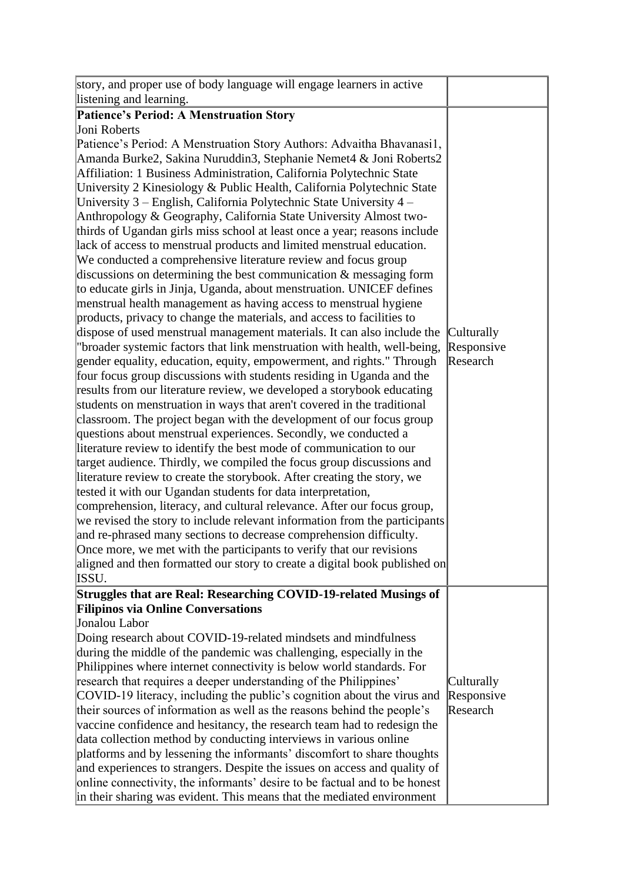| story, and proper use of body language will engage learners in active      |            |
|----------------------------------------------------------------------------|------------|
| listening and learning.                                                    |            |
| <b>Patience's Period: A Menstruation Story</b>                             |            |
| Joni Roberts                                                               |            |
| Patience's Period: A Menstruation Story Authors: Advaitha Bhavanasi1,      |            |
| Amanda Burke2, Sakina Nuruddin3, Stephanie Nemet4 & Joni Roberts2          |            |
| Affiliation: 1 Business Administration, California Polytechnic State       |            |
| University 2 Kinesiology & Public Health, California Polytechnic State     |            |
| University 3 – English, California Polytechnic State University 4 –        |            |
| Anthropology & Geography, California State University Almost two-          |            |
| thirds of Ugandan girls miss school at least once a year; reasons include  |            |
| lack of access to menstrual products and limited menstrual education.      |            |
| We conducted a comprehensive literature review and focus group             |            |
| discussions on determining the best communication $\&$ messaging form      |            |
| to educate girls in Jinja, Uganda, about menstruation. UNICEF defines      |            |
| menstrual health management as having access to menstrual hygiene          |            |
| products, privacy to change the materials, and access to facilities to     |            |
| dispose of used menstrual management materials. It can also include the    | Culturally |
| "broader systemic factors that link menstruation with health, well-being,  | Responsive |
| gender equality, education, equity, empowerment, and rights." Through      | Research   |
| four focus group discussions with students residing in Uganda and the      |            |
| results from our literature review, we developed a storybook educating     |            |
| students on menstruation in ways that aren't covered in the traditional    |            |
| classroom. The project began with the development of our focus group       |            |
| questions about menstrual experiences. Secondly, we conducted a            |            |
| literature review to identify the best mode of communication to our        |            |
| target audience. Thirdly, we compiled the focus group discussions and      |            |
| literature review to create the storybook. After creating the story, we    |            |
| tested it with our Ugandan students for data interpretation,               |            |
| comprehension, literacy, and cultural relevance. After our focus group,    |            |
| we revised the story to include relevant information from the participants |            |
| and re-phrased many sections to decrease comprehension difficulty.         |            |
| Once more, we met with the participants to verify that our revisions       |            |
| aligned and then formatted our story to create a digital book published on |            |
| ISSU.                                                                      |            |
| Struggles that are Real: Researching COVID-19-related Musings of           |            |
| <b>Filipinos via Online Conversations</b>                                  |            |
| Jonalou Labor                                                              |            |
| Doing research about COVID-19-related mindsets and mindfulness             |            |
| during the middle of the pandemic was challenging, especially in the       |            |
| Philippines where internet connectivity is below world standards. For      |            |
| research that requires a deeper understanding of the Philippines'          | Culturally |
| COVID-19 literacy, including the public's cognition about the virus and    | Responsive |
| their sources of information as well as the reasons behind the people's    | Research   |
| vaccine confidence and hesitancy, the research team had to redesign the    |            |
| data collection method by conducting interviews in various online          |            |
| platforms and by lessening the informants' discomfort to share thoughts    |            |
| and experiences to strangers. Despite the issues on access and quality of  |            |
| online connectivity, the informants' desire to be factual and to be honest |            |
| in their sharing was evident. This means that the mediated environment     |            |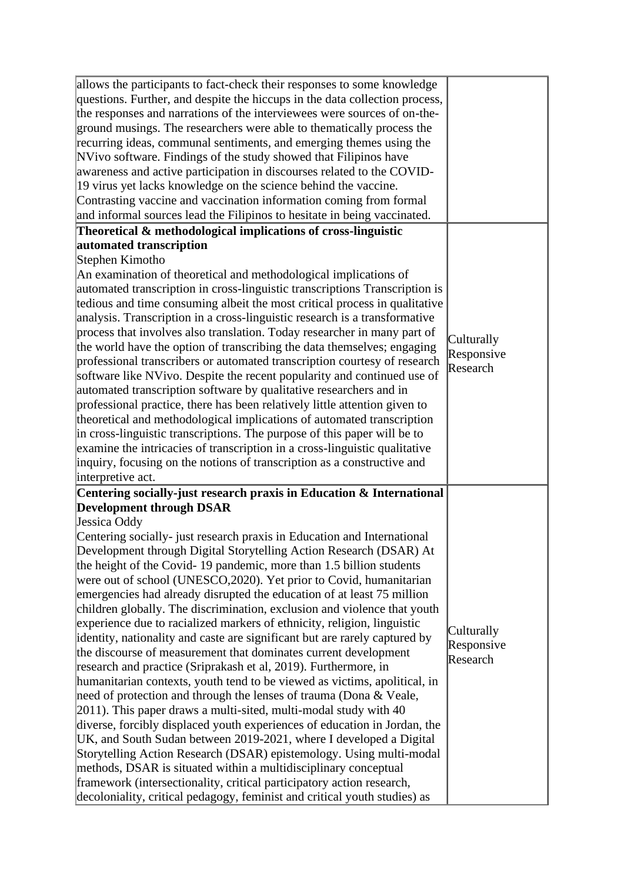| allows the participants to fact-check their responses to some knowledge<br>questions. Further, and despite the hiccups in the data collection process,<br>the responses and narrations of the interviewees were sources of on-the-<br>ground musings. The researchers were able to thematically process the<br>recurring ideas, communal sentiments, and emerging themes using the<br>NVivo software. Findings of the study showed that Filipinos have<br>awareness and active participation in discourses related to the COVID-<br>19 virus yet lacks knowledge on the science behind the vaccine.<br>Contrasting vaccine and vaccination information coming from formal<br>and informal sources lead the Filipinos to hesitate in being vaccinated. |                                      |
|-------------------------------------------------------------------------------------------------------------------------------------------------------------------------------------------------------------------------------------------------------------------------------------------------------------------------------------------------------------------------------------------------------------------------------------------------------------------------------------------------------------------------------------------------------------------------------------------------------------------------------------------------------------------------------------------------------------------------------------------------------|--------------------------------------|
| Theoretical & methodological implications of cross-linguistic                                                                                                                                                                                                                                                                                                                                                                                                                                                                                                                                                                                                                                                                                         |                                      |
| automated transcription                                                                                                                                                                                                                                                                                                                                                                                                                                                                                                                                                                                                                                                                                                                               |                                      |
| Stephen Kimotho                                                                                                                                                                                                                                                                                                                                                                                                                                                                                                                                                                                                                                                                                                                                       |                                      |
| An examination of theoretical and methodological implications of<br>automated transcription in cross-linguistic transcriptions Transcription is<br>tedious and time consuming albeit the most critical process in qualitative                                                                                                                                                                                                                                                                                                                                                                                                                                                                                                                         |                                      |
| analysis. Transcription in a cross-linguistic research is a transformative                                                                                                                                                                                                                                                                                                                                                                                                                                                                                                                                                                                                                                                                            |                                      |
| process that involves also translation. Today researcher in many part of<br>the world have the option of transcribing the data themselves; engaging<br>professional transcribers or automated transcription courtesy of research                                                                                                                                                                                                                                                                                                                                                                                                                                                                                                                      | Culturally<br>Responsive<br>Research |
| software like NVivo. Despite the recent popularity and continued use of                                                                                                                                                                                                                                                                                                                                                                                                                                                                                                                                                                                                                                                                               |                                      |
| automated transcription software by qualitative researchers and in                                                                                                                                                                                                                                                                                                                                                                                                                                                                                                                                                                                                                                                                                    |                                      |
| professional practice, there has been relatively little attention given to                                                                                                                                                                                                                                                                                                                                                                                                                                                                                                                                                                                                                                                                            |                                      |
| theoretical and methodological implications of automated transcription                                                                                                                                                                                                                                                                                                                                                                                                                                                                                                                                                                                                                                                                                |                                      |
| in cross-linguistic transcriptions. The purpose of this paper will be to                                                                                                                                                                                                                                                                                                                                                                                                                                                                                                                                                                                                                                                                              |                                      |
| examine the intricacies of transcription in a cross-linguistic qualitative                                                                                                                                                                                                                                                                                                                                                                                                                                                                                                                                                                                                                                                                            |                                      |
| inquiry, focusing on the notions of transcription as a constructive and                                                                                                                                                                                                                                                                                                                                                                                                                                                                                                                                                                                                                                                                               |                                      |
| interpretive act.                                                                                                                                                                                                                                                                                                                                                                                                                                                                                                                                                                                                                                                                                                                                     |                                      |
| Centering socially-just research praxis in Education & International                                                                                                                                                                                                                                                                                                                                                                                                                                                                                                                                                                                                                                                                                  |                                      |
| <b>Development through DSAR</b>                                                                                                                                                                                                                                                                                                                                                                                                                                                                                                                                                                                                                                                                                                                       |                                      |
| Jessica Oddy                                                                                                                                                                                                                                                                                                                                                                                                                                                                                                                                                                                                                                                                                                                                          |                                      |
| Centering socially- just research praxis in Education and International                                                                                                                                                                                                                                                                                                                                                                                                                                                                                                                                                                                                                                                                               |                                      |
| Development through Digital Storytelling Action Research (DSAR) At                                                                                                                                                                                                                                                                                                                                                                                                                                                                                                                                                                                                                                                                                    |                                      |
| the height of the Covid-19 pandemic, more than 1.5 billion students                                                                                                                                                                                                                                                                                                                                                                                                                                                                                                                                                                                                                                                                                   |                                      |
| were out of school (UNESCO, 2020). Yet prior to Covid, humanitarian                                                                                                                                                                                                                                                                                                                                                                                                                                                                                                                                                                                                                                                                                   |                                      |
| emergencies had already disrupted the education of at least 75 million                                                                                                                                                                                                                                                                                                                                                                                                                                                                                                                                                                                                                                                                                |                                      |
| children globally. The discrimination, exclusion and violence that youth                                                                                                                                                                                                                                                                                                                                                                                                                                                                                                                                                                                                                                                                              |                                      |
| experience due to racialized markers of ethnicity, religion, linguistic                                                                                                                                                                                                                                                                                                                                                                                                                                                                                                                                                                                                                                                                               | Culturally                           |
| identity, nationality and caste are significant but are rarely captured by                                                                                                                                                                                                                                                                                                                                                                                                                                                                                                                                                                                                                                                                            | Responsive                           |
| the discourse of measurement that dominates current development                                                                                                                                                                                                                                                                                                                                                                                                                                                                                                                                                                                                                                                                                       | Research                             |
| research and practice (Sriprakash et al, 2019). Furthermore, in                                                                                                                                                                                                                                                                                                                                                                                                                                                                                                                                                                                                                                                                                       |                                      |
| humanitarian contexts, youth tend to be viewed as victims, apolitical, in                                                                                                                                                                                                                                                                                                                                                                                                                                                                                                                                                                                                                                                                             |                                      |
| need of protection and through the lenses of trauma (Dona & Veale,                                                                                                                                                                                                                                                                                                                                                                                                                                                                                                                                                                                                                                                                                    |                                      |
| $[2011]$ . This paper draws a multi-sited, multi-modal study with 40                                                                                                                                                                                                                                                                                                                                                                                                                                                                                                                                                                                                                                                                                  |                                      |
| diverse, forcibly displaced youth experiences of education in Jordan, the<br>UK, and South Sudan between 2019-2021, where I developed a Digital                                                                                                                                                                                                                                                                                                                                                                                                                                                                                                                                                                                                       |                                      |
|                                                                                                                                                                                                                                                                                                                                                                                                                                                                                                                                                                                                                                                                                                                                                       |                                      |
| Storytelling Action Research (DSAR) epistemology. Using multi-modal<br>methods, DSAR is situated within a multidisciplinary conceptual                                                                                                                                                                                                                                                                                                                                                                                                                                                                                                                                                                                                                |                                      |
| framework (intersectionality, critical participatory action research,                                                                                                                                                                                                                                                                                                                                                                                                                                                                                                                                                                                                                                                                                 |                                      |
|                                                                                                                                                                                                                                                                                                                                                                                                                                                                                                                                                                                                                                                                                                                                                       |                                      |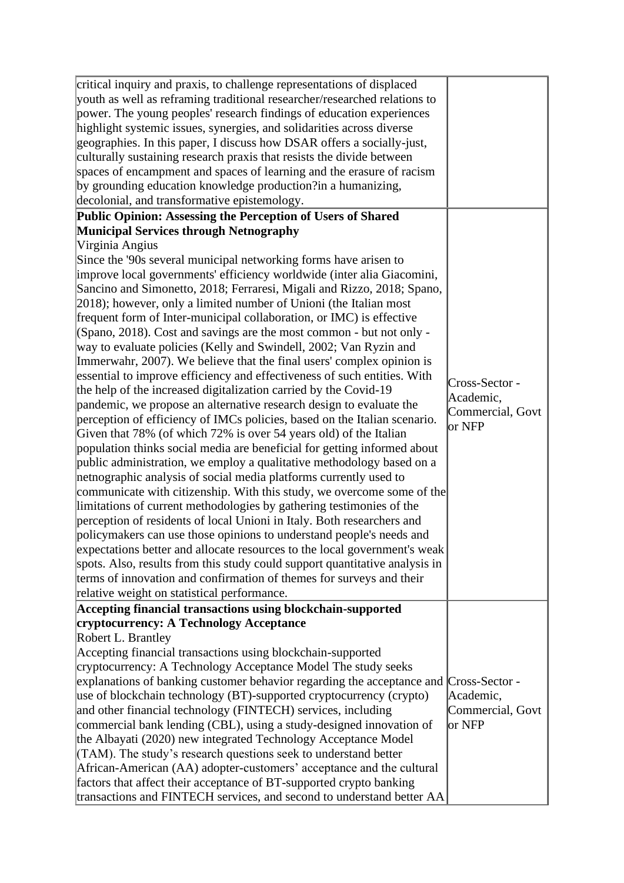| critical inquiry and praxis, to challenge representations of displaced<br>youth as well as reframing traditional researcher/researched relations to<br>power. The young peoples' research findings of education experiences<br>highlight systemic issues, synergies, and solidarities across diverse<br>geographies. In this paper, I discuss how DSAR offers a socially-just,<br>culturally sustaining research praxis that resists the divide between<br>spaces of encampment and spaces of learning and the erasure of racism<br>by grounding education knowledge production?in a humanizing,<br>decolonial, and transformative epistemology. |
|--------------------------------------------------------------------------------------------------------------------------------------------------------------------------------------------------------------------------------------------------------------------------------------------------------------------------------------------------------------------------------------------------------------------------------------------------------------------------------------------------------------------------------------------------------------------------------------------------------------------------------------------------|
| Public Opinion: Assessing the Perception of Users of Shared                                                                                                                                                                                                                                                                                                                                                                                                                                                                                                                                                                                      |
| <b>Municipal Services through Netnography</b>                                                                                                                                                                                                                                                                                                                                                                                                                                                                                                                                                                                                    |
| Virginia Angius                                                                                                                                                                                                                                                                                                                                                                                                                                                                                                                                                                                                                                  |
| Since the '90s several municipal networking forms have arisen to<br>improve local governments' efficiency worldwide (inter alia Giacomini,                                                                                                                                                                                                                                                                                                                                                                                                                                                                                                       |
| Sancino and Simonetto, 2018; Ferraresi, Migali and Rizzo, 2018; Spano,                                                                                                                                                                                                                                                                                                                                                                                                                                                                                                                                                                           |
| [2018]; however, only a limited number of Unioni (the Italian most                                                                                                                                                                                                                                                                                                                                                                                                                                                                                                                                                                               |
| frequent form of Inter-municipal collaboration, or IMC) is effective                                                                                                                                                                                                                                                                                                                                                                                                                                                                                                                                                                             |
| (Spano, 2018). Cost and savings are the most common - but not only -                                                                                                                                                                                                                                                                                                                                                                                                                                                                                                                                                                             |
| way to evaluate policies (Kelly and Swindell, 2002; Van Ryzin and                                                                                                                                                                                                                                                                                                                                                                                                                                                                                                                                                                                |
| Immerwahr, 2007). We believe that the final users' complex opinion is                                                                                                                                                                                                                                                                                                                                                                                                                                                                                                                                                                            |
| essential to improve efficiency and effectiveness of such entities. With<br>Cross-Sector -                                                                                                                                                                                                                                                                                                                                                                                                                                                                                                                                                       |
| the help of the increased digitalization carried by the Covid-19<br>Academic,                                                                                                                                                                                                                                                                                                                                                                                                                                                                                                                                                                    |
| pandemic, we propose an alternative research design to evaluate the<br>Commercial, Govt                                                                                                                                                                                                                                                                                                                                                                                                                                                                                                                                                          |
| perception of efficiency of IMCs policies, based on the Italian scenario.<br>$ or$ NFP                                                                                                                                                                                                                                                                                                                                                                                                                                                                                                                                                           |
| Given that 78% (of which 72% is over 54 years old) of the Italian                                                                                                                                                                                                                                                                                                                                                                                                                                                                                                                                                                                |
| population thinks social media are beneficial for getting informed about                                                                                                                                                                                                                                                                                                                                                                                                                                                                                                                                                                         |
| public administration, we employ a qualitative methodology based on a                                                                                                                                                                                                                                                                                                                                                                                                                                                                                                                                                                            |
| netnographic analysis of social media platforms currently used to                                                                                                                                                                                                                                                                                                                                                                                                                                                                                                                                                                                |
| communicate with citizenship. With this study, we overcome some of the                                                                                                                                                                                                                                                                                                                                                                                                                                                                                                                                                                           |
| limitations of current methodologies by gathering testimonies of the                                                                                                                                                                                                                                                                                                                                                                                                                                                                                                                                                                             |
| perception of residents of local Unioni in Italy. Both researchers and                                                                                                                                                                                                                                                                                                                                                                                                                                                                                                                                                                           |
| policymakers can use those opinions to understand people's needs and                                                                                                                                                                                                                                                                                                                                                                                                                                                                                                                                                                             |
| expectations better and allocate resources to the local government's weak                                                                                                                                                                                                                                                                                                                                                                                                                                                                                                                                                                        |
| spots. Also, results from this study could support quantitative analysis in                                                                                                                                                                                                                                                                                                                                                                                                                                                                                                                                                                      |
| terms of innovation and confirmation of themes for surveys and their                                                                                                                                                                                                                                                                                                                                                                                                                                                                                                                                                                             |
| relative weight on statistical performance.                                                                                                                                                                                                                                                                                                                                                                                                                                                                                                                                                                                                      |
| Accepting financial transactions using blockchain-supported                                                                                                                                                                                                                                                                                                                                                                                                                                                                                                                                                                                      |
| cryptocurrency: A Technology Acceptance                                                                                                                                                                                                                                                                                                                                                                                                                                                                                                                                                                                                          |
| Robert L. Brantley                                                                                                                                                                                                                                                                                                                                                                                                                                                                                                                                                                                                                               |
| Accepting financial transactions using blockchain-supported                                                                                                                                                                                                                                                                                                                                                                                                                                                                                                                                                                                      |
| cryptocurrency: A Technology Acceptance Model The study seeks                                                                                                                                                                                                                                                                                                                                                                                                                                                                                                                                                                                    |
| explanations of banking customer behavior regarding the acceptance and Cross-Sector -                                                                                                                                                                                                                                                                                                                                                                                                                                                                                                                                                            |
| use of blockchain technology (BT)-supported cryptocurrency (crypto)<br>Academic,                                                                                                                                                                                                                                                                                                                                                                                                                                                                                                                                                                 |
| and other financial technology (FINTECH) services, including<br>Commercial, Govt                                                                                                                                                                                                                                                                                                                                                                                                                                                                                                                                                                 |
| commercial bank lending (CBL), using a study-designed innovation of<br>or NFP                                                                                                                                                                                                                                                                                                                                                                                                                                                                                                                                                                    |
| the Albayati (2020) new integrated Technology Acceptance Model                                                                                                                                                                                                                                                                                                                                                                                                                                                                                                                                                                                   |
| (TAM). The study's research questions seek to understand better                                                                                                                                                                                                                                                                                                                                                                                                                                                                                                                                                                                  |
| African-American (AA) adopter-customers' acceptance and the cultural                                                                                                                                                                                                                                                                                                                                                                                                                                                                                                                                                                             |
| factors that affect their acceptance of BT-supported crypto banking<br>transactions and FINTECH services, and second to understand better AA                                                                                                                                                                                                                                                                                                                                                                                                                                                                                                     |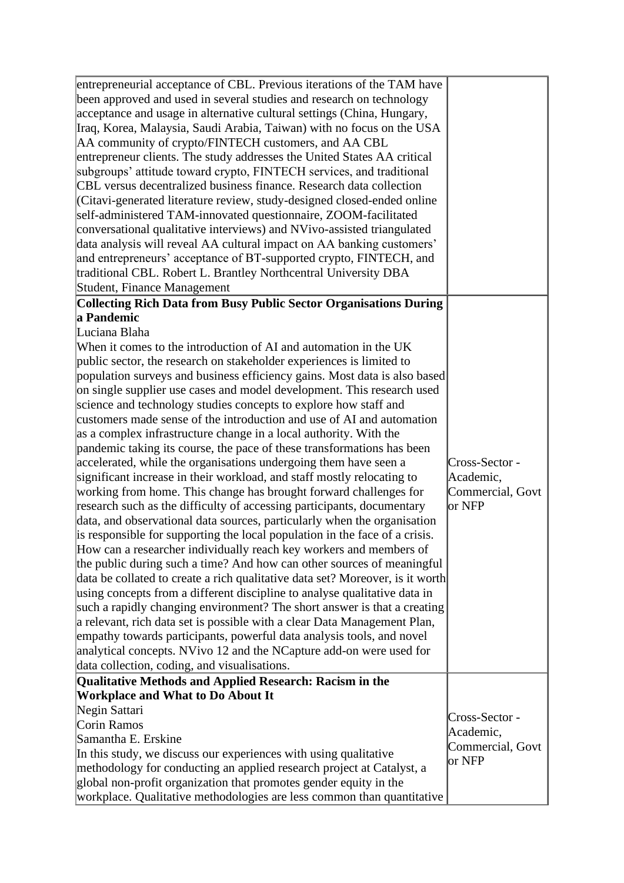| entrepreneurial acceptance of CBL. Previous iterations of the TAM have<br>been approved and used in several studies and research on technology<br>acceptance and usage in alternative cultural settings (China, Hungary,<br>Iraq, Korea, Malaysia, Saudi Arabia, Taiwan) with no focus on the USA<br>AA community of crypto/FINTECH customers, and AA CBL<br>entrepreneur clients. The study addresses the United States AA critical<br>subgroups' attitude toward crypto, FINTECH services, and traditional<br>CBL versus decentralized business finance. Research data collection<br>(Citavi-generated literature review, study-designed closed-ended online<br>self-administered TAM-innovated questionnaire, ZOOM-facilitated<br>conversational qualitative interviews) and NVivo-assisted triangulated                                                                                                                                                                                                                                                                                                                                                                                                                                                                                                                                                                                                                                                                                                                                                                                                                                                                                                                                                                                           |                                                           |
|-------------------------------------------------------------------------------------------------------------------------------------------------------------------------------------------------------------------------------------------------------------------------------------------------------------------------------------------------------------------------------------------------------------------------------------------------------------------------------------------------------------------------------------------------------------------------------------------------------------------------------------------------------------------------------------------------------------------------------------------------------------------------------------------------------------------------------------------------------------------------------------------------------------------------------------------------------------------------------------------------------------------------------------------------------------------------------------------------------------------------------------------------------------------------------------------------------------------------------------------------------------------------------------------------------------------------------------------------------------------------------------------------------------------------------------------------------------------------------------------------------------------------------------------------------------------------------------------------------------------------------------------------------------------------------------------------------------------------------------------------------------------------------------------------------|-----------------------------------------------------------|
| data analysis will reveal AA cultural impact on AA banking customers'<br>and entrepreneurs' acceptance of BT-supported crypto, FINTECH, and<br>traditional CBL. Robert L. Brantley Northcentral University DBA<br>Student, Finance Management                                                                                                                                                                                                                                                                                                                                                                                                                                                                                                                                                                                                                                                                                                                                                                                                                                                                                                                                                                                                                                                                                                                                                                                                                                                                                                                                                                                                                                                                                                                                                         |                                                           |
| <b>Collecting Rich Data from Busy Public Sector Organisations During</b>                                                                                                                                                                                                                                                                                                                                                                                                                                                                                                                                                                                                                                                                                                                                                                                                                                                                                                                                                                                                                                                                                                                                                                                                                                                                                                                                                                                                                                                                                                                                                                                                                                                                                                                              |                                                           |
| a Pandemic                                                                                                                                                                                                                                                                                                                                                                                                                                                                                                                                                                                                                                                                                                                                                                                                                                                                                                                                                                                                                                                                                                                                                                                                                                                                                                                                                                                                                                                                                                                                                                                                                                                                                                                                                                                            |                                                           |
| Luciana Blaha<br>When it comes to the introduction of AI and automation in the UK<br>public sector, the research on stakeholder experiences is limited to<br>population surveys and business efficiency gains. Most data is also based<br>on single supplier use cases and model development. This research used<br>science and technology studies concepts to explore how staff and<br>customers made sense of the introduction and use of AI and automation<br>as a complex infrastructure change in a local authority. With the<br>pandemic taking its course, the pace of these transformations has been<br>accelerated, while the organisations undergoing them have seen a<br>significant increase in their workload, and staff mostly relocating to<br>working from home. This change has brought forward challenges for<br>research such as the difficulty of accessing participants, documentary<br>data, and observational data sources, particularly when the organisation<br>is responsible for supporting the local population in the face of a crisis.<br>How can a researcher individually reach key workers and members of<br>the public during such a time? And how can other sources of meaningful<br>data be collated to create a rich qualitative data set? Moreover, is it worth<br>using concepts from a different discipline to analyse qualitative data in<br>such a rapidly changing environment? The short answer is that a creating<br>a relevant, rich data set is possible with a clear Data Management Plan,<br>empathy towards participants, powerful data analysis tools, and novel<br>analytical concepts. NVivo 12 and the NCapture add-on were used for<br>data collection, coding, and visualisations.<br>Qualitative Methods and Applied Research: Racism in the | Cross-Sector -<br>Academic,<br>Commercial, Govt<br>or NFP |
| <b>Workplace and What to Do About It</b><br>Negin Sattari<br>Corin Ramos<br>Samantha E. Erskine<br>In this study, we discuss our experiences with using qualitative<br>methodology for conducting an applied research project at Catalyst, a<br>global non-profit organization that promotes gender equity in the<br>workplace. Qualitative methodologies are less common than quantitative                                                                                                                                                                                                                                                                                                                                                                                                                                                                                                                                                                                                                                                                                                                                                                                                                                                                                                                                                                                                                                                                                                                                                                                                                                                                                                                                                                                                           | Cross-Sector -<br>Academic,<br>Commercial, Govt<br>or NFP |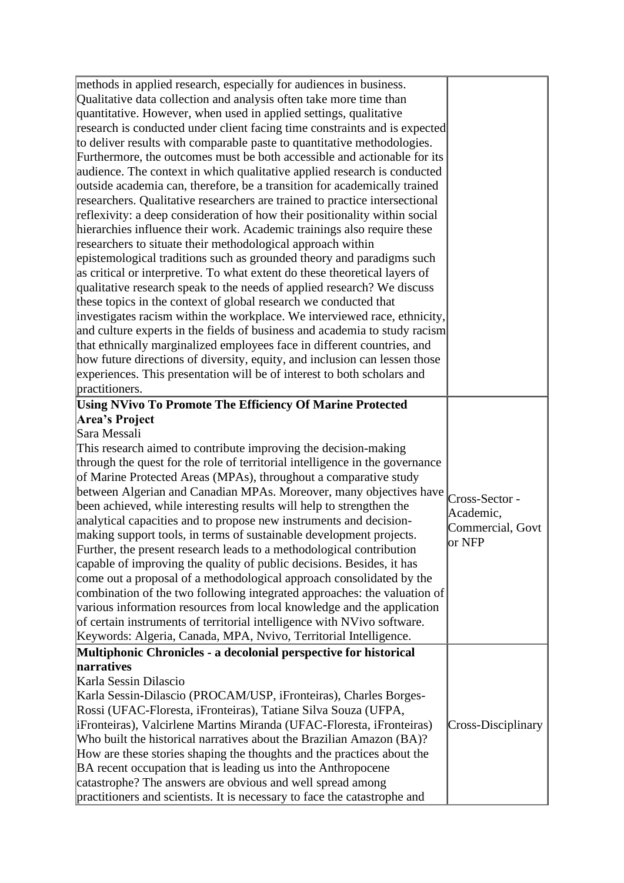| methods in applied research, especially for audiences in business.<br>Qualitative data collection and analysis often take more time than<br>quantitative. However, when used in applied settings, qualitative<br>research is conducted under client facing time constraints and is expected<br>to deliver results with comparable paste to quantitative methodologies.<br>Furthermore, the outcomes must be both accessible and actionable for its<br>audience. The context in which qualitative applied research is conducted<br>outside academia can, therefore, be a transition for academically trained<br>researchers. Qualitative researchers are trained to practice intersectional<br>reflexivity: a deep consideration of how their positionality within social<br>hierarchies influence their work. Academic trainings also require these<br>researchers to situate their methodological approach within<br>epistemological traditions such as grounded theory and paradigms such<br>as critical or interpretive. To what extent do these theoretical layers of<br>qualitative research speak to the needs of applied research? We discuss<br>these topics in the context of global research we conducted that<br>investigates racism within the workplace. We interviewed race, ethnicity,<br>and culture experts in the fields of business and academia to study racism<br>that ethnically marginalized employees face in different countries, and<br>how future directions of diversity, equity, and inclusion can lessen those<br>experiences. This presentation will be of interest to both scholars and<br>practitioners. |                                                           |
|-------------------------------------------------------------------------------------------------------------------------------------------------------------------------------------------------------------------------------------------------------------------------------------------------------------------------------------------------------------------------------------------------------------------------------------------------------------------------------------------------------------------------------------------------------------------------------------------------------------------------------------------------------------------------------------------------------------------------------------------------------------------------------------------------------------------------------------------------------------------------------------------------------------------------------------------------------------------------------------------------------------------------------------------------------------------------------------------------------------------------------------------------------------------------------------------------------------------------------------------------------------------------------------------------------------------------------------------------------------------------------------------------------------------------------------------------------------------------------------------------------------------------------------------------------------------------------------------------------------------------------------------|-----------------------------------------------------------|
| <b>Using NVivo To Promote The Efficiency Of Marine Protected</b><br>Area's Project<br>Sara Messali<br>This research aimed to contribute improving the decision-making<br>through the quest for the role of territorial intelligence in the governance<br>of Marine Protected Areas (MPAs), throughout a comparative study<br>between Algerian and Canadian MPAs. Moreover, many objectives have<br>been achieved, while interesting results will help to strengthen the<br>analytical capacities and to propose new instruments and decision-<br>making support tools, in terms of sustainable development projects.<br>Further, the present research leads to a methodological contribution<br>capable of improving the quality of public decisions. Besides, it has<br>come out a proposal of a methodological approach consolidated by the<br>combination of the two following integrated approaches: the valuation of<br>various information resources from local knowledge and the application<br>of certain instruments of territorial intelligence with NVivo software.<br>Keywords: Algeria, Canada, MPA, Nvivo, Territorial Intelligence.                                                                                                                                                                                                                                                                                                                                                                                                                                                                                        | Cross-Sector -<br>Academic,<br>Commercial, Govt<br>or NFP |
| Multiphonic Chronicles - a decolonial perspective for historical<br>narratives<br>Karla Sessin Dilascio<br>Karla Sessin-Dilascio (PROCAM/USP, iFronteiras), Charles Borges-<br>Rossi (UFAC-Floresta, iFronteiras), Tatiane Silva Souza (UFPA,<br>iFronteiras), Valcirlene Martins Miranda (UFAC-Floresta, iFronteiras)<br>Who built the historical narratives about the Brazilian Amazon (BA)?<br>How are these stories shaping the thoughts and the practices about the<br>BA recent occupation that is leading us into the Anthropocene<br>catastrophe? The answers are obvious and well spread among<br>practitioners and scientists. It is necessary to face the catastrophe and                                                                                                                                                                                                                                                                                                                                                                                                                                                                                                                                                                                                                                                                                                                                                                                                                                                                                                                                                      | Cross-Disciplinary                                        |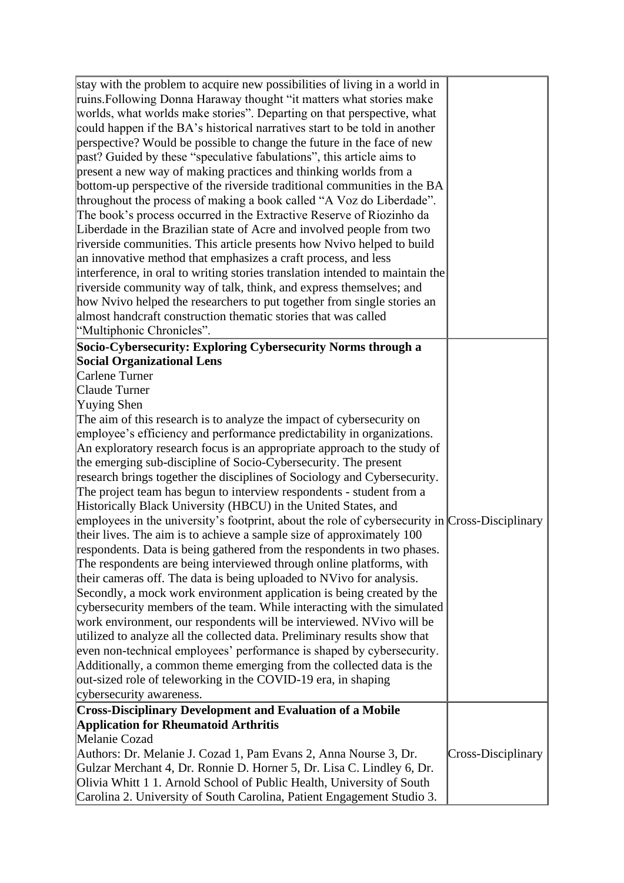| stay with the problem to acquire new possibilities of living in a world in<br>ruins. Following Donna Haraway thought "it matters what stories make<br>worlds, what worlds make stories". Departing on that perspective, what<br>could happen if the BA's historical narratives start to be told in another<br>perspective? Would be possible to change the future in the face of new<br>past? Guided by these "speculative fabulations", this article aims to<br>present a new way of making practices and thinking worlds from a<br>bottom-up perspective of the riverside traditional communities in the BA<br>throughout the process of making a book called "A Voz do Liberdade".<br>The book's process occurred in the Extractive Reserve of Riozinho da<br>Liberdade in the Brazilian state of Acre and involved people from two<br>riverside communities. This article presents how Nvivo helped to build<br>an innovative method that emphasizes a craft process, and less<br>interference, in oral to writing stories translation intended to maintain the<br>riverside community way of talk, think, and express themselves; and<br>how Nvivo helped the researchers to put together from single stories an<br>almost handcraft construction thematic stories that was called<br>"Multiphonic Chronicles".                                                                                                                                                                                                                                                                                                                             |                    |
|--------------------------------------------------------------------------------------------------------------------------------------------------------------------------------------------------------------------------------------------------------------------------------------------------------------------------------------------------------------------------------------------------------------------------------------------------------------------------------------------------------------------------------------------------------------------------------------------------------------------------------------------------------------------------------------------------------------------------------------------------------------------------------------------------------------------------------------------------------------------------------------------------------------------------------------------------------------------------------------------------------------------------------------------------------------------------------------------------------------------------------------------------------------------------------------------------------------------------------------------------------------------------------------------------------------------------------------------------------------------------------------------------------------------------------------------------------------------------------------------------------------------------------------------------------------------------------------------------------------------------------------------------|--------------------|
| Socio-Cybersecurity: Exploring Cybersecurity Norms through a<br><b>Social Organizational Lens</b><br>Carlene Turner<br>Claude Turner<br>Yuying Shen<br>The aim of this research is to analyze the impact of cybersecurity on<br>employee's efficiency and performance predictability in organizations.<br>An exploratory research focus is an appropriate approach to the study of<br>the emerging sub-discipline of Socio-Cybersecurity. The present<br>research brings together the disciplines of Sociology and Cybersecurity.<br>The project team has begun to interview respondents - student from a<br>Historically Black University (HBCU) in the United States, and<br>employees in the university's footprint, about the role of cybersecurity in $\vert$ Cross-Disciplinary<br>their lives. The aim is to achieve a sample size of approximately 100<br>respondents. Data is being gathered from the respondents in two phases.<br>The respondents are being interviewed through online platforms, with<br>their cameras off. The data is being uploaded to NVivo for analysis.<br>Secondly, a mock work environment application is being created by the<br>cybersecurity members of the team. While interacting with the simulated<br>work environment, our respondents will be interviewed. NVivo will be<br>utilized to analyze all the collected data. Preliminary results show that<br>even non-technical employees' performance is shaped by cybersecurity.<br>Additionally, a common theme emerging from the collected data is the<br>out-sized role of teleworking in the COVID-19 era, in shaping<br>cybersecurity awareness. |                    |
| <b>Cross-Disciplinary Development and Evaluation of a Mobile</b><br><b>Application for Rheumatoid Arthritis</b><br>Melanie Cozad<br>Authors: Dr. Melanie J. Cozad 1, Pam Evans 2, Anna Nourse 3, Dr.<br>Gulzar Merchant 4, Dr. Ronnie D. Horner 5, Dr. Lisa C. Lindley 6, Dr.<br>Olivia Whitt 1 1. Arnold School of Public Health, University of South<br>Carolina 2. University of South Carolina, Patient Engagement Studio 3.                                                                                                                                                                                                                                                                                                                                                                                                                                                                                                                                                                                                                                                                                                                                                                                                                                                                                                                                                                                                                                                                                                                                                                                                                 | Cross-Disciplinary |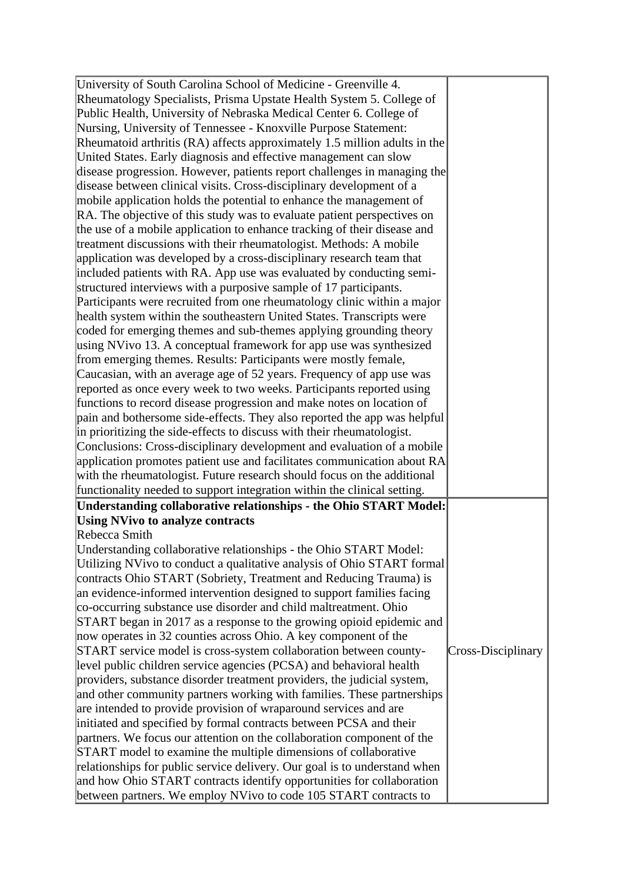| University of South Carolina School of Medicine - Greenville 4.           |                    |
|---------------------------------------------------------------------------|--------------------|
| Rheumatology Specialists, Prisma Upstate Health System 5. College of      |                    |
| Public Health, University of Nebraska Medical Center 6. College of        |                    |
| Nursing, University of Tennessee - Knoxville Purpose Statement:           |                    |
| Rheumatoid arthritis (RA) affects approximately 1.5 million adults in the |                    |
| United States. Early diagnosis and effective management can slow          |                    |
| disease progression. However, patients report challenges in managing the  |                    |
| disease between clinical visits. Cross-disciplinary development of a      |                    |
| mobile application holds the potential to enhance the management of       |                    |
| RA. The objective of this study was to evaluate patient perspectives on   |                    |
| the use of a mobile application to enhance tracking of their disease and  |                    |
| treatment discussions with their rheumatologist. Methods: A mobile        |                    |
| application was developed by a cross-disciplinary research team that      |                    |
| included patients with RA. App use was evaluated by conducting semi-      |                    |
| structured interviews with a purposive sample of 17 participants.         |                    |
| Participants were recruited from one rheumatology clinic within a major   |                    |
| health system within the southeastern United States. Transcripts were     |                    |
| coded for emerging themes and sub-themes applying grounding theory        |                    |
| using NVivo 13. A conceptual framework for app use was synthesized        |                    |
| from emerging themes. Results: Participants were mostly female,           |                    |
| Caucasian, with an average age of 52 years. Frequency of app use was      |                    |
| reported as once every week to two weeks. Participants reported using     |                    |
| functions to record disease progression and make notes on location of     |                    |
| pain and bothersome side-effects. They also reported the app was helpful  |                    |
| in prioritizing the side-effects to discuss with their rheumatologist.    |                    |
| Conclusions: Cross-disciplinary development and evaluation of a mobile    |                    |
| application promotes patient use and facilitates communication about RA   |                    |
| with the rheumatologist. Future research should focus on the additional   |                    |
| functionality needed to support integration within the clinical setting.  |                    |
|                                                                           |                    |
| Understanding collaborative relationships - the Ohio START Model:         |                    |
| <b>Using NVivo to analyze contracts</b><br>Rebecca Smith                  |                    |
|                                                                           |                    |
| Understanding collaborative relationships - the Ohio START Model:         |                    |
| Utilizing NVivo to conduct a qualitative analysis of Ohio START formal    |                    |
| contracts Ohio START (Sobriety, Treatment and Reducing Trauma) is         |                    |
| an evidence-informed intervention designed to support families facing     |                    |
| co-occurring substance use disorder and child maltreatment. Ohio          |                    |
| START began in 2017 as a response to the growing opioid epidemic and      |                    |
| now operates in 32 counties across Ohio. A key component of the           |                    |
| START service model is cross-system collaboration between county-         | Cross-Disciplinary |
| level public children service agencies (PCSA) and behavioral health       |                    |
| providers, substance disorder treatment providers, the judicial system,   |                    |
| and other community partners working with families. These partnerships    |                    |
| are intended to provide provision of wraparound services and are          |                    |
| initiated and specified by formal contracts between PCSA and their        |                    |
| partners. We focus our attention on the collaboration component of the    |                    |
| START model to examine the multiple dimensions of collaborative           |                    |
| relationships for public service delivery. Our goal is to understand when |                    |
| and how Ohio START contracts identify opportunities for collaboration     |                    |
| between partners. We employ NVivo to code 105 START contracts to          |                    |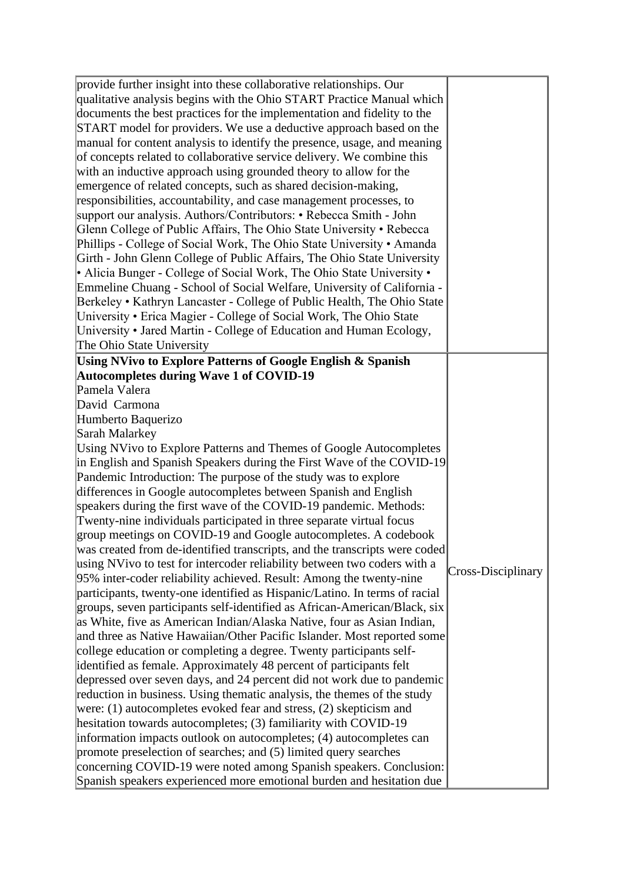| provide further insight into these collaborative relationships. Our<br>qualitative analysis begins with the Ohio START Practice Manual which<br>documents the best practices for the implementation and fidelity to the<br>START model for providers. We use a deductive approach based on the<br>manual for content analysis to identify the presence, usage, and meaning<br>of concepts related to collaborative service delivery. We combine this<br>with an inductive approach using grounded theory to allow for the<br>emergence of related concepts, such as shared decision-making,<br>responsibilities, accountability, and case management processes, to<br>support our analysis. Authors/Contributors: • Rebecca Smith - John                                                                                                                                                                                                                                                                                                                                                                                                                                                                                                                                                                                                                                                                                                                                                                                                                   |                    |
|------------------------------------------------------------------------------------------------------------------------------------------------------------------------------------------------------------------------------------------------------------------------------------------------------------------------------------------------------------------------------------------------------------------------------------------------------------------------------------------------------------------------------------------------------------------------------------------------------------------------------------------------------------------------------------------------------------------------------------------------------------------------------------------------------------------------------------------------------------------------------------------------------------------------------------------------------------------------------------------------------------------------------------------------------------------------------------------------------------------------------------------------------------------------------------------------------------------------------------------------------------------------------------------------------------------------------------------------------------------------------------------------------------------------------------------------------------------------------------------------------------------------------------------------------------|--------------------|
| Glenn College of Public Affairs, The Ohio State University • Rebecca<br>Phillips - College of Social Work, The Ohio State University • Amanda<br>Girth - John Glenn College of Public Affairs, The Ohio State University<br>• Alicia Bunger - College of Social Work, The Ohio State University •                                                                                                                                                                                                                                                                                                                                                                                                                                                                                                                                                                                                                                                                                                                                                                                                                                                                                                                                                                                                                                                                                                                                                                                                                                                          |                    |
| Emmeline Chuang - School of Social Welfare, University of California -<br>Berkeley • Kathryn Lancaster - College of Public Health, The Ohio State<br>University • Erica Magier - College of Social Work, The Ohio State<br>University • Jared Martin - College of Education and Human Ecology,                                                                                                                                                                                                                                                                                                                                                                                                                                                                                                                                                                                                                                                                                                                                                                                                                                                                                                                                                                                                                                                                                                                                                                                                                                                             |                    |
| The Ohio State University<br>Using NVivo to Explore Patterns of Google English & Spanish<br><b>Autocompletes during Wave 1 of COVID-19</b>                                                                                                                                                                                                                                                                                                                                                                                                                                                                                                                                                                                                                                                                                                                                                                                                                                                                                                                                                                                                                                                                                                                                                                                                                                                                                                                                                                                                                 |                    |
| David Carmona<br>Humberto Baquerizo<br>Sarah Malarkey<br>Using NVivo to Explore Patterns and Themes of Google Autocompletes<br>in English and Spanish Speakers during the First Wave of the COVID-19<br>Pandemic Introduction: The purpose of the study was to explore<br>differences in Google autocompletes between Spanish and English<br>speakers during the first wave of the COVID-19 pandemic. Methods:<br>Twenty-nine individuals participated in three separate virtual focus<br>group meetings on COVID-19 and Google autocompletes. A codebook<br>was created from de-identified transcripts, and the transcripts were coded<br>using NVivo to test for intercoder reliability between two coders with a<br>95% inter-coder reliability achieved. Result: Among the twenty-nine<br>participants, twenty-one identified as Hispanic/Latino. In terms of racial<br>groups, seven participants self-identified as African-American/Black, six<br>as White, five as American Indian/Alaska Native, four as Asian Indian,<br>and three as Native Hawaiian/Other Pacific Islander. Most reported some<br>college education or completing a degree. Twenty participants self-<br>identified as female. Approximately 48 percent of participants felt<br>depressed over seven days, and 24 percent did not work due to pandemic<br>reduction in business. Using thematic analysis, the themes of the study<br>were: $(1)$ autocompletes evoked fear and stress, $(2)$ skepticism and<br>hesitation towards autocompletes; (3) familiarity with COVID-19 | Cross-Disciplinary |
| information impacts outlook on autocompletes; (4) autocompletes can<br>promote preselection of searches; and (5) limited query searches<br>concerning COVID-19 were noted among Spanish speakers. Conclusion:<br>Spanish speakers experienced more emotional burden and hesitation due                                                                                                                                                                                                                                                                                                                                                                                                                                                                                                                                                                                                                                                                                                                                                                                                                                                                                                                                                                                                                                                                                                                                                                                                                                                                     |                    |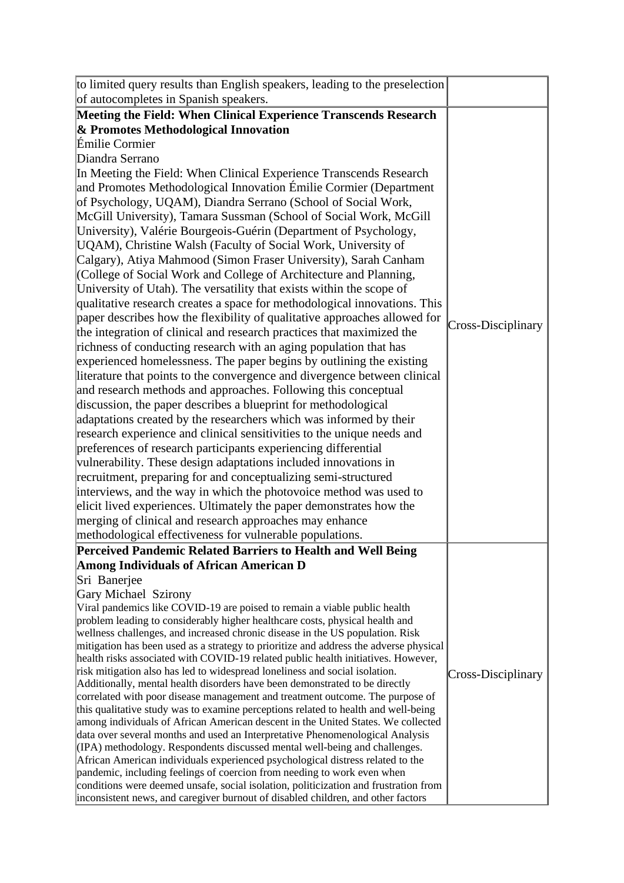| to limited query results than English speakers, leading to the preselection                                                                                                      |
|----------------------------------------------------------------------------------------------------------------------------------------------------------------------------------|
| of autocompletes in Spanish speakers.                                                                                                                                            |
| Meeting the Field: When Clinical Experience Transcends Research                                                                                                                  |
| & Promotes Methodological Innovation                                                                                                                                             |
| Émilie Cormier                                                                                                                                                                   |
| Diandra Serrano                                                                                                                                                                  |
| In Meeting the Field: When Clinical Experience Transcends Research                                                                                                               |
| and Promotes Methodological Innovation Émilie Cormier (Department                                                                                                                |
| of Psychology, UQAM), Diandra Serrano (School of Social Work,                                                                                                                    |
| McGill University), Tamara Sussman (School of Social Work, McGill                                                                                                                |
| University), Valérie Bourgeois-Guérin (Department of Psychology,                                                                                                                 |
| UQAM), Christine Walsh (Faculty of Social Work, University of                                                                                                                    |
| Calgary), Atiya Mahmood (Simon Fraser University), Sarah Canham                                                                                                                  |
|                                                                                                                                                                                  |
| (College of Social Work and College of Architecture and Planning,                                                                                                                |
| University of Utah). The versatility that exists within the scope of                                                                                                             |
| qualitative research creates a space for methodological innovations. This                                                                                                        |
| paper describes how the flexibility of qualitative approaches allowed for<br>Cross-Disciplinary                                                                                  |
| the integration of clinical and research practices that maximized the                                                                                                            |
| richness of conducting research with an aging population that has                                                                                                                |
| experienced homelessness. The paper begins by outlining the existing                                                                                                             |
| literature that points to the convergence and divergence between clinical                                                                                                        |
| and research methods and approaches. Following this conceptual                                                                                                                   |
| discussion, the paper describes a blueprint for methodological                                                                                                                   |
| adaptations created by the researchers which was informed by their                                                                                                               |
| research experience and clinical sensitivities to the unique needs and                                                                                                           |
| preferences of research participants experiencing differential                                                                                                                   |
| vulnerability. These design adaptations included innovations in                                                                                                                  |
| recruitment, preparing for and conceptualizing semi-structured                                                                                                                   |
| interviews, and the way in which the photovoice method was used to                                                                                                               |
| elicit lived experiences. Ultimately the paper demonstrates how the                                                                                                              |
| merging of clinical and research approaches may enhance                                                                                                                          |
| methodological effectiveness for vulnerable populations.                                                                                                                         |
| Perceived Pandemic Related Barriers to Health and Well Being                                                                                                                     |
| Among Individuals of African American D                                                                                                                                          |
| Sri Banerjee                                                                                                                                                                     |
| Gary Michael Szirony                                                                                                                                                             |
| Viral pandemics like COVID-19 are poised to remain a viable public health                                                                                                        |
| problem leading to considerably higher healthcare costs, physical health and                                                                                                     |
| wellness challenges, and increased chronic disease in the US population. Risk                                                                                                    |
| mitigation has been used as a strategy to prioritize and address the adverse physical                                                                                            |
| health risks associated with COVID-19 related public health initiatives. However,                                                                                                |
| risk mitigation also has led to widespread loneliness and social isolation.<br>Cross-Disciplinary<br>Additionally, mental health disorders have been demonstrated to be directly |
| correlated with poor disease management and treatment outcome. The purpose of                                                                                                    |
| this qualitative study was to examine perceptions related to health and well-being                                                                                               |
| among individuals of African American descent in the United States. We collected                                                                                                 |
| data over several months and used an Interpretative Phenomenological Analysis                                                                                                    |
| (IPA) methodology. Respondents discussed mental well-being and challenges.                                                                                                       |
| African American individuals experienced psychological distress related to the                                                                                                   |
| pandemic, including feelings of coercion from needing to work even when                                                                                                          |
| conditions were deemed unsafe, social isolation, politicization and frustration from<br>inconsistent news, and caregiver burnout of disabled children, and other factors         |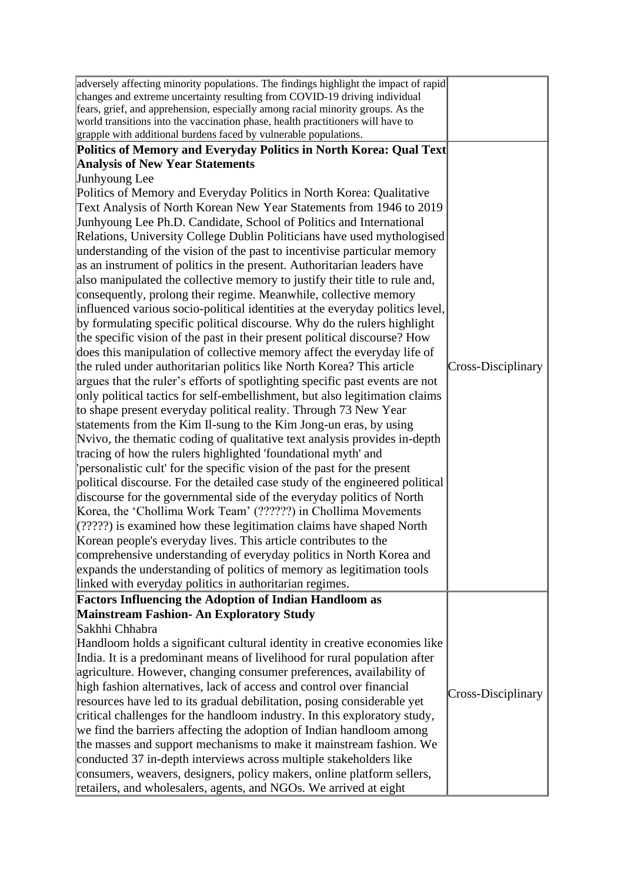| world transitions into the vaccination phase, health practitioners will have to<br>grapple with additional burdens faced by vulnerable populations.<br>Politics of Memory and Everyday Politics in North Korea: Qual Text<br><b>Analysis of New Year Statements</b> |
|---------------------------------------------------------------------------------------------------------------------------------------------------------------------------------------------------------------------------------------------------------------------|
|                                                                                                                                                                                                                                                                     |
|                                                                                                                                                                                                                                                                     |
|                                                                                                                                                                                                                                                                     |
| Junhyoung Lee                                                                                                                                                                                                                                                       |
| Politics of Memory and Everyday Politics in North Korea: Qualitative                                                                                                                                                                                                |
| Text Analysis of North Korean New Year Statements from 1946 to 2019                                                                                                                                                                                                 |
| Junhyoung Lee Ph.D. Candidate, School of Politics and International                                                                                                                                                                                                 |
| Relations, University College Dublin Politicians have used mythologised                                                                                                                                                                                             |
| understanding of the vision of the past to incentivise particular memory                                                                                                                                                                                            |
| as an instrument of politics in the present. Authoritarian leaders have                                                                                                                                                                                             |
| also manipulated the collective memory to justify their title to rule and,                                                                                                                                                                                          |
|                                                                                                                                                                                                                                                                     |
| consequently, prolong their regime. Meanwhile, collective memory                                                                                                                                                                                                    |
| influenced various socio-political identities at the everyday politics level,                                                                                                                                                                                       |
| by formulating specific political discourse. Why do the rulers highlight                                                                                                                                                                                            |
| the specific vision of the past in their present political discourse? How                                                                                                                                                                                           |
| does this manipulation of collective memory affect the everyday life of                                                                                                                                                                                             |
| the ruled under authoritarian politics like North Korea? This article<br>Cross-Disciplinary                                                                                                                                                                         |
| argues that the ruler's efforts of spotlighting specific past events are not                                                                                                                                                                                        |
| only political tactics for self-embellishment, but also legitimation claims                                                                                                                                                                                         |
| to shape present everyday political reality. Through 73 New Year                                                                                                                                                                                                    |
| statements from the Kim Il-sung to the Kim Jong-un eras, by using                                                                                                                                                                                                   |
| Nvivo, the thematic coding of qualitative text analysis provides in-depth                                                                                                                                                                                           |
| tracing of how the rulers highlighted 'foundational myth' and                                                                                                                                                                                                       |
| personalistic cult' for the specific vision of the past for the present                                                                                                                                                                                             |
| political discourse. For the detailed case study of the engineered political                                                                                                                                                                                        |
| discourse for the governmental side of the everyday politics of North                                                                                                                                                                                               |
| Korea, the 'Chollima Work Team' (??????) in Chollima Movements                                                                                                                                                                                                      |
| $(?????)$ is examined how these legitimation claims have shaped North                                                                                                                                                                                               |
| Korean people's everyday lives. This article contributes to the                                                                                                                                                                                                     |
| comprehensive understanding of everyday politics in North Korea and                                                                                                                                                                                                 |
| expands the understanding of politics of memory as legitimation tools                                                                                                                                                                                               |
| linked with everyday politics in authoritarian regimes.                                                                                                                                                                                                             |
| <b>Factors Influencing the Adoption of Indian Handloom as</b>                                                                                                                                                                                                       |
| <b>Mainstream Fashion- An Exploratory Study</b>                                                                                                                                                                                                                     |
| Sakhhi Chhabra                                                                                                                                                                                                                                                      |
| Handloom holds a significant cultural identity in creative economies like                                                                                                                                                                                           |
| India. It is a predominant means of livelihood for rural population after                                                                                                                                                                                           |
| agriculture. However, changing consumer preferences, availability of                                                                                                                                                                                                |
| high fashion alternatives, lack of access and control over financial                                                                                                                                                                                                |
| Cross-Disciplinary<br>resources have led to its gradual debilitation, posing considerable yet                                                                                                                                                                       |
| critical challenges for the handloom industry. In this exploratory study,                                                                                                                                                                                           |
| we find the barriers affecting the adoption of Indian handloom among                                                                                                                                                                                                |
| the masses and support mechanisms to make it mainstream fashion. We                                                                                                                                                                                                 |
| conducted 37 in-depth interviews across multiple stakeholders like                                                                                                                                                                                                  |
| consumers, weavers, designers, policy makers, online platform sellers,                                                                                                                                                                                              |
| retailers, and wholesalers, agents, and NGOs. We arrived at eight                                                                                                                                                                                                   |